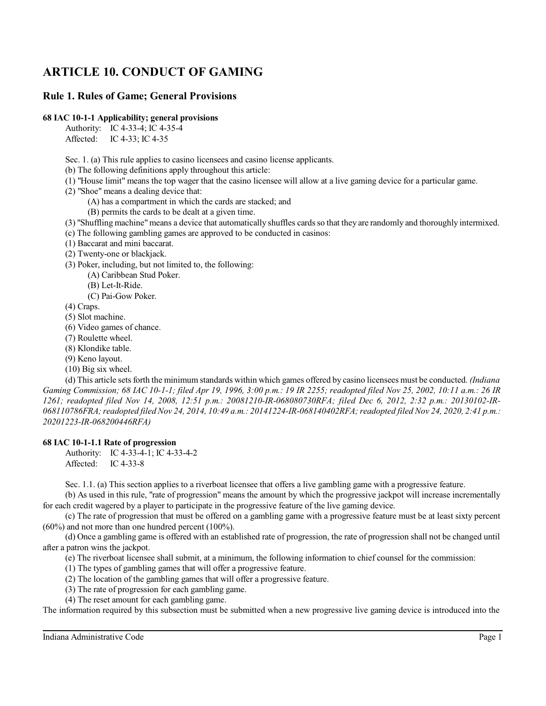# **ARTICLE 10. CONDUCT OF GAMING**

## **Rule 1. Rules of Game; General Provisions**

## **68 IAC 10-1-1 Applicability; general provisions**

Authority: IC 4-33-4; IC 4-35-4

Affected: IC 4-33; IC 4-35

Sec. 1. (a) This rule applies to casino licensees and casino license applicants.

(b) The following definitions apply throughout this article:

- (1) "House limit" means the top wager that the casino licensee will allow at a live gaming device for a particular game.
- (2) "Shoe" means a dealing device that:
	- (A) has a compartment in which the cards are stacked; and
	- (B) permits the cards to be dealt at a given time.
- (3) "Shuffling machine"means a device that automatically shuffles cards so that they are randomly and thoroughly intermixed.
- (c) The following gambling games are approved to be conducted in casinos:
- (1) Baccarat and mini baccarat.
- (2) Twenty-one or blackjack.
- (3) Poker, including, but not limited to, the following:
	- (A) Caribbean Stud Poker.
	- (B) Let-It-Ride.
	- (C) Pai-Gow Poker.
- (4) Craps.
- (5) Slot machine.
- (6) Video games of chance.
- (7) Roulette wheel.
- (8) Klondike table.
- (9) Keno layout.
- (10) Big six wheel.

(d) This article setsforth the minimum standards within which games offered by casino licensees must be conducted. *(Indiana Gaming Commission; 68 IAC 10-1-1; filed Apr 19, 1996, 3:00 p.m.: 19 IR 2255; readopted filed Nov 25, 2002, 10:11 a.m.: 26 IR 1261; readopted filed Nov 14, 2008, 12:51 p.m.: 20081210-IR-068080730RFA; filed Dec 6, 2012, 2:32 p.m.: 20130102-IR-068110786FRA;readopted filed Nov 24, 2014, 10:49 a.m.: 20141224-IR-068140402RFA;readopted filed Nov 24, 2020, 2:41 p.m.: 20201223-IR-068200446RFA)*

### **68 IAC 10-1-1.1 Rate of progression**

Authority: IC 4-33-4-1; IC 4-33-4-2 Affected: IC 4-33-8

Sec. 1.1. (a) This section applies to a riverboat licensee that offers a live gambling game with a progressive feature.

(b) As used in this rule, "rate of progression" means the amount by which the progressive jackpot will increase incrementally for each credit wagered by a player to participate in the progressive feature of the live gaming device.

(c) The rate of progression that must be offered on a gambling game with a progressive feature must be at least sixty percent (60%) and not more than one hundred percent (100%).

(d) Once a gambling game is offered with an established rate of progression, the rate of progression shall not be changed until after a patron wins the jackpot.

(e) The riverboat licensee shall submit, at a minimum, the following information to chief counsel for the commission:

(1) The types of gambling games that will offer a progressive feature.

(2) The location of the gambling games that will offer a progressive feature.

- (3) The rate of progression for each gambling game.
- (4) The reset amount for each gambling game.

The information required by this subsection must be submitted when a new progressive live gaming device is introduced into the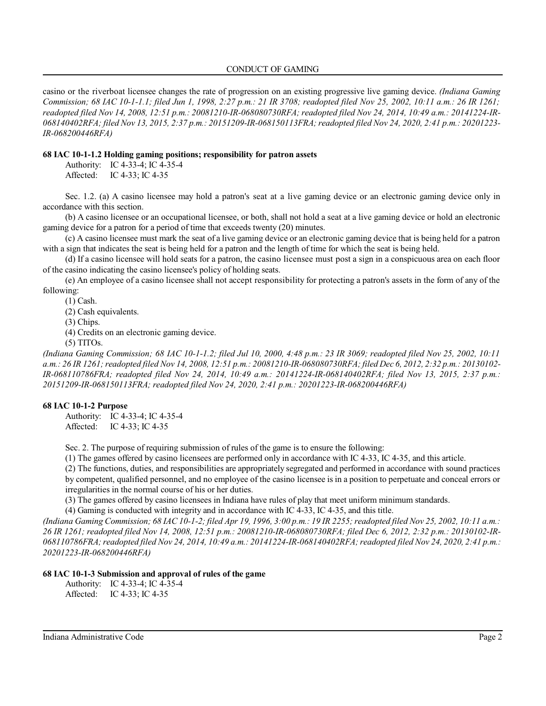### CONDUCT OF GAMING

casino or the riverboat licensee changes the rate of progression on an existing progressive live gaming device. *(Indiana Gaming Commission; 68 IAC 10-1-1.1; filed Jun 1, 1998, 2:27 p.m.: 21 IR 3708; readopted filed Nov 25, 2002, 10:11 a.m.: 26 IR 1261;* readopted filed Nov 14, 2008, 12:51 p.m.: 20081210-IR-068080730RFA; readopted filed Nov 24, 2014, 10:49 a.m.: 20141224-IR-*068140402RFA; filed Nov 13, 2015, 2:37 p.m.: 20151209-IR-068150113FRA;readopted filed Nov 24, 2020, 2:41 p.m.: 20201223- IR-068200446RFA)*

#### **68 IAC 10-1-1.2 Holding gaming positions; responsibility for patron assets**

Authority: IC 4-33-4; IC 4-35-4

Affected: IC 4-33; IC 4-35

Sec. 1.2. (a) A casino licensee may hold a patron's seat at a live gaming device or an electronic gaming device only in accordance with this section.

(b) A casino licensee or an occupational licensee, or both, shall not hold a seat at a live gaming device or hold an electronic gaming device for a patron for a period of time that exceeds twenty (20) minutes.

(c) A casino licensee must mark the seat of a live gaming device or an electronic gaming device that is being held for a patron with a sign that indicates the seat is being held for a patron and the length of time for which the seat is being held.

(d) If a casino licensee will hold seats for a patron, the casino licensee must post a sign in a conspicuous area on each floor of the casino indicating the casino licensee's policy of holding seats.

(e) An employee of a casino licensee shall not accept responsibility for protecting a patron's assets in the form of any of the following:

(1) Cash.

(2) Cash equivalents.

(3) Chips.

(4) Credits on an electronic gaming device.

(5) TITOs.

*(Indiana Gaming Commission; 68 IAC 10-1-1.2; filed Jul 10, 2000, 4:48 p.m.: 23 IR 3069; readopted filed Nov 25, 2002, 10:11 a.m.: 26 IR 1261;readopted filed Nov 14, 2008, 12:51 p.m.: 20081210-IR-068080730RFA; filed Dec 6, 2012, 2:32 p.m.: 20130102- IR-068110786FRA; readopted filed Nov 24, 2014, 10:49 a.m.: 20141224-IR-068140402RFA; filed Nov 13, 2015, 2:37 p.m.: 20151209-IR-068150113FRA; readopted filed Nov 24, 2020, 2:41 p.m.: 20201223-IR-068200446RFA)*

### **68 IAC 10-1-2 Purpose**

Authority: IC 4-33-4; IC 4-35-4 Affected: IC 4-33; IC 4-35

Sec. 2. The purpose of requiring submission of rules of the game is to ensure the following:

(1) The games offered by casino licensees are performed only in accordance with IC 4-33, IC 4-35, and this article.

(2) The functions, duties, and responsibilities are appropriately segregated and performed in accordance with sound practices by competent, qualified personnel, and no employee of the casino licensee is in a position to perpetuate and conceal errors or irregularities in the normal course of his or her duties.

(3) The games offered by casino licensees in Indiana have rules of play that meet uniform minimum standards.

(4) Gaming is conducted with integrity and in accordance with IC 4-33, IC 4-35, and this title.

*(Indiana Gaming Commission; 68 IAC 10-1-2; filed Apr 19, 1996, 3:00 p.m.: 19 IR 2255; readopted filed Nov 25, 2002, 10:11 a.m.: 26 IR 1261; readopted filed Nov 14, 2008, 12:51 p.m.: 20081210-IR-068080730RFA; filed Dec 6, 2012, 2:32 p.m.: 20130102-IR-068110786FRA;readopted filed Nov 24, 2014, 10:49 a.m.: 20141224-IR-068140402RFA;readopted filed Nov 24, 2020, 2:41 p.m.: 20201223-IR-068200446RFA)*

### **68 IAC 10-1-3 Submission and approval of rules of the game**

Authority: IC 4-33-4; IC 4-35-4 Affected: IC 4-33; IC 4-35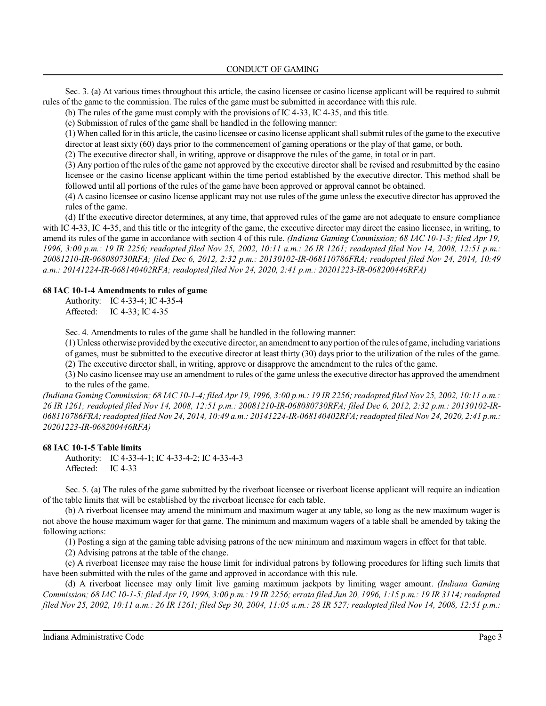Sec. 3. (a) At various times throughout this article, the casino licensee or casino license applicant will be required to submit rules of the game to the commission. The rules of the game must be submitted in accordance with this rule.

(b) The rules of the game must comply with the provisions of IC 4-33, IC 4-35, and this title.

(c) Submission of rules of the game shall be handled in the following manner:

(1) When called for in this article, the casino licensee or casino license applicant shall submit rules ofthe game to the executive

director at least sixty (60) days prior to the commencement of gaming operations or the play of that game, or both.

(2) The executive director shall, in writing, approve or disapprove the rules of the game, in total or in part.

(3) Any portion of the rules of the game not approved by the executive director shall be revised and resubmitted by the casino licensee or the casino license applicant within the time period established by the executive director. This method shall be followed until all portions of the rules of the game have been approved or approval cannot be obtained.

(4) A casino licensee or casino license applicant may not use rules of the game unless the executive director has approved the rules of the game.

(d) If the executive director determines, at any time, that approved rules of the game are not adequate to ensure compliance with IC 4-33, IC 4-35, and this title or the integrity of the game, the executive director may direct the casino licensee, in writing, to amend its rules of the game in accordance with section 4 of this rule. *(Indiana Gaming Commission; 68 IAC 10-1-3; filed Apr 19, 1996, 3:00 p.m.: 19 IR 2256; readopted filed Nov 25, 2002, 10:11 a.m.: 26 IR 1261; readopted filed Nov 14, 2008, 12:51 p.m.: 20081210-IR-068080730RFA; filed Dec 6, 2012, 2:32 p.m.: 20130102-IR-068110786FRA; readopted filed Nov 24, 2014, 10:49 a.m.: 20141224-IR-068140402RFA; readopted filed Nov 24, 2020, 2:41 p.m.: 20201223-IR-068200446RFA)*

## **68 IAC 10-1-4 Amendments to rules of game**

Authority: IC 4-33-4; IC 4-35-4 Affected: IC 4-33; IC 4-35

Sec. 4. Amendments to rules of the game shall be handled in the following manner:

(1) Unless otherwise provided by the executive director, an amendment to any portion ofthe rules ofgame, including variations of games, must be submitted to the executive director at least thirty (30) days prior to the utilization of the rules of the game. (2) The executive director shall, in writing, approve or disapprove the amendment to the rules of the game.

(3) No casino licensee may use an amendment to rules of the game unless the executive director has approved the amendment to the rules of the game.

*(Indiana Gaming Commission; 68 IAC 10-1-4; filed Apr 19, 1996, 3:00 p.m.: 19 IR 2256;readopted filed Nov 25, 2002, 10:11 a.m.: 26 IR 1261; readopted filed Nov 14, 2008, 12:51 p.m.: 20081210-IR-068080730RFA; filed Dec 6, 2012, 2:32 p.m.: 20130102-IR-068110786FRA;readopted filed Nov 24, 2014, 10:49 a.m.: 20141224-IR-068140402RFA;readopted filed Nov 24, 2020, 2:41 p.m.: 20201223-IR-068200446RFA)*

## **68 IAC 10-1-5 Table limits**

Authority: IC 4-33-4-1; IC 4-33-4-2; IC 4-33-4-3 Affected: IC 4-33

Sec. 5. (a) The rules of the game submitted by the riverboat licensee or riverboat license applicant will require an indication of the table limits that will be established by the riverboat licensee for each table.

(b) A riverboat licensee may amend the minimum and maximum wager at any table, so long as the new maximum wager is not above the house maximum wager for that game. The minimum and maximum wagers of a table shall be amended by taking the following actions:

(1) Posting a sign at the gaming table advising patrons of the new minimum and maximum wagers in effect for that table.

(2) Advising patrons at the table of the change.

(c) A riverboat licensee may raise the house limit for individual patrons by following procedures for lifting such limits that have been submitted with the rules of the game and approved in accordance with this rule.

(d) A riverboat licensee may only limit live gaming maximum jackpots by limiting wager amount. *(Indiana Gaming Commission; 68 IAC 10-1-5; filed Apr 19, 1996, 3:00 p.m.: 19 IR 2256; errata filed Jun 20, 1996, 1:15 p.m.: 19 IR 3114; readopted filed Nov 25, 2002, 10:11 a.m.: 26 IR 1261; filed Sep 30, 2004, 11:05 a.m.: 28 IR 527; readopted filed Nov 14, 2008, 12:51 p.m.:*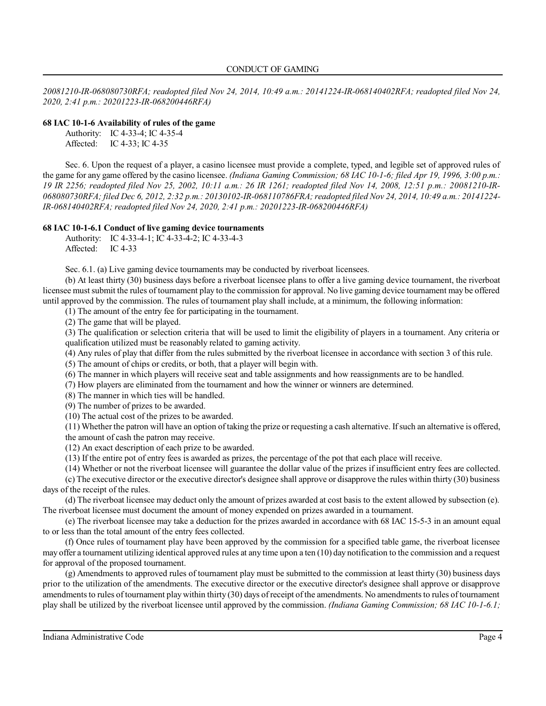*20081210-IR-068080730RFA; readopted filed Nov 24, 2014, 10:49 a.m.: 20141224-IR-068140402RFA; readopted filed Nov 24, 2020, 2:41 p.m.: 20201223-IR-068200446RFA)*

## **68 IAC 10-1-6 Availability of rules of the game**

| Authority: | IC $4-33-4$ ; IC $4-35-4$ |
|------------|---------------------------|
| Affected:  | IC 4-33; IC 4-35          |

Sec. 6. Upon the request of a player, a casino licensee must provide a complete, typed, and legible set of approved rules of the game for any game offered by the casino licensee. *(Indiana Gaming Commission; 68 IAC 10-1-6; filed Apr 19, 1996, 3:00 p.m.: 19 IR 2256; readopted filed Nov 25, 2002, 10:11 a.m.: 26 IR 1261; readopted filed Nov 14, 2008, 12:51 p.m.: 20081210-IR-068080730RFA; filed Dec 6, 2012, 2:32 p.m.: 20130102-IR-068110786FRA;readopted filed Nov 24, 2014, 10:49 a.m.: 20141224- IR-068140402RFA; readopted filed Nov 24, 2020, 2:41 p.m.: 20201223-IR-068200446RFA)*

## **68 IAC 10-1-6.1 Conduct of live gaming device tournaments**

Authority: IC 4-33-4-1; IC 4-33-4-2; IC 4-33-4-3 Affected: IC 4-33

Sec. 6.1. (a) Live gaming device tournaments may be conducted by riverboat licensees.

(b) At least thirty (30) business days before a riverboat licensee plans to offer a live gaming device tournament, the riverboat licensee mustsubmit the rules of tournament play to the commission for approval. No live gaming device tournament may be offered until approved by the commission. The rules of tournament play shall include, at a minimum, the following information:

(1) The amount of the entry fee for participating in the tournament.

(2) The game that will be played.

(3) The qualification or selection criteria that will be used to limit the eligibility of players in a tournament. Any criteria or qualification utilized must be reasonably related to gaming activity.

(4) Any rules of play that differ from the rules submitted by the riverboat licensee in accordance with section 3 of this rule.

- (5) The amount of chips or credits, or both, that a player will begin with.
- (6) The manner in which players will receive seat and table assignments and how reassignments are to be handled.

(7) How players are eliminated from the tournament and how the winner or winners are determined.

(8) The manner in which ties will be handled.

(9) The number of prizes to be awarded.

(10) The actual cost of the prizes to be awarded.

(11) Whether the patron will have an option of taking the prize or requesting a cash alternative. Ifsuch an alternative is offered, the amount of cash the patron may receive.

(12) An exact description of each prize to be awarded.

(13) If the entire pot of entry fees is awarded as prizes, the percentage of the pot that each place will receive.

(14) Whether or not the riverboat licensee will guarantee the dollar value of the prizes if insufficient entry fees are collected.

(c) The executive director or the executive director's designee shall approve or disapprove the rules within thirty (30) business days of the receipt of the rules.

(d) The riverboat licensee may deduct only the amount of prizes awarded at cost basis to the extent allowed by subsection (e). The riverboat licensee must document the amount of money expended on prizes awarded in a tournament.

(e) The riverboat licensee may take a deduction for the prizes awarded in accordance with 68 IAC 15-5-3 in an amount equal to or less than the total amount of the entry fees collected.

(f) Once rules of tournament play have been approved by the commission for a specified table game, the riverboat licensee may offer a tournament utilizing identical approved rules at any time upon a ten (10) day notification to the commission and a request for approval of the proposed tournament.

(g) Amendments to approved rules of tournament play must be submitted to the commission at least thirty (30) business days prior to the utilization of the amendments. The executive director or the executive director's designee shall approve or disapprove amendments to rules of tournament play within thirty (30) days of receipt of the amendments. No amendments to rules of tournament play shall be utilized by the riverboat licensee until approved by the commission. *(Indiana Gaming Commission; 68 IAC 10-1-6.1;*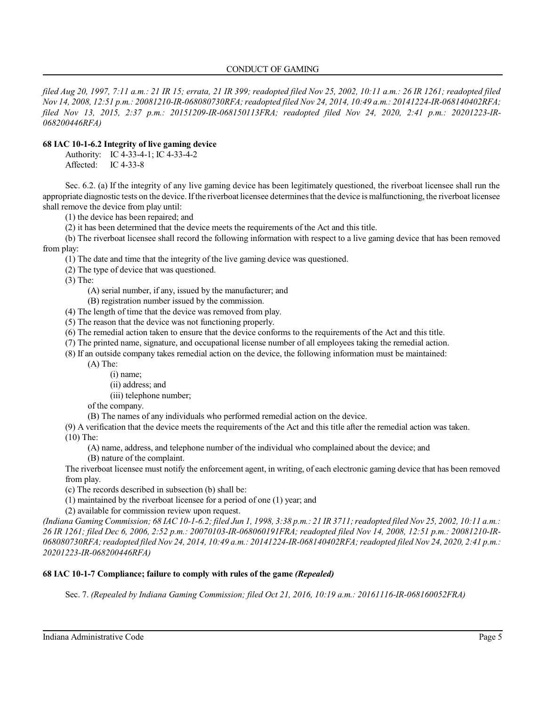## CONDUCT OF GAMING

*filed Aug 20, 1997, 7:11 a.m.: 21 IR 15; errata, 21 IR 399; readopted filed Nov 25, 2002, 10:11 a.m.: 26 IR 1261; readopted filed Nov 14, 2008, 12:51 p.m.: 20081210-IR-068080730RFA;readopted filed Nov 24, 2014, 10:49 a.m.: 20141224-IR-068140402RFA; filed Nov 13, 2015, 2:37 p.m.: 20151209-IR-068150113FRA; readopted filed Nov 24, 2020, 2:41 p.m.: 20201223-IR-068200446RFA)*

## **68 IAC 10-1-6.2 Integrity of live gaming device**

Authority: IC 4-33-4-1; IC 4-33-4-2

Affected: IC 4-33-8

Sec. 6.2. (a) If the integrity of any live gaming device has been legitimately questioned, the riverboat licensee shall run the appropriate diagnostic tests on the device.Ifthe riverboat licensee determinesthat the device is malfunctioning, the riverboat licensee shall remove the device from play until:

(1) the device has been repaired; and

(2) it has been determined that the device meets the requirements of the Act and this title.

(b) The riverboat licensee shall record the following information with respect to a live gaming device that has been removed from play:

(1) The date and time that the integrity of the live gaming device was questioned.

(2) The type of device that was questioned.

(3) The:

(A) serial number, if any, issued by the manufacturer; and

(B) registration number issued by the commission.

(4) The length of time that the device was removed from play.

(5) The reason that the device was not functioning properly.

(6) The remedial action taken to ensure that the device conforms to the requirements of the Act and this title.

(7) The printed name, signature, and occupational license number of all employees taking the remedial action.

(8) If an outside company takes remedial action on the device, the following information must be maintained:

(A) The:

(i) name;

(ii) address; and

(iii) telephone number;

of the company.

(B) The names of any individuals who performed remedial action on the device.

(9) A verification that the device meets the requirements of the Act and this title after the remedial action was taken.

(10) The:

(A) name, address, and telephone number of the individual who complained about the device; and

(B) nature of the complaint.

The riverboat licensee must notify the enforcement agent, in writing, of each electronic gaming device that has been removed from play.

(c) The records described in subsection (b) shall be:

(1) maintained by the riverboat licensee for a period of one (1) year; and

(2) available for commission review upon request.

*(Indiana Gaming Commission; 68 IAC 10-1-6.2; filed Jun 1, 1998, 3:38 p.m.: 21 IR 3711;readopted filed Nov 25, 2002, 10:11 a.m.: 26 IR 1261; filed Dec 6, 2006, 2:52 p.m.: 20070103-IR-068060191FRA; readopted filed Nov 14, 2008, 12:51 p.m.: 20081210-IR-068080730RFA;readopted filed Nov 24, 2014, 10:49 a.m.: 20141224-IR-068140402RFA;readopted filed Nov 24, 2020, 2:41 p.m.: 20201223-IR-068200446RFA)*

## **68 IAC 10-1-7 Compliance; failure to comply with rules of the game** *(Repealed)*

Sec. 7. *(Repealed by Indiana Gaming Commission; filed Oct 21, 2016, 10:19 a.m.: 20161116-IR-068160052FRA)*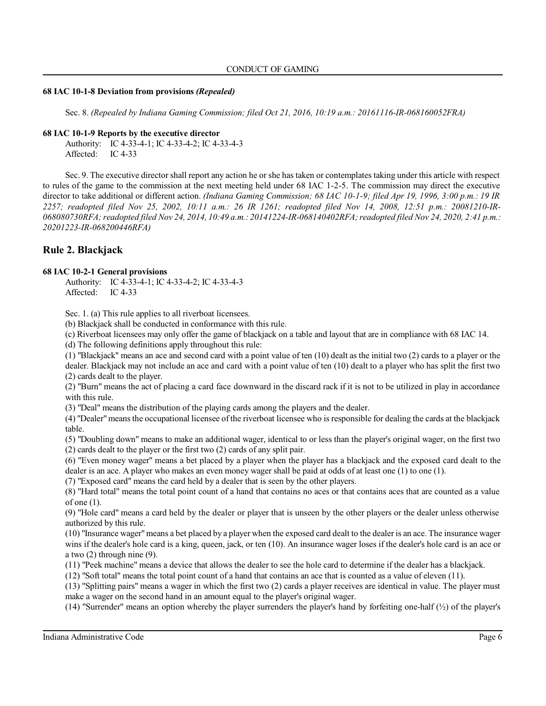### **68 IAC 10-1-8 Deviation from provisions** *(Repealed)*

Sec. 8. *(Repealed by Indiana Gaming Commission; filed Oct 21, 2016, 10:19 a.m.: 20161116-IR-068160052FRA)*

## **68 IAC 10-1-9 Reports by the executive director**

Authority: IC 4-33-4-1; IC 4-33-4-2; IC 4-33-4-3 Affected: IC 4-33

Sec. 9. The executive director shall report any action he or she has taken or contemplates taking under this article with respect to rules of the game to the commission at the next meeting held under 68 IAC 1-2-5. The commission may direct the executive director to take additional or different action. *(Indiana Gaming Commission; 68 IAC 10-1-9; filed Apr 19, 1996, 3:00 p.m.: 19 IR 2257; readopted filed Nov 25, 2002, 10:11 a.m.: 26 IR 1261; readopted filed Nov 14, 2008, 12:51 p.m.: 20081210-IR-068080730RFA;readopted filed Nov 24, 2014, 10:49 a.m.: 20141224-IR-068140402RFA;readopted filed Nov 24, 2020, 2:41 p.m.: 20201223-IR-068200446RFA)*

# **Rule 2. Blackjack**

## **68 IAC 10-2-1 General provisions**

Authority: IC 4-33-4-1; IC 4-33-4-2; IC 4-33-4-3 Affected: IC 4-33

Sec. 1. (a) This rule applies to all riverboat licensees.

(b) Blackjack shall be conducted in conformance with this rule.

(c) Riverboat licensees may only offer the game of blackjack on a table and layout that are in compliance with 68 IAC 14.

(d) The following definitions apply throughout this rule:

(1) "Blackjack" means an ace and second card with a point value of ten (10) dealt as the initial two (2) cards to a player or the dealer. Blackjack may not include an ace and card with a point value of ten (10) dealt to a player who has split the first two (2) cards dealt to the player.

(2) "Burn" means the act of placing a card face downward in the discard rack if it is not to be utilized in play in accordance with this rule.

(3) "Deal" means the distribution of the playing cards among the players and the dealer.

(4) "Dealer"means the occupational licensee of the riverboat licensee who is responsible for dealing the cards at the blackjack table.

(5) "Doubling down" means to make an additional wager, identical to or less than the player's original wager, on the first two (2) cards dealt to the player or the first two (2) cards of any split pair.

(6) "Even money wager" means a bet placed by a player when the player has a blackjack and the exposed card dealt to the dealer is an ace. A player who makes an even money wager shall be paid at odds of at least one (1) to one (1).

(7) "Exposed card" means the card held by a dealer that is seen by the other players.

(8) "Hard total" means the total point count of a hand that contains no aces or that contains aces that are counted as a value of one (1).

(9) "Hole card" means a card held by the dealer or player that is unseen by the other players or the dealer unless otherwise authorized by this rule.

(10) "Insurance wager"means a bet placed by a player when the exposed card dealt to the dealer is an ace. The insurance wager wins if the dealer's hole card is a king, queen, jack, or ten (10). An insurance wager loses if the dealer's hole card is an ace or a two (2) through nine (9).

(11) "Peek machine" means a device that allows the dealer to see the hole card to determine if the dealer has a blackjack.

(12) "Soft total" means the total point count of a hand that contains an ace that is counted as a value of eleven (11).

(13) "Splitting pairs" means a wager in which the first two (2) cards a player receives are identical in value. The player must make a wager on the second hand in an amount equal to the player's original wager.

(14) "Surrender" means an option whereby the player surrenders the player's hand by forfeiting one-half  $(\frac{1}{2})$  of the player's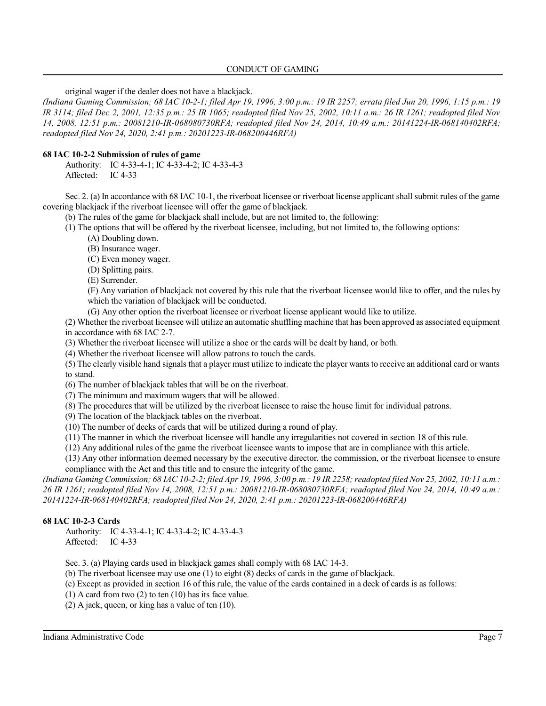original wager if the dealer does not have a blackjack.

*(Indiana Gaming Commission; 68 IAC 10-2-1; filed Apr 19, 1996, 3:00 p.m.: 19 IR 2257; errata filed Jun 20, 1996, 1:15 p.m.: 19 IR 3114; filed Dec 2, 2001, 12:35 p.m.: 25 IR 1065; readopted filed Nov 25, 2002, 10:11 a.m.: 26 IR 1261; readopted filed Nov 14, 2008, 12:51 p.m.: 20081210-IR-068080730RFA; readopted filed Nov 24, 2014, 10:49 a.m.: 20141224-IR-068140402RFA; readopted filed Nov 24, 2020, 2:41 p.m.: 20201223-IR-068200446RFA)*

## **68 IAC 10-2-2 Submission of rules of game**

Authority: IC 4-33-4-1; IC 4-33-4-2; IC 4-33-4-3 Affected: IC 4-33

Sec. 2. (a) In accordance with 68 IAC 10-1, the riverboat licensee or riverboat license applicant shall submit rules of the game covering blackjack if the riverboat licensee will offer the game of blackjack.

(b) The rules of the game for blackjack shall include, but are not limited to, the following:

(1) The options that will be offered by the riverboat licensee, including, but not limited to, the following options:

(A) Doubling down.

(B) Insurance wager.

(C) Even money wager.

(D) Splitting pairs.

(E) Surrender.

(F) Any variation of blackjack not covered by this rule that the riverboat licensee would like to offer, and the rules by which the variation of blackjack will be conducted.

(G) Any other option the riverboat licensee or riverboat license applicant would like to utilize.

(2) Whether the riverboat licensee will utilize an automatic shuffling machine that has been approved as associated equipment in accordance with 68 IAC 2-7.

(3) Whether the riverboat licensee will utilize a shoe or the cards will be dealt by hand, or both.

(4) Whether the riverboat licensee will allow patrons to touch the cards.

(5) The clearly visible hand signals that a player must utilize to indicate the player wantsto receive an additional card or wants to stand.

(6) The number of blackjack tables that will be on the riverboat.

(7) The minimum and maximum wagers that will be allowed.

(8) The procedures that will be utilized by the riverboat licensee to raise the house limit for individual patrons.

(9) The location of the blackjack tables on the riverboat.

(10) The number of decks of cards that will be utilized during a round of play.

(11) The manner in which the riverboat licensee will handle any irregularities not covered in section 18 of this rule.

(12) Any additional rules of the game the riverboat licensee wants to impose that are in compliance with this article.

(13) Any other information deemed necessary by the executive director, the commission, or the riverboat licensee to ensure compliance with the Act and this title and to ensure the integrity of the game.

*(Indiana Gaming Commission; 68 IAC 10-2-2; filed Apr 19, 1996, 3:00 p.m.: 19 IR 2258;readopted filed Nov 25, 2002, 10:11 a.m.: 26 IR 1261; readopted filed Nov 14, 2008, 12:51 p.m.: 20081210-IR-068080730RFA; readopted filed Nov 24, 2014, 10:49 a.m.: 20141224-IR-068140402RFA; readopted filed Nov 24, 2020, 2:41 p.m.: 20201223-IR-068200446RFA)*

## **68 IAC 10-2-3 Cards**

Authority: IC 4-33-4-1; IC 4-33-4-2; IC 4-33-4-3 Affected: IC 4-33

Sec. 3. (a) Playing cards used in blackjack games shall comply with 68 IAC 14-3.

(b) The riverboat licensee may use one (1) to eight (8) decks of cards in the game of blackjack.

(c) Except as provided in section 16 of this rule, the value of the cards contained in a deck of cards is as follows:

(1) A card from two (2) to ten (10) has its face value.

(2) A jack, queen, or king has a value of ten (10).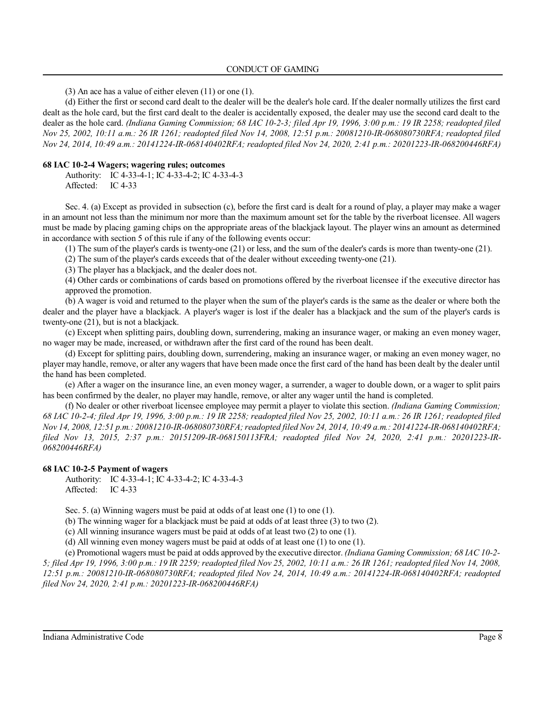(3) An ace has a value of either eleven (11) or one (1).

(d) Either the first or second card dealt to the dealer will be the dealer's hole card. If the dealer normally utilizes the first card dealt as the hole card, but the first card dealt to the dealer is accidentally exposed, the dealer may use the second card dealt to the dealer as the hole card. *(Indiana Gaming Commission; 68 IAC 10-2-3; filed Apr 19, 1996, 3:00 p.m.: 19 IR 2258; readopted filed Nov 25, 2002, 10:11 a.m.: 26 IR 1261; readopted filed Nov 14, 2008, 12:51 p.m.: 20081210-IR-068080730RFA; readopted filed Nov 24, 2014, 10:49 a.m.: 20141224-IR-068140402RFA; readopted filed Nov 24, 2020, 2:41 p.m.: 20201223-IR-068200446RFA)*

#### **68 IAC 10-2-4 Wagers; wagering rules; outcomes**

Authority: IC 4-33-4-1; IC 4-33-4-2; IC 4-33-4-3 Affected: IC 4-33

Sec. 4. (a) Except as provided in subsection (c), before the first card is dealt for a round of play, a player may make a wager in an amount not less than the minimum nor more than the maximum amount set for the table by the riverboat licensee. All wagers must be made by placing gaming chips on the appropriate areas of the blackjack layout. The player wins an amount as determined in accordance with section 5 of this rule if any of the following events occur:

(1) The sum of the player's cards is twenty-one (21) or less, and the sum of the dealer's cards is more than twenty-one (21).

(2) The sum of the player's cards exceeds that of the dealer without exceeding twenty-one (21).

(3) The player has a blackjack, and the dealer does not.

(4) Other cards or combinations of cards based on promotions offered by the riverboat licensee if the executive director has approved the promotion.

(b) A wager is void and returned to the player when the sum of the player's cards is the same as the dealer or where both the dealer and the player have a blackjack. A player's wager is lost if the dealer has a blackjack and the sum of the player's cards is twenty-one (21), but is not a blackjack.

(c) Except when splitting pairs, doubling down, surrendering, making an insurance wager, or making an even money wager, no wager may be made, increased, or withdrawn after the first card of the round has been dealt.

(d) Except for splitting pairs, doubling down, surrendering, making an insurance wager, or making an even money wager, no player may handle, remove, or alter any wagers that have been made once the first card of the hand has been dealt by the dealer until the hand has been completed.

(e) After a wager on the insurance line, an even money wager, a surrender, a wager to double down, or a wager to split pairs has been confirmed by the dealer, no player may handle, remove, or alter any wager until the hand is completed.

(f) No dealer or other riverboat licensee employee may permit a player to violate this section. *(Indiana Gaming Commission; 68 IAC 10-2-4; filed Apr 19, 1996, 3:00 p.m.: 19 IR 2258; readopted filed Nov 25, 2002, 10:11 a.m.: 26 IR 1261; readopted filed Nov 14, 2008, 12:51 p.m.: 20081210-IR-068080730RFA;readopted filed Nov 24, 2014, 10:49 a.m.: 20141224-IR-068140402RFA; filed Nov 13, 2015, 2:37 p.m.: 20151209-IR-068150113FRA; readopted filed Nov 24, 2020, 2:41 p.m.: 20201223-IR-068200446RFA)*

#### **68 IAC 10-2-5 Payment of wagers**

Authority: IC 4-33-4-1; IC 4-33-4-2; IC 4-33-4-3 Affected: IC 4-33

Sec. 5. (a) Winning wagers must be paid at odds of at least one (1) to one (1).

(b) The winning wager for a blackjack must be paid at odds of at least three (3) to two (2).

(c) All winning insurance wagers must be paid at odds of at least two (2) to one (1).

(d) All winning even money wagers must be paid at odds of at least one (1) to one (1).

(e) Promotional wagers must be paid at odds approved by the executive director. *(Indiana Gaming Commission; 68 IAC 10-2- 5; filed Apr 19, 1996, 3:00 p.m.: 19 IR 2259; readopted filed Nov 25, 2002, 10:11 a.m.: 26 IR 1261; readopted filed Nov 14, 2008, 12:51 p.m.: 20081210-IR-068080730RFA; readopted filed Nov 24, 2014, 10:49 a.m.: 20141224-IR-068140402RFA; readopted filed Nov 24, 2020, 2:41 p.m.: 20201223-IR-068200446RFA)*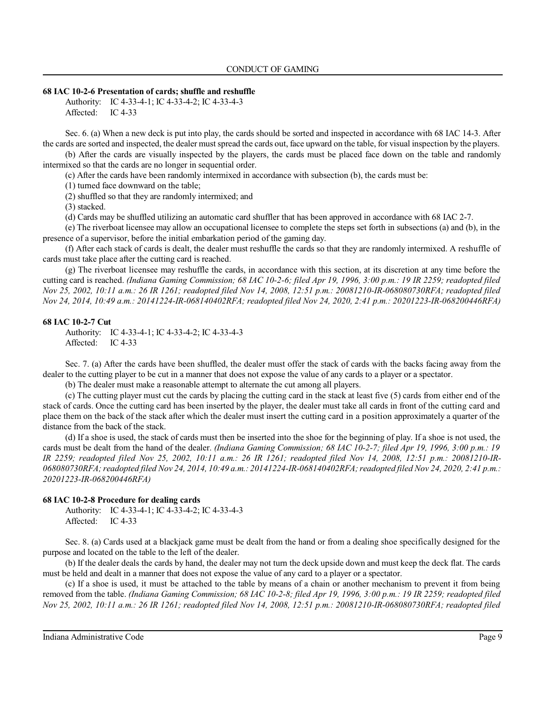#### **68 IAC 10-2-6 Presentation of cards; shuffle and reshuffle**

Authority: IC 4-33-4-1; IC 4-33-4-2; IC 4-33-4-3 Affected: IC 4-33

Sec. 6. (a) When a new deck is put into play, the cards should be sorted and inspected in accordance with 68 IAC 14-3. After the cards are sorted and inspected, the dealer mustspread the cards out, face upward on the table, for visual inspection by the players.

(b) After the cards are visually inspected by the players, the cards must be placed face down on the table and randomly intermixed so that the cards are no longer in sequential order.

(c) After the cards have been randomly intermixed in accordance with subsection (b), the cards must be:

(1) turned face downward on the table;

(2) shuffled so that they are randomly intermixed; and

(3) stacked.

(d) Cards may be shuffled utilizing an automatic card shuffler that has been approved in accordance with 68 IAC 2-7.

(e) The riverboat licensee may allow an occupational licensee to complete the steps set forth in subsections (a) and (b), in the presence of a supervisor, before the initial embarkation period of the gaming day.

(f) After each stack of cards is dealt, the dealer must reshuffle the cards so that they are randomly intermixed. A reshuffle of cards must take place after the cutting card is reached.

(g) The riverboat licensee may reshuffle the cards, in accordance with this section, at its discretion at any time before the cutting card is reached. *(Indiana Gaming Commission; 68 IAC 10-2-6; filed Apr 19, 1996, 3:00 p.m.: 19 IR 2259; readopted filed Nov 25, 2002, 10:11 a.m.: 26 IR 1261; readopted filed Nov 14, 2008, 12:51 p.m.: 20081210-IR-068080730RFA; readopted filed Nov 24, 2014, 10:49 a.m.: 20141224-IR-068140402RFA; readopted filed Nov 24, 2020, 2:41 p.m.: 20201223-IR-068200446RFA)*

#### **68 IAC 10-2-7 Cut**

Authority: IC 4-33-4-1; IC 4-33-4-2; IC 4-33-4-3 Affected: IC 4-33

Sec. 7. (a) After the cards have been shuffled, the dealer must offer the stack of cards with the backs facing away from the dealer to the cutting player to be cut in a manner that does not expose the value of any cards to a player or a spectator.

(b) The dealer must make a reasonable attempt to alternate the cut among all players.

(c) The cutting player must cut the cards by placing the cutting card in the stack at least five (5) cards from either end of the stack of cards. Once the cutting card has been inserted by the player, the dealer must take all cards in front of the cutting card and place them on the back of the stack after which the dealer must insert the cutting card in a position approximately a quarter of the distance from the back of the stack.

(d) If a shoe is used, the stack of cards must then be inserted into the shoe for the beginning of play. If a shoe is not used, the cards must be dealt from the hand of the dealer. *(Indiana Gaming Commission; 68 IAC 10-2-7; filed Apr 19, 1996, 3:00 p.m.: 19 IR 2259; readopted filed Nov 25, 2002, 10:11 a.m.: 26 IR 1261; readopted filed Nov 14, 2008, 12:51 p.m.: 20081210-IR-068080730RFA;readopted filed Nov 24, 2014, 10:49 a.m.: 20141224-IR-068140402RFA;readopted filed Nov 24, 2020, 2:41 p.m.: 20201223-IR-068200446RFA)*

#### **68 IAC 10-2-8 Procedure for dealing cards**

Authority: IC 4-33-4-1; IC 4-33-4-2; IC 4-33-4-3 Affected: IC 4-33

Sec. 8. (a) Cards used at a blackjack game must be dealt from the hand or from a dealing shoe specifically designed for the purpose and located on the table to the left of the dealer.

(b) If the dealer deals the cards by hand, the dealer may not turn the deck upside down and must keep the deck flat. The cards must be held and dealt in a manner that does not expose the value of any card to a player or a spectator.

(c) If a shoe is used, it must be attached to the table by means of a chain or another mechanism to prevent it from being removed from the table. *(Indiana Gaming Commission; 68 IAC 10-2-8; filed Apr 19, 1996, 3:00 p.m.: 19 IR 2259; readopted filed Nov 25, 2002, 10:11 a.m.: 26 IR 1261; readopted filed Nov 14, 2008, 12:51 p.m.: 20081210-IR-068080730RFA; readopted filed*

Indiana Administrative Code Page 9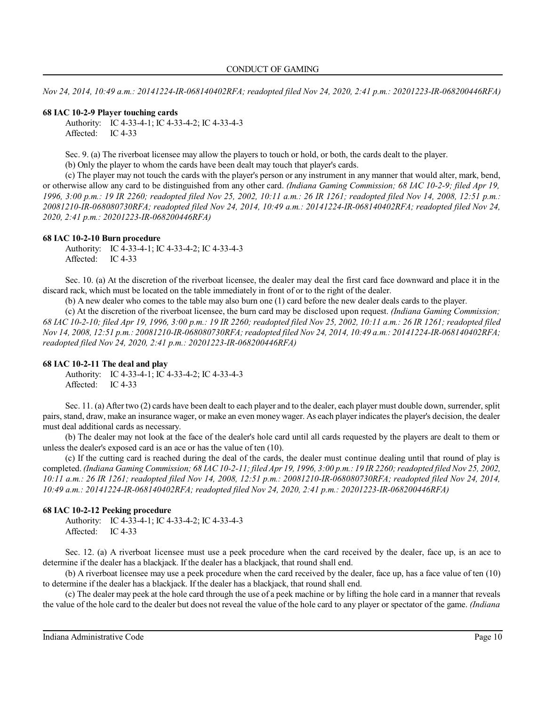*Nov 24, 2014, 10:49 a.m.: 20141224-IR-068140402RFA; readopted filed Nov 24, 2020, 2:41 p.m.: 20201223-IR-068200446RFA)*

#### **68 IAC 10-2-9 Player touching cards**

Authority: IC 4-33-4-1; IC 4-33-4-2; IC 4-33-4-3 Affected: IC 4-33

Sec. 9. (a) The riverboat licensee may allow the players to touch or hold, or both, the cards dealt to the player.

(b) Only the player to whom the cards have been dealt may touch that player's cards.

(c) The player may not touch the cards with the player's person or any instrument in any manner that would alter, mark, bend, or otherwise allow any card to be distinguished from any other card. *(Indiana Gaming Commission; 68 IAC 10-2-9; filed Apr 19, 1996, 3:00 p.m.: 19 IR 2260; readopted filed Nov 25, 2002, 10:11 a.m.: 26 IR 1261; readopted filed Nov 14, 2008, 12:51 p.m.: 20081210-IR-068080730RFA; readopted filed Nov 24, 2014, 10:49 a.m.: 20141224-IR-068140402RFA; readopted filed Nov 24, 2020, 2:41 p.m.: 20201223-IR-068200446RFA)*

### **68 IAC 10-2-10 Burn procedure**

Authority: IC 4-33-4-1; IC 4-33-4-2; IC 4-33-4-3 Affected: IC 4-33

Sec. 10. (a) At the discretion of the riverboat licensee, the dealer may deal the first card face downward and place it in the discard rack, which must be located on the table immediately in front of or to the right of the dealer.

(b) A new dealer who comes to the table may also burn one (1) card before the new dealer deals cards to the player.

(c) At the discretion of the riverboat licensee, the burn card may be disclosed upon request. *(Indiana Gaming Commission; 68 IAC 10-2-10; filed Apr 19, 1996, 3:00 p.m.: 19 IR 2260; readopted filed Nov 25, 2002, 10:11 a.m.: 26 IR 1261; readopted filed Nov 14, 2008, 12:51 p.m.: 20081210-IR-068080730RFA;readopted filed Nov 24, 2014, 10:49 a.m.: 20141224-IR-068140402RFA; readopted filed Nov 24, 2020, 2:41 p.m.: 20201223-IR-068200446RFA)*

### **68 IAC 10-2-11 The deal and play**

Authority: IC 4-33-4-1; IC 4-33-4-2; IC 4-33-4-3 Affected: IC 4-33

Sec. 11. (a) After two (2) cards have been dealt to each player and to the dealer, each player must double down, surrender, split pairs, stand, draw, make an insurance wager, or make an even money wager. As each player indicates the player's decision, the dealer must deal additional cards as necessary.

(b) The dealer may not look at the face of the dealer's hole card until all cards requested by the players are dealt to them or unless the dealer's exposed card is an ace or has the value of ten (10).

(c) If the cutting card is reached during the deal of the cards, the dealer must continue dealing until that round of play is completed. *(Indiana Gaming Commission; 68 IAC 10-2-11; filed Apr 19, 1996, 3:00 p.m.: 19 IR 2260;readopted filed Nov 25, 2002, 10:11 a.m.: 26 IR 1261; readopted filed Nov 14, 2008, 12:51 p.m.: 20081210-IR-068080730RFA; readopted filed Nov 24, 2014, 10:49 a.m.: 20141224-IR-068140402RFA; readopted filed Nov 24, 2020, 2:41 p.m.: 20201223-IR-068200446RFA)*

#### **68 IAC 10-2-12 Peeking procedure**

Authority: IC 4-33-4-1; IC 4-33-4-2; IC 4-33-4-3 Affected: IC 4-33

Sec. 12. (a) A riverboat licensee must use a peek procedure when the card received by the dealer, face up, is an ace to determine if the dealer has a blackjack. If the dealer has a blackjack, that round shall end.

(b) A riverboat licensee may use a peek procedure when the card received by the dealer, face up, has a face value of ten (10) to determine if the dealer has a blackjack. If the dealer has a blackjack, that round shall end.

(c) The dealer may peek at the hole card through the use of a peek machine or by lifting the hole card in a manner that reveals the value of the hole card to the dealer but does not reveal the value of the hole card to any player or spectator of the game. *(Indiana*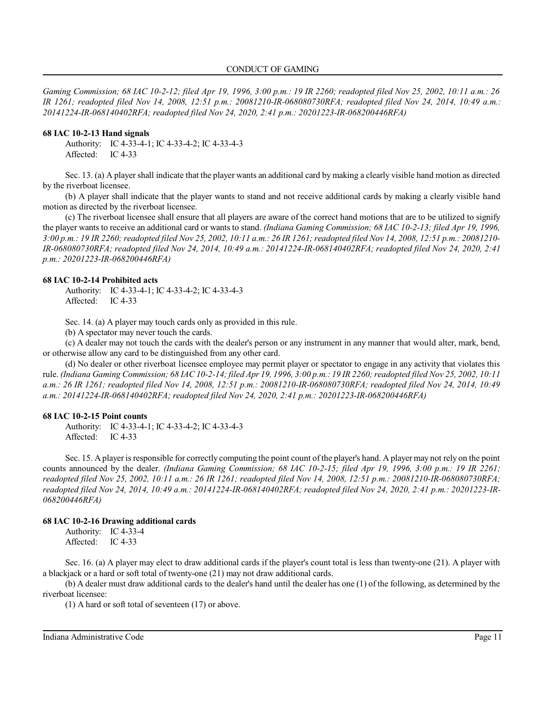*Gaming Commission; 68 IAC 10-2-12; filed Apr 19, 1996, 3:00 p.m.: 19 IR 2260; readopted filed Nov 25, 2002, 10:11 a.m.: 26 IR 1261; readopted filed Nov 14, 2008, 12:51 p.m.: 20081210-IR-068080730RFA; readopted filed Nov 24, 2014, 10:49 a.m.: 20141224-IR-068140402RFA; readopted filed Nov 24, 2020, 2:41 p.m.: 20201223-IR-068200446RFA)*

#### **68 IAC 10-2-13 Hand signals**

Authority: IC 4-33-4-1; IC 4-33-4-2; IC 4-33-4-3 Affected: IC 4-33

Sec. 13. (a) A player shall indicate that the player wants an additional card by making a clearly visible hand motion as directed by the riverboat licensee.

(b) A player shall indicate that the player wants to stand and not receive additional cards by making a clearly visible hand motion as directed by the riverboat licensee.

(c) The riverboat licensee shall ensure that all players are aware of the correct hand motions that are to be utilized to signify the player wants to receive an additional card or wants to stand. *(Indiana Gaming Commission; 68 IAC 10-2-13; filed Apr 19, 1996, 3:00 p.m.: 19 IR 2260; readopted filed Nov 25, 2002, 10:11 a.m.: 26 IR 1261;readopted filed Nov 14, 2008, 12:51 p.m.: 20081210- IR-068080730RFA; readopted filed Nov 24, 2014, 10:49 a.m.: 20141224-IR-068140402RFA; readopted filed Nov 24, 2020, 2:41 p.m.: 20201223-IR-068200446RFA)*

#### **68 IAC 10-2-14 Prohibited acts**

Authority: IC 4-33-4-1; IC 4-33-4-2; IC 4-33-4-3 Affected: IC 4-33

Sec. 14. (a) A player may touch cards only as provided in this rule.

(b) A spectator may never touch the cards.

(c) A dealer may not touch the cards with the dealer's person or any instrument in any manner that would alter, mark, bend, or otherwise allow any card to be distinguished from any other card.

(d) No dealer or other riverboat licensee employee may permit player or spectator to engage in any activity that violates this rule. *(Indiana Gaming Commission; 68 IAC 10-2-14; filed Apr 19, 1996, 3:00 p.m.: 19 IR 2260;readopted filed Nov 25, 2002, 10:11 a.m.: 26 IR 1261; readopted filed Nov 14, 2008, 12:51 p.m.: 20081210-IR-068080730RFA; readopted filed Nov 24, 2014, 10:49 a.m.: 20141224-IR-068140402RFA; readopted filed Nov 24, 2020, 2:41 p.m.: 20201223-IR-068200446RFA)*

### **68 IAC 10-2-15 Point counts**

Authority: IC 4-33-4-1; IC 4-33-4-2; IC 4-33-4-3 Affected: IC 4-33

Sec. 15. A player is responsible for correctly computing the point count of the player's hand. A player may not rely on the point counts announced by the dealer. *(Indiana Gaming Commission; 68 IAC 10-2-15; filed Apr 19, 1996, 3:00 p.m.: 19 IR 2261; readopted filed Nov 25, 2002, 10:11 a.m.: 26 IR 1261; readopted filed Nov 14, 2008, 12:51 p.m.: 20081210-IR-068080730RFA; readopted filed Nov 24, 2014, 10:49 a.m.: 20141224-IR-068140402RFA; readopted filed Nov 24, 2020, 2:41 p.m.: 20201223-IR-068200446RFA)*

#### **68 IAC 10-2-16 Drawing additional cards**

Authority: IC 4-33-4 Affected: IC 4-33

Sec. 16. (a) A player may elect to draw additional cards if the player's count total is less than twenty-one (21). A player with a blackjack or a hard or soft total of twenty-one (21) may not draw additional cards.

(b) A dealer must draw additional cards to the dealer's hand until the dealer has one (1) of the following, as determined by the riverboat licensee:

(1) A hard or soft total of seventeen (17) or above.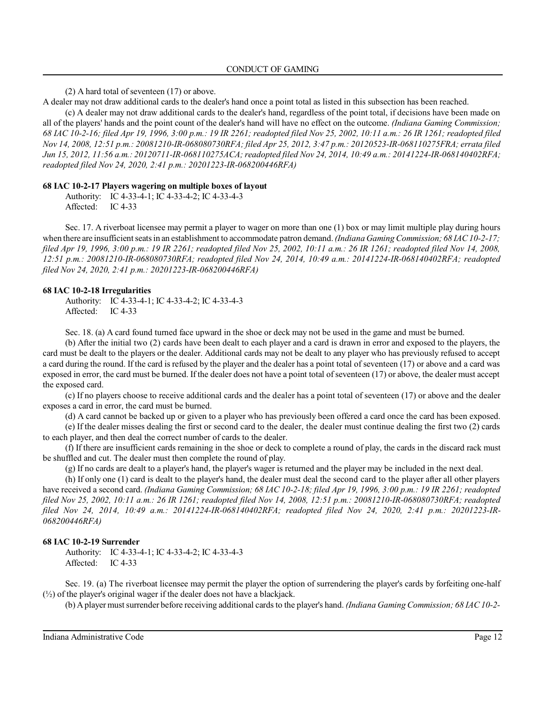(2) A hard total of seventeen (17) or above.

A dealer may not draw additional cards to the dealer's hand once a point total as listed in this subsection has been reached.

(c) A dealer may not draw additional cards to the dealer's hand, regardless of the point total, if decisions have been made on all of the players' hands and the point count of the dealer's hand will have no effect on the outcome. *(Indiana Gaming Commission; 68 IAC 10-2-16; filed Apr 19, 1996, 3:00 p.m.: 19 IR 2261; readopted filed Nov 25, 2002, 10:11 a.m.: 26 IR 1261; readopted filed Nov 14, 2008, 12:51 p.m.: 20081210-IR-068080730RFA; filed Apr 25, 2012, 3:47 p.m.: 20120523-IR-068110275FRA; errata filed Jun 15, 2012, 11:56 a.m.: 20120711-IR-068110275ACA;readopted filed Nov 24, 2014, 10:49 a.m.: 20141224-IR-068140402RFA; readopted filed Nov 24, 2020, 2:41 p.m.: 20201223-IR-068200446RFA)*

#### **68 IAC 10-2-17 Players wagering on multiple boxes of layout**

Authority: IC 4-33-4-1; IC 4-33-4-2; IC 4-33-4-3 Affected: IC 4-33

Sec. 17. A riverboat licensee may permit a player to wager on more than one (1) box or may limit multiple play during hours when there are insufficient seatsin an establishment to accommodate patron demand. *(Indiana Gaming Commission; 68 IAC10-2-17; filed Apr 19, 1996, 3:00 p.m.: 19 IR 2261; readopted filed Nov 25, 2002, 10:11 a.m.: 26 IR 1261; readopted filed Nov 14, 2008, 12:51 p.m.: 20081210-IR-068080730RFA; readopted filed Nov 24, 2014, 10:49 a.m.: 20141224-IR-068140402RFA; readopted filed Nov 24, 2020, 2:41 p.m.: 20201223-IR-068200446RFA)*

### **68 IAC 10-2-18 Irregularities**

Authority: IC 4-33-4-1; IC 4-33-4-2; IC 4-33-4-3 Affected: IC 4-33

Sec. 18. (a) A card found turned face upward in the shoe or deck may not be used in the game and must be burned.

(b) After the initial two (2) cards have been dealt to each player and a card is drawn in error and exposed to the players, the card must be dealt to the players or the dealer. Additional cards may not be dealt to any player who has previously refused to accept a card during the round. If the card is refused by the player and the dealer has a point total of seventeen (17) or above and a card was exposed in error, the card must be burned. If the dealer does not have a point total ofseventeen (17) or above, the dealer must accept the exposed card.

(c) If no players choose to receive additional cards and the dealer has a point total of seventeen (17) or above and the dealer exposes a card in error, the card must be burned.

(d) A card cannot be backed up or given to a player who has previously been offered a card once the card has been exposed.

(e) If the dealer misses dealing the first or second card to the dealer, the dealer must continue dealing the first two (2) cards to each player, and then deal the correct number of cards to the dealer.

(f) If there are insufficient cards remaining in the shoe or deck to complete a round of play, the cards in the discard rack must be shuffled and cut. The dealer must then complete the round of play.

(g) If no cards are dealt to a player's hand, the player's wager is returned and the player may be included in the next deal.

(h) If only one (1) card is dealt to the player's hand, the dealer must deal the second card to the player after all other players have received a second card. *(Indiana Gaming Commission; 68 IAC 10-2-18; filed Apr 19, 1996, 3:00 p.m.: 19 IR 2261; readopted filed Nov 25, 2002, 10:11 a.m.: 26 IR 1261; readopted filed Nov 14, 2008, 12:51 p.m.: 20081210-IR-068080730RFA; readopted filed Nov 24, 2014, 10:49 a.m.: 20141224-IR-068140402RFA; readopted filed Nov 24, 2020, 2:41 p.m.: 20201223-IR-068200446RFA)*

### **68 IAC 10-2-19 Surrender**

Authority: IC 4-33-4-1; IC 4-33-4-2; IC 4-33-4-3 Affected: IC 4-33

Sec. 19. (a) The riverboat licensee may permit the player the option of surrendering the player's cards by forfeiting one-half (½) of the player's original wager if the dealer does not have a blackjack.

(b) Aplayer mustsurrender before receiving additional cards to the player's hand. *(Indiana Gaming Commission; 68 IAC10-2-*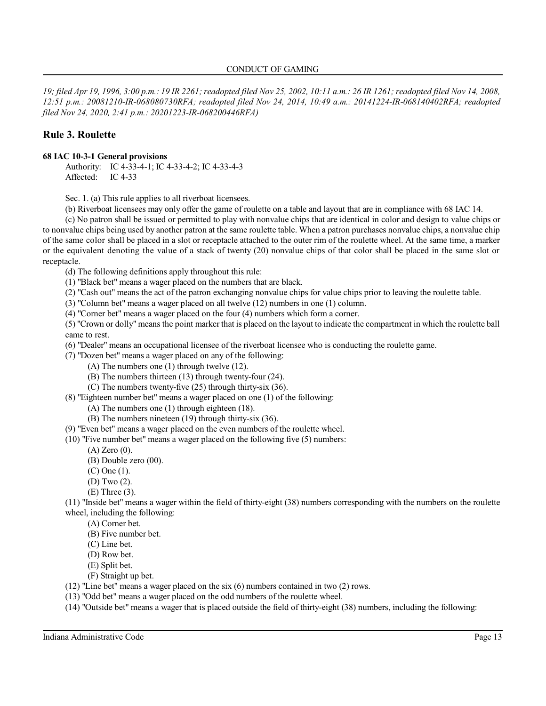*19; filed Apr 19, 1996, 3:00 p.m.: 19 IR 2261;readopted filed Nov 25, 2002, 10:11 a.m.: 26 IR 1261; readopted filed Nov 14, 2008, 12:51 p.m.: 20081210-IR-068080730RFA; readopted filed Nov 24, 2014, 10:49 a.m.: 20141224-IR-068140402RFA; readopted filed Nov 24, 2020, 2:41 p.m.: 20201223-IR-068200446RFA)*

# **Rule 3. Roulette**

## **68 IAC 10-3-1 General provisions**

Authority: IC 4-33-4-1; IC 4-33-4-2; IC 4-33-4-3 Affected: IC 4-33

Sec. 1. (a) This rule applies to all riverboat licensees.

(b) Riverboat licensees may only offer the game of roulette on a table and layout that are in compliance with 68 IAC 14.

(c) No patron shall be issued or permitted to play with nonvalue chips that are identical in color and design to value chips or to nonvalue chips being used by another patron at the same roulette table. When a patron purchases nonvalue chips, a nonvalue chip of the same color shall be placed in a slot or receptacle attached to the outer rim of the roulette wheel. At the same time, a marker or the equivalent denoting the value of a stack of twenty (20) nonvalue chips of that color shall be placed in the same slot or receptacle.

(d) The following definitions apply throughout this rule:

(1) "Black bet" means a wager placed on the numbers that are black.

(2) "Cash out" means the act of the patron exchanging nonvalue chips for value chips prior to leaving the roulette table.

(3) "Column bet" means a wager placed on all twelve (12) numbers in one (1) column.

(4) "Corner bet" means a wager placed on the four (4) numbers which form a corner.

(5) "Crown or dolly" means the point marker that is placed on the layout to indicate the compartment in which the roulette ball came to rest.

(6) "Dealer" means an occupational licensee of the riverboat licensee who is conducting the roulette game.

(7) "Dozen bet" means a wager placed on any of the following:

- (A) The numbers one (1) through twelve (12).
- (B) The numbers thirteen (13) through twenty-four (24).
- (C) The numbers twenty-five (25) through thirty-six (36).
- (8) "Eighteen number bet" means a wager placed on one (1) of the following:
	- (A) The numbers one (1) through eighteen (18).
	- (B) The numbers nineteen (19) through thirty-six (36).

(9) "Even bet" means a wager placed on the even numbers of the roulette wheel.

(10) "Five number bet" means a wager placed on the following five (5) numbers:

- (A) Zero (0).
- (B) Double zero (00).
- (C) One (1).
- (D) Two (2).
- (E) Three (3).

(11) "Inside bet" means a wager within the field of thirty-eight (38) numbers corresponding with the numbers on the roulette wheel, including the following:

- (A) Corner bet.
- (B) Five number bet.
- (C) Line bet.
- (D) Row bet.
- (E) Split bet.
- (F) Straight up bet.
- (12) "Line bet" means a wager placed on the six (6) numbers contained in two (2) rows.
- (13) "Odd bet" means a wager placed on the odd numbers of the roulette wheel.
- (14) "Outside bet" means a wager that is placed outside the field of thirty-eight (38) numbers, including the following: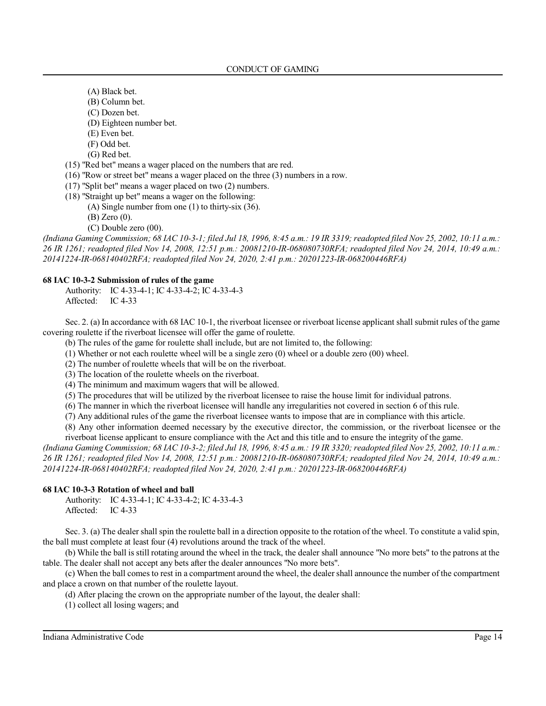- (A) Black bet.
- (B) Column bet.
- (C) Dozen bet.
- (D) Eighteen number bet.
- (E) Even bet.
- (F) Odd bet.
- (G) Red bet.
- (15) "Red bet" means a wager placed on the numbers that are red.
- (16) "Row or street bet" means a wager placed on the three (3) numbers in a row.
- (17) "Split bet" means a wager placed on two (2) numbers.
- (18) "Straight up bet" means a wager on the following:
	- (A) Single number from one (1) to thirty-six (36).
	- (B) Zero (0).
	- (C) Double zero (00).

*(Indiana Gaming Commission; 68 IAC 10-3-1; filed Jul 18, 1996, 8:45 a.m.: 19 IR 3319; readopted filed Nov 25, 2002, 10:11 a.m.: 26 IR 1261; readopted filed Nov 14, 2008, 12:51 p.m.: 20081210-IR-068080730RFA; readopted filed Nov 24, 2014, 10:49 a.m.: 20141224-IR-068140402RFA; readopted filed Nov 24, 2020, 2:41 p.m.: 20201223-IR-068200446RFA)*

## **68 IAC 10-3-2 Submission of rules of the game**

Authority: IC 4-33-4-1; IC 4-33-4-2; IC 4-33-4-3 Affected: IC 4-33

Sec. 2. (a) In accordance with 68 IAC 10-1, the riverboat licensee or riverboat license applicant shall submit rules of the game covering roulette if the riverboat licensee will offer the game of roulette.

(b) The rules of the game for roulette shall include, but are not limited to, the following:

(1) Whether or not each roulette wheel will be a single zero  $(0)$  wheel or a double zero  $(00)$  wheel.

(2) The number of roulette wheels that will be on the riverboat.

(3) The location of the roulette wheels on the riverboat.

(4) The minimum and maximum wagers that will be allowed.

(5) The procedures that will be utilized by the riverboat licensee to raise the house limit for individual patrons.

(6) The manner in which the riverboat licensee will handle any irregularities not covered in section 6 of this rule.

(7) Any additional rules of the game the riverboat licensee wants to impose that are in compliance with this article.

(8) Any other information deemed necessary by the executive director, the commission, or the riverboat licensee or the riverboat license applicant to ensure compliance with the Act and this title and to ensure the integrity of the game.

*(Indiana Gaming Commission; 68 IAC 10-3-2; filed Jul 18, 1996, 8:45 a.m.: 19 IR 3320; readopted filed Nov 25, 2002, 10:11 a.m.: 26 IR 1261; readopted filed Nov 14, 2008, 12:51 p.m.: 20081210-IR-068080730RFA; readopted filed Nov 24, 2014, 10:49 a.m.: 20141224-IR-068140402RFA; readopted filed Nov 24, 2020, 2:41 p.m.: 20201223-IR-068200446RFA)*

## **68 IAC 10-3-3 Rotation of wheel and ball**

Authority: IC 4-33-4-1; IC 4-33-4-2; IC 4-33-4-3 Affected: IC 4-33

Sec. 3. (a) The dealer shall spin the roulette ball in a direction opposite to the rotation of the wheel. To constitute a valid spin, the ball must complete at least four (4) revolutions around the track of the wheel.

(b) While the ball is still rotating around the wheel in the track, the dealer shall announce "No more bets" to the patrons at the table. The dealer shall not accept any bets after the dealer announces "No more bets".

(c) When the ball comes to rest in a compartment around the wheel, the dealershall announce the number of the compartment and place a crown on that number of the roulette layout.

(d) After placing the crown on the appropriate number of the layout, the dealer shall:

(1) collect all losing wagers; and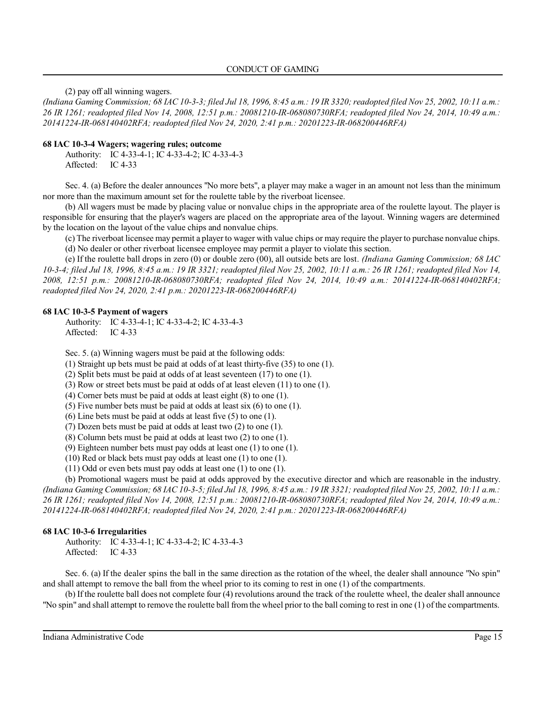(2) pay off all winning wagers.

*(Indiana Gaming Commission; 68 IAC 10-3-3; filed Jul 18, 1996, 8:45 a.m.: 19 IR 3320;readopted filed Nov 25, 2002, 10:11 a.m.: 26 IR 1261; readopted filed Nov 14, 2008, 12:51 p.m.: 20081210-IR-068080730RFA; readopted filed Nov 24, 2014, 10:49 a.m.: 20141224-IR-068140402RFA; readopted filed Nov 24, 2020, 2:41 p.m.: 20201223-IR-068200446RFA)*

### **68 IAC 10-3-4 Wagers; wagering rules; outcome**

Authority: IC 4-33-4-1; IC 4-33-4-2; IC 4-33-4-3 Affected: IC 4-33

Sec. 4. (a) Before the dealer announces "No more bets", a player may make a wager in an amount not less than the minimum nor more than the maximum amount set for the roulette table by the riverboat licensee.

(b) All wagers must be made by placing value or nonvalue chips in the appropriate area of the roulette layout. The player is responsible for ensuring that the player's wagers are placed on the appropriate area of the layout. Winning wagers are determined by the location on the layout of the value chips and nonvalue chips.

(c) The riverboat licensee may permit a player to wager with value chips or may require the player to purchase nonvalue chips. (d) No dealer or other riverboat licensee employee may permit a player to violate this section.

(e) If the roulette ball drops in zero (0) or double zero (00), all outside bets are lost. *(Indiana Gaming Commission; 68 IAC 10-3-4; filed Jul 18, 1996, 8:45 a.m.: 19 IR 3321; readopted filed Nov 25, 2002, 10:11 a.m.: 26 IR 1261; readopted filed Nov 14, 2008, 12:51 p.m.: 20081210-IR-068080730RFA; readopted filed Nov 24, 2014, 10:49 a.m.: 20141224-IR-068140402RFA; readopted filed Nov 24, 2020, 2:41 p.m.: 20201223-IR-068200446RFA)*

## **68 IAC 10-3-5 Payment of wagers**

Authority: IC 4-33-4-1; IC 4-33-4-2; IC 4-33-4-3 Affected: IC 4-33

Sec. 5. (a) Winning wagers must be paid at the following odds:

(1) Straight up bets must be paid at odds of at least thirty-five (35) to one (1).

(2) Split bets must be paid at odds of at least seventeen (17) to one (1).

(3) Row or street bets must be paid at odds of at least eleven (11) to one (1).

(4) Corner bets must be paid at odds at least eight (8) to one (1).

(5) Five number bets must be paid at odds at least six (6) to one (1).

(6) Line bets must be paid at odds at least five (5) to one (1).

(7) Dozen bets must be paid at odds at least two (2) to one (1).

(8) Column bets must be paid at odds at least two (2) to one (1).

(9) Eighteen number bets must pay odds at least one (1) to one (1).

(10) Red or black bets must pay odds at least one (1) to one (1).

(11) Odd or even bets must pay odds at least one (1) to one (1).

(b) Promotional wagers must be paid at odds approved by the executive director and which are reasonable in the industry. *(Indiana Gaming Commission; 68 IAC 10-3-5; filed Jul 18, 1996, 8:45 a.m.: 19 IR 3321; readopted filed Nov 25, 2002, 10:11 a.m.: 26 IR 1261; readopted filed Nov 14, 2008, 12:51 p.m.: 20081210-IR-068080730RFA; readopted filed Nov 24, 2014, 10:49 a.m.: 20141224-IR-068140402RFA; readopted filed Nov 24, 2020, 2:41 p.m.: 20201223-IR-068200446RFA)*

## **68 IAC 10-3-6 Irregularities**

Authority: IC 4-33-4-1; IC 4-33-4-2; IC 4-33-4-3 Affected: IC 4-33

Sec. 6. (a) If the dealer spins the ball in the same direction as the rotation of the wheel, the dealer shall announce "No spin" and shall attempt to remove the ball from the wheel prior to its coming to rest in one (1) of the compartments.

(b) If the roulette ball does not complete four (4) revolutions around the track of the roulette wheel, the dealer shall announce "No spin" and shall attempt to remove the roulette ball from the wheel prior to the ball coming to rest in one (1) of the compartments.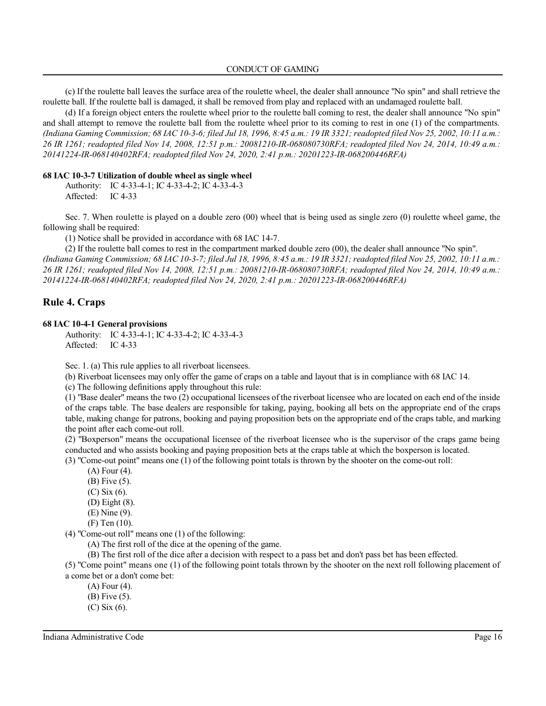(c) If the roulette ball leaves the surface area of the roulette wheel, the dealer shall announce "No spin" and shall retrieve the roulette ball. If the roulette ball is damaged, it shall be removed from play and replaced with an undamaged roulette ball.

(d) If a foreign object enters the roulette wheel prior to the roulette ball coming to rest, the dealer shall announce "No spin" and shall attempt to remove the roulette ball from the roulette wheel prior to its coming to rest in one (1) of the compartments. *(Indiana Gaming Commission; 68 IAC 10-3-6; filed Jul 18, 1996, 8:45 a.m.: 19 IR 3321; readopted filed Nov 25, 2002, 10:11 a.m.: 26 IR 1261; readopted filed Nov 14, 2008, 12:51 p.m.: 20081210-IR-068080730RFA; readopted filed Nov 24, 2014, 10:49 a.m.: 20141224-IR-068140402RFA; readopted filed Nov 24, 2020, 2:41 p.m.: 20201223-IR-068200446RFA)*

#### **68 IAC 10-3-7 Utilization of double wheel as single wheel**

Authority: IC 4-33-4-1; IC 4-33-4-2; IC 4-33-4-3 Affected: IC 4-33

Sec. 7. When roulette is played on a double zero (00) wheel that is being used as single zero (0) roulette wheel game, the following shall be required:

(1) Notice shall be provided in accordance with 68 IAC 14-7.

(2) If the roulette ball comes to rest in the compartment marked double zero (00), the dealer shall announce "No spin". (Indiana Gaming Commission; 68 IAC 10-3-7; filed Jul 18, 1996, 8:45 a.m.: 19 IR 3321; readopted filed Nov 25, 2002, 10:11 a.m.: *26 IR 1261; readopted filed Nov 14, 2008, 12:51 p.m.: 20081210-IR-068080730RFA; readopted filed Nov 24, 2014, 10:49 a.m.: 20141224-IR-068140402RFA; readopted filed Nov 24, 2020, 2:41 p.m.: 20201223-IR-068200446RFA)*

## **Rule 4. Craps**

### **68 IAC 10-4-1 General provisions**

Authority: IC 4-33-4-1; IC 4-33-4-2; IC 4-33-4-3 Affected: IC 4-33

Sec. 1. (a) This rule applies to all riverboat licensees.

(b) Riverboat licensees may only offer the game of craps on a table and layout that is in compliance with 68 IAC 14.

(c) The following definitions apply throughout this rule:

(1) "Base dealer" means the two (2) occupational licensees of the riverboat licensee who are located on each end of the inside of the craps table. The base dealers are responsible for taking, paying, booking all bets on the appropriate end of the craps table, making change for patrons, booking and paying proposition bets on the appropriate end of the craps table, and marking the point after each come-out roll.

(2) "Boxperson" means the occupational licensee of the riverboat licensee who is the supervisor of the craps game being conducted and who assists booking and paying proposition bets at the craps table at which the boxperson is located.

(3) "Come-out point" means one (1) of the following point totals is thrown by the shooter on the come-out roll:

- (A) Four (4).
- (B) Five (5).
- (C) Six (6).
- (D) Eight (8).
- (E) Nine (9).
- (F) Ten (10).

(4) "Come-out roll" means one (1) of the following:

(A) The first roll of the dice at the opening of the game.

(B) The first roll of the dice after a decision with respect to a pass bet and don't pass bet has been effected.

(5) "Come point" means one (1) of the following point totals thrown by the shooter on the next roll following placement of a come bet or a don't come bet:

(A) Four (4).

(B) Five (5).

(C) Six (6).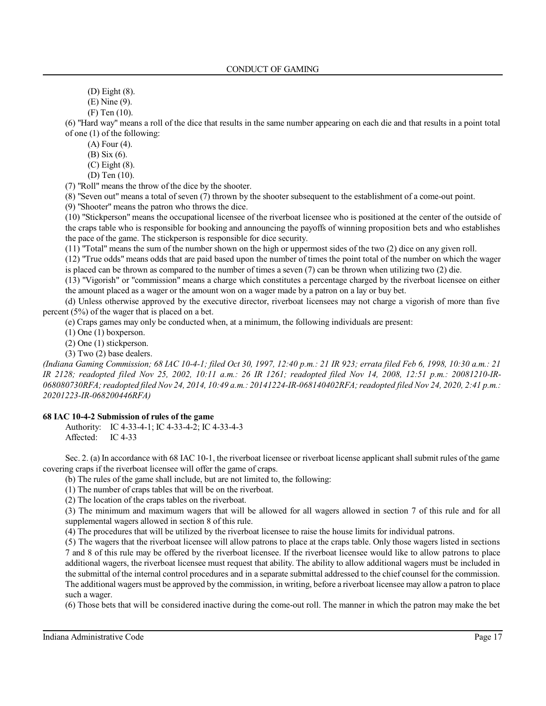(D) Eight (8).

(E) Nine (9).

(F) Ten (10).

(6) "Hard way" means a roll of the dice that results in the same number appearing on each die and that results in a point total of one (1) of the following:

(A) Four (4).

(B) Six (6).

(C) Eight (8).

(D) Ten (10).

(7) "Roll" means the throw of the dice by the shooter.

(8) "Seven out" means a total of seven (7) thrown by the shooter subsequent to the establishment of a come-out point.

(9) "Shooter" means the patron who throws the dice.

(10) "Stickperson" means the occupational licensee of the riverboat licensee who is positioned at the center of the outside of the craps table who is responsible for booking and announcing the payoffs of winning proposition bets and who establishes the pace of the game. The stickperson is responsible for dice security.

(11) "Total" means the sum of the number shown on the high or uppermost sides of the two (2) dice on any given roll.

(12) "True odds" means odds that are paid based upon the number of times the point total of the number on which the wager is placed can be thrown as compared to the number of times a seven (7) can be thrown when utilizing two (2) die.

(13) "Vigorish" or "commission" means a charge which constitutes a percentage charged by the riverboat licensee on either the amount placed as a wager or the amount won on a wager made by a patron on a lay or buy bet.

(d) Unless otherwise approved by the executive director, riverboat licensees may not charge a vigorish of more than five percent (5%) of the wager that is placed on a bet.

(e) Craps games may only be conducted when, at a minimum, the following individuals are present:

(1) One (1) boxperson.

(2) One (1) stickperson.

(3) Two (2) base dealers.

*(Indiana Gaming Commission; 68 IAC 10-4-1; filed Oct 30, 1997, 12:40 p.m.: 21 IR 923; errata filed Feb 6, 1998, 10:30 a.m.: 21 IR 2128; readopted filed Nov 25, 2002, 10:11 a.m.: 26 IR 1261; readopted filed Nov 14, 2008, 12:51 p.m.: 20081210-IR-068080730RFA;readopted filed Nov 24, 2014, 10:49 a.m.: 20141224-IR-068140402RFA;readopted filed Nov 24, 2020, 2:41 p.m.: 20201223-IR-068200446RFA)*

## **68 IAC 10-4-2 Submission of rules of the game**

Authority: IC 4-33-4-1; IC 4-33-4-2; IC 4-33-4-3<br>Affected: IC 4-33 Affected:

Sec. 2. (a) In accordance with 68 IAC 10-1, the riverboat licensee or riverboat license applicant shall submit rules of the game covering craps if the riverboat licensee will offer the game of craps.

(b) The rules of the game shall include, but are not limited to, the following:

(1) The number of craps tables that will be on the riverboat.

(2) The location of the craps tables on the riverboat.

(3) The minimum and maximum wagers that will be allowed for all wagers allowed in section 7 of this rule and for all supplemental wagers allowed in section 8 of this rule.

(4) The procedures that will be utilized by the riverboat licensee to raise the house limits for individual patrons.

(5) The wagers that the riverboat licensee will allow patrons to place at the craps table. Only those wagers listed in sections 7 and 8 of this rule may be offered by the riverboat licensee. If the riverboat licensee would like to allow patrons to place additional wagers, the riverboat licensee must request that ability. The ability to allow additional wagers must be included in the submittal of the internal control procedures and in a separate submittal addressed to the chief counsel for the commission. The additional wagers must be approved by the commission, in writing, before a riverboat licensee may allow a patron to place such a wager.

(6) Those bets that will be considered inactive during the come-out roll. The manner in which the patron may make the bet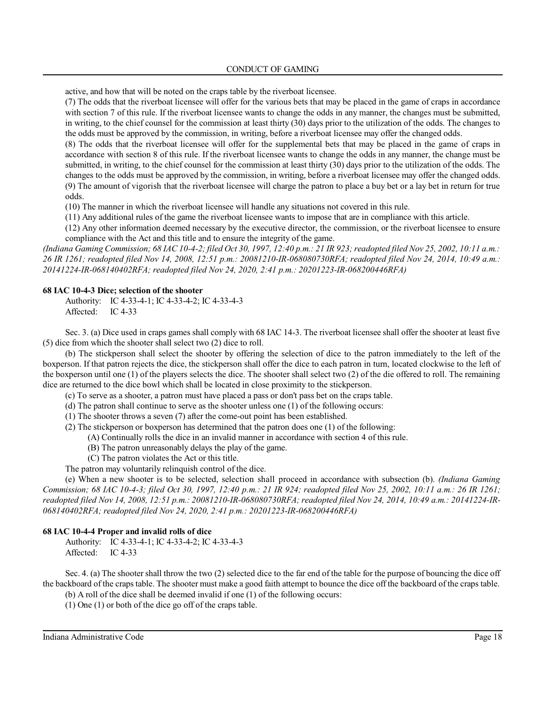### CONDUCT OF GAMING

active, and how that will be noted on the craps table by the riverboat licensee.

(7) The odds that the riverboat licensee will offer for the various bets that may be placed in the game of craps in accordance with section 7 of this rule. If the riverboat licensee wants to change the odds in any manner, the changes must be submitted, in writing, to the chief counsel for the commission at least thirty (30) days prior to the utilization of the odds. The changes to the odds must be approved by the commission, in writing, before a riverboat licensee may offer the changed odds.

(8) The odds that the riverboat licensee will offer for the supplemental bets that may be placed in the game of craps in accordance with section 8 of this rule. If the riverboat licensee wants to change the odds in any manner, the change must be submitted, in writing, to the chief counsel for the commission at least thirty (30) days prior to the utilization of the odds. The changes to the odds must be approved by the commission, in writing, before a riverboat licensee may offer the changed odds. (9) The amount of vigorish that the riverboat licensee will charge the patron to place a buy bet or a lay bet in return for true odds.

(10) The manner in which the riverboat licensee will handle any situations not covered in this rule.

(11) Any additional rules of the game the riverboat licensee wants to impose that are in compliance with this article.

(12) Any other information deemed necessary by the executive director, the commission, or the riverboat licensee to ensure compliance with the Act and this title and to ensure the integrity of the game.

*(Indiana Gaming Commission; 68 IAC 10-4-2; filed Oct 30, 1997, 12:40 p.m.: 21 IR 923; readopted filed Nov 25, 2002, 10:11 a.m.: 26 IR 1261; readopted filed Nov 14, 2008, 12:51 p.m.: 20081210-IR-068080730RFA; readopted filed Nov 24, 2014, 10:49 a.m.: 20141224-IR-068140402RFA; readopted filed Nov 24, 2020, 2:41 p.m.: 20201223-IR-068200446RFA)*

### **68 IAC 10-4-3 Dice; selection of the shooter**

Authority: IC 4-33-4-1; IC 4-33-4-2; IC 4-33-4-3 Affected: IC 4-33

Sec. 3. (a) Dice used in craps games shall comply with 68 IAC 14-3. The riverboat licensee shall offer the shooter at least five (5) dice from which the shooter shall select two (2) dice to roll.

(b) The stickperson shall select the shooter by offering the selection of dice to the patron immediately to the left of the boxperson. If that patron rejects the dice, the stickperson shall offer the dice to each patron in turn, located clockwise to the left of the boxperson until one (1) of the players selects the dice. The shooter shall select two (2) of the die offered to roll. The remaining dice are returned to the dice bowl which shall be located in close proximity to the stickperson.

(c) To serve as a shooter, a patron must have placed a pass or don't pass bet on the craps table.

(d) The patron shall continue to serve as the shooter unless one (1) of the following occurs:

(1) The shooter throws a seven (7) after the come-out point has been established.

(2) The stickperson or boxperson has determined that the patron does one (1) of the following:

(A) Continually rolls the dice in an invalid manner in accordance with section 4 of this rule.

- (B) The patron unreasonably delays the play of the game.
- (C) The patron violates the Act or this title.

The patron may voluntarily relinquish control of the dice.

(e) When a new shooter is to be selected, selection shall proceed in accordance with subsection (b). *(Indiana Gaming Commission; 68 IAC 10-4-3; filed Oct 30, 1997, 12:40 p.m.: 21 IR 924; readopted filed Nov 25, 2002, 10:11 a.m.: 26 IR 1261;* readopted filed Nov 14, 2008, 12:51 p.m.: 20081210-IR-068080730RFA; readopted filed Nov 24, 2014, 10:49 a.m.: 20141224-IR-*068140402RFA; readopted filed Nov 24, 2020, 2:41 p.m.: 20201223-IR-068200446RFA)*

### **68 IAC 10-4-4 Proper and invalid rolls of dice**

Authority: IC 4-33-4-1; IC 4-33-4-2; IC 4-33-4-3 Affected: IC 4-33

Sec. 4. (a) The shootershall throw the two (2) selected dice to the far end of the table for the purpose of bouncing the dice off the backboard of the craps table. The shooter must make a good faith attempt to bounce the dice off the backboard of the craps table. (b) A roll of the dice shall be deemed invalid if one (1) of the following occurs:

(1) One (1) or both of the dice go off of the craps table.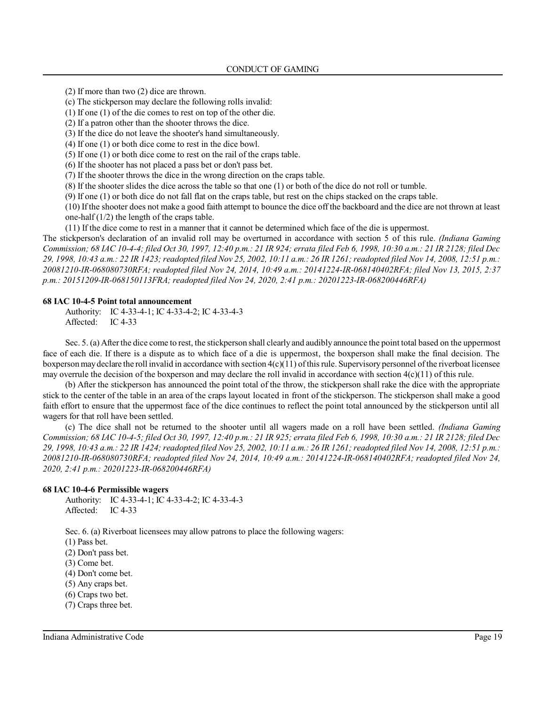(2) If more than two (2) dice are thrown.

(c) The stickperson may declare the following rolls invalid:

(1) If one (1) of the die comes to rest on top of the other die.

(2) If a patron other than the shooter throws the dice.

(3) If the dice do not leave the shooter's hand simultaneously.

(4) If one (1) or both dice come to rest in the dice bowl.

(5) If one (1) or both dice come to rest on the rail of the craps table.

(6) If the shooter has not placed a pass bet or don't pass bet.

(7) If the shooter throws the dice in the wrong direction on the craps table.

(8) If the shooter slides the dice across the table so that one (1) or both of the dice do not roll or tumble.

(9) If one (1) or both dice do not fall flat on the craps table, but rest on the chips stacked on the craps table.

(10) If the shooter does not make a good faith attempt to bounce the dice off the backboard and the dice are not thrown at least one-half (1/2) the length of the craps table.

(11) If the dice come to rest in a manner that it cannot be determined which face of the die is uppermost.

The stickperson's declaration of an invalid roll may be overturned in accordance with section 5 of this rule. *(Indiana Gaming Commission; 68 IAC 10-4-4; filed Oct 30, 1997, 12:40 p.m.: 21 IR 924; errata filed Feb 6, 1998, 10:30 a.m.: 21 IR 2128; filed Dec 29, 1998, 10:43 a.m.: 22 IR 1423; readopted filed Nov 25, 2002, 10:11 a.m.: 26 IR 1261;readopted filed Nov 14, 2008, 12:51 p.m.: 20081210-IR-068080730RFA; readopted filed Nov 24, 2014, 10:49 a.m.: 20141224-IR-068140402RFA; filed Nov 13, 2015, 2:37 p.m.: 20151209-IR-068150113FRA; readopted filed Nov 24, 2020, 2:41 p.m.: 20201223-IR-068200446RFA)*

#### **68 IAC 10-4-5 Point total announcement**

Authority: IC 4-33-4-1; IC 4-33-4-2; IC 4-33-4-3 Affected: IC 4-33

Sec. 5. (a) After the dice come to rest, the stickperson shall clearly and audibly announce the point total based on the uppermost face of each die. If there is a dispute as to which face of a die is uppermost, the boxperson shall make the final decision. The boxperson may declare the roll invalid in accordance with section  $4(c)(11)$  of this rule. Supervisory personnel of the riverboat licensee may overrule the decision of the boxperson and may declare the roll invalid in accordance with section  $4(c)(11)$  of this rule.

(b) After the stickperson has announced the point total of the throw, the stickperson shall rake the dice with the appropriate stick to the center of the table in an area of the craps layout located in front of the stickperson. The stickperson shall make a good faith effort to ensure that the uppermost face of the dice continues to reflect the point total announced by the stickperson until all wagers for that roll have been settled.

(c) The dice shall not be returned to the shooter until all wagers made on a roll have been settled. *(Indiana Gaming Commission; 68 IAC 10-4-5; filed Oct 30, 1997, 12:40 p.m.: 21 IR 925; errata filed Feb 6, 1998, 10:30 a.m.: 21 IR 2128; filed Dec 29, 1998, 10:43 a.m.: 22 IR 1424; readopted filed Nov 25, 2002, 10:11 a.m.: 26 IR 1261;readopted filed Nov 14, 2008, 12:51 p.m.: 20081210-IR-068080730RFA; readopted filed Nov 24, 2014, 10:49 a.m.: 20141224-IR-068140402RFA; readopted filed Nov 24, 2020, 2:41 p.m.: 20201223-IR-068200446RFA)*

### **68 IAC 10-4-6 Permissible wagers**

Authority: IC 4-33-4-1; IC 4-33-4-2; IC 4-33-4-3 Affected: IC 4-33

Sec. 6. (a) Riverboat licensees may allow patrons to place the following wagers:

(1) Pass bet.

(2) Don't pass bet.

(3) Come bet.

(4) Don't come bet.

(5) Any craps bet.

(6) Craps two bet.

(7) Craps three bet.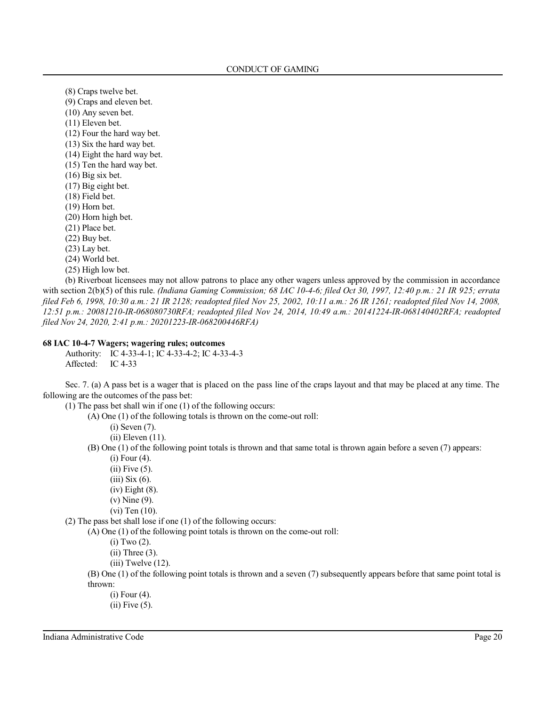(8) Craps twelve bet.

- (9) Craps and eleven bet.
- (10) Any seven bet.
- (11) Eleven bet.
- (12) Four the hard way bet.
- (13) Six the hard way bet.
- (14) Eight the hard way bet.
- (15) Ten the hard way bet.
- (16) Big six bet.
- (17) Big eight bet.
- (18) Field bet.
- (19) Horn bet.
- (20) Horn high bet.
- (21) Place bet.
- (22) Buy bet.
- (23) Lay bet.
- (24) World bet.
- (25) High low bet.

(b) Riverboat licensees may not allow patrons to place any other wagers unless approved by the commission in accordance with section 2(b)(5) of this rule. *(Indiana Gaming Commission; 68 IAC 10-4-6; filed Oct 30, 1997, 12:40 p.m.: 21 IR 925; errata filed Feb 6, 1998, 10:30 a.m.: 21 IR 2128; readopted filed Nov 25, 2002, 10:11 a.m.: 26 IR 1261; readopted filed Nov 14, 2008, 12:51 p.m.: 20081210-IR-068080730RFA; readopted filed Nov 24, 2014, 10:49 a.m.: 20141224-IR-068140402RFA; readopted filed Nov 24, 2020, 2:41 p.m.: 20201223-IR-068200446RFA)*

#### **68 IAC 10-4-7 Wagers; wagering rules; outcomes**

Authority: IC 4-33-4-1; IC 4-33-4-2; IC 4-33-4-3 Affected: IC 4-33

Sec. 7. (a) A pass bet is a wager that is placed on the pass line of the craps layout and that may be placed at any time. The following are the outcomes of the pass bet:

(1) The pass bet shall win if one (1) of the following occurs:

(A) One (1) of the following totals is thrown on the come-out roll:

(i) Seven (7).

(ii) Eleven (11).

- (B) One (1) of the following point totals is thrown and that same total is thrown again before a seven (7) appears:
	- (i) Four (4).
	- (ii) Five (5).
	- (iii) Six (6).
	- (iv) Eight (8).
	- (v) Nine (9).
	- (vi) Ten (10).

(2) The pass bet shall lose if one (1) of the following occurs:

(A) One (1) of the following point totals is thrown on the come-out roll:

(i) Two (2).

 $(ii)$  Three  $(3)$ .

- (iii) Twelve (12).
- (B) One (1) of the following point totals is thrown and a seven (7) subsequently appears before that same point total is thrown:
	- (i) Four (4). (ii) Five (5).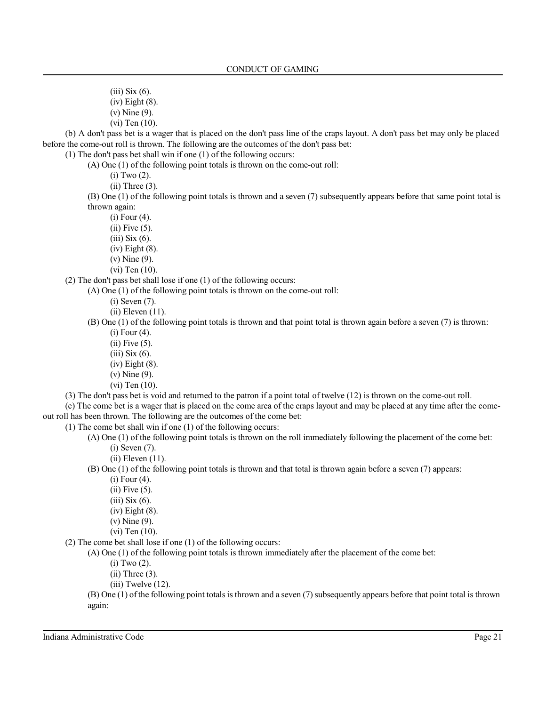- (iii) Six (6).
- (iv) Eight (8).
- (v) Nine (9).
- (vi) Ten (10).

(b) A don't pass bet is a wager that is placed on the don't pass line of the craps layout. A don't pass bet may only be placed before the come-out roll is thrown. The following are the outcomes of the don't pass bet:

(1) The don't pass bet shall win if one (1) of the following occurs:

(A) One (1) of the following point totals is thrown on the come-out roll:

(i) Two (2).

 $(ii)$  Three  $(3)$ .

(B) One (1) of the following point totals is thrown and a seven (7) subsequently appears before that same point total is thrown again:

- (i) Four (4).  $(ii)$  Five  $(5)$ .
- 
- $(iii)$  Six  $(6)$ .
- (iv) Eight (8).
- (v) Nine (9).
- (vi) Ten (10).

(2) The don't pass bet shall lose if one (1) of the following occurs:

(A) One (1) of the following point totals is thrown on the come-out roll:

(i) Seven (7).

(ii) Eleven (11).

- (B) One (1) of the following point totals is thrown and that point total is thrown again before a seven (7) is thrown: (i) Four (4).
	- (ii) Five (5).
	- (iii) Six (6).
	- (iv) Eight (8).
	- (v) Nine (9).
	- (vi) Ten (10).

(3) The don't pass bet is void and returned to the patron if a point total of twelve (12) is thrown on the come-out roll.

(c) The come bet is a wager that is placed on the come area of the craps layout and may be placed at any time after the comeout roll has been thrown. The following are the outcomes of the come bet:

(1) The come bet shall win if one (1) of the following occurs:

- (A) One (1) of the following point totals is thrown on the roll immediately following the placement of the come bet:
	- (i) Seven (7).
	- (ii) Eleven (11).

(B) One (1) of the following point totals is thrown and that total is thrown again before a seven (7) appears:

- (i) Four (4).
- (ii) Five (5).
- $(iii)$  Six  $(6)$ .
- (iv) Eight (8).
- (v) Nine (9).
- (vi) Ten (10).

(2) The come bet shall lose if one (1) of the following occurs:

(A) One (1) of the following point totals is thrown immediately after the placement of the come bet:

(i) Two (2).

 $(ii)$  Three  $(3)$ .

 $(iii)$  Twelve  $(12)$ .

(B) One (1) ofthe following point totalsisthrown and a seven (7)subsequently appears before that point total is thrown again:

Indiana Administrative Code Page 21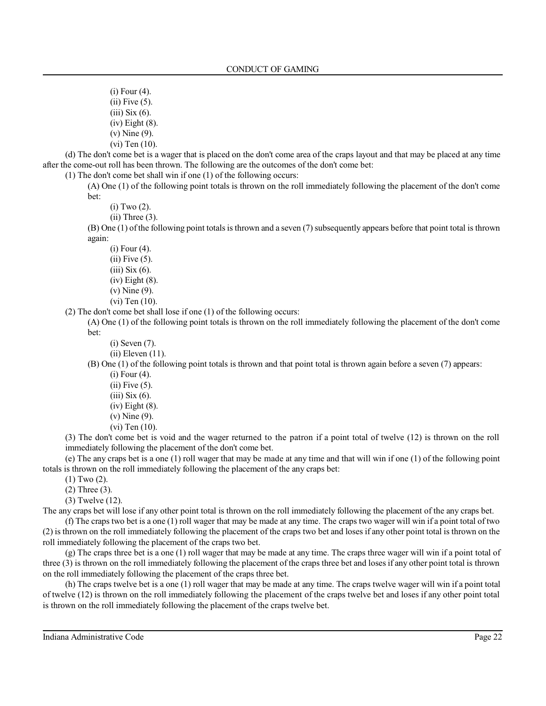- (i) Four (4). (ii) Five (5). (iii) Six (6).
- (iv) Eight (8).
- (v) Nine (9).
- (vi) Ten (10).

(d) The don't come bet is a wager that is placed on the don't come area of the craps layout and that may be placed at any time after the come-out roll has been thrown. The following are the outcomes of the don't come bet:

(1) The don't come bet shall win if one (1) of the following occurs:

(A) One (1) of the following point totals is thrown on the roll immediately following the placement of the don't come bet:

- (i) Two (2).
- $(ii)$  Three  $(3)$ .

(B) One (1) ofthe following point totalsisthrown and a seven (7)subsequently appears before that point total is thrown again:

(i) Four (4).

- (ii) Five (5).
- (iii) Six (6).
- (iv) Eight (8).
- (v) Nine (9).
- (vi) Ten (10).

(2) The don't come bet shall lose if one (1) of the following occurs:

(A) One (1) of the following point totals is thrown on the roll immediately following the placement of the don't come bet:

- (i) Seven (7).
- (ii) Eleven (11).

(B) One (1) of the following point totals is thrown and that point total is thrown again before a seven (7) appears:

- (i) Four (4).
- $(ii)$  Five  $(5)$ .
- (iii) Six (6).
- (iv) Eight (8).
- (v) Nine (9).
- (vi) Ten (10).

(3) The don't come bet is void and the wager returned to the patron if a point total of twelve (12) is thrown on the roll immediately following the placement of the don't come bet.

(e) The any craps bet is a one (1) roll wager that may be made at any time and that will win if one (1) of the following point totals is thrown on the roll immediately following the placement of the any craps bet:

(1) Two (2).

- (2) Three (3).
- (3) Twelve (12).

The any craps bet will lose if any other point total is thrown on the roll immediately following the placement of the any craps bet.

(f) The craps two bet is a one (1) roll wager that may be made at any time. The craps two wager will win if a point total of two (2) is thrown on the roll immediately following the placement of the craps two bet and loses if any other point total is thrown on the roll immediately following the placement of the craps two bet.

(g) The craps three bet is a one (1) roll wager that may be made at any time. The craps three wager will win if a point total of three (3) is thrown on the roll immediately following the placement of the craps three bet and loses if any other point total is thrown on the roll immediately following the placement of the craps three bet.

(h) The craps twelve bet is a one (1) roll wager that may be made at any time. The craps twelve wager will win if a point total of twelve (12) is thrown on the roll immediately following the placement of the craps twelve bet and loses if any other point total is thrown on the roll immediately following the placement of the craps twelve bet.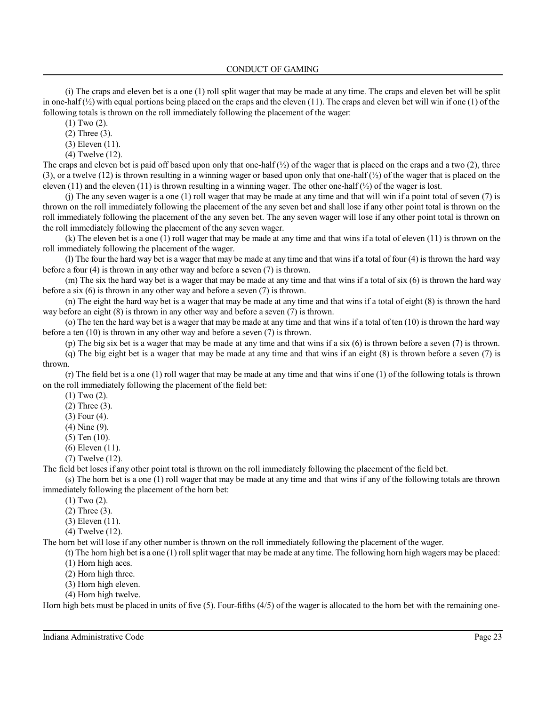CONDUCT OF GAMING

(i) The craps and eleven bet is a one (1) roll split wager that may be made at any time. The craps and eleven bet will be split in one-half  $\langle \frac{1}{2} \rangle$  with equal portions being placed on the craps and the eleven (11). The craps and eleven bet will win if one (1) of the following totals is thrown on the roll immediately following the placement of the wager:

(1) Two (2).

(2) Three (3).

(3) Eleven (11).

(4) Twelve (12).

The craps and eleven bet is paid off based upon only that one-half  $(\frac{1}{2})$  of the wager that is placed on the craps and a two (2), three (3), or a twelve (12) is thrown resulting in a winning wager or based upon only that one-half (½) of the wager that is placed on the eleven (11) and the eleven (11) is thrown resulting in a winning wager. The other one-half  $\binom{1}{2}$  of the wager is lost.

(j) The any seven wager is a one (1) roll wager that may be made at any time and that will win if a point total of seven (7) is thrown on the roll immediately following the placement of the any seven bet and shall lose if any other point total is thrown on the roll immediately following the placement of the any seven bet. The any seven wager will lose if any other point total is thrown on the roll immediately following the placement of the any seven wager.

(k) The eleven bet is a one (1) roll wager that may be made at any time and that wins if a total of eleven (11) is thrown on the roll immediately following the placement of the wager.

(l) The four the hard way bet is a wager that may be made at any time and that wins if a total of four (4) is thrown the hard way before a four (4) is thrown in any other way and before a seven (7) is thrown.

(m) The six the hard way bet is a wager that may be made at any time and that wins if a total of six (6) is thrown the hard way before a six (6) is thrown in any other way and before a seven (7) is thrown.

(n) The eight the hard way bet is a wager that may be made at any time and that wins if a total of eight (8) is thrown the hard way before an eight (8) is thrown in any other way and before a seven (7) is thrown.

(o) The ten the hard way bet is a wager that may be made at any time and that wins if a total of ten (10) is thrown the hard way before a ten (10) is thrown in any other way and before a seven (7) is thrown.

(p) The big six bet is a wager that may be made at any time and that wins if a six (6) is thrown before a seven (7) is thrown.

(q) The big eight bet is a wager that may be made at any time and that wins if an eight (8) is thrown before a seven (7) is thrown.

(r) The field bet is a one (1) roll wager that may be made at any time and that wins if one (1) of the following totals is thrown on the roll immediately following the placement of the field bet:

(1) Two (2).

- (2) Three (3).
- (3) Four (4).
- (4) Nine (9).
- (5) Ten (10).
- (6) Eleven (11).
- (7) Twelve (12).

The field bet loses if any other point total is thrown on the roll immediately following the placement of the field bet.

(s) The horn bet is a one (1) roll wager that may be made at any time and that wins if any of the following totals are thrown immediately following the placement of the horn bet:

(1) Two (2).

(2) Three (3).

(3) Eleven (11).

(4) Twelve (12).

The horn bet will lose if any other number is thrown on the roll immediately following the placement of the wager.

(t) The horn high bet is a one (1) roll split wager that may be made at any time. The following horn high wagers may be placed: (1) Horn high aces.

- (2) Horn high three.
- (3) Horn high eleven. (4) Horn high twelve.

Horn high bets must be placed in units of five (5). Four-fifths (4/5) of the wager is allocated to the horn bet with the remaining one-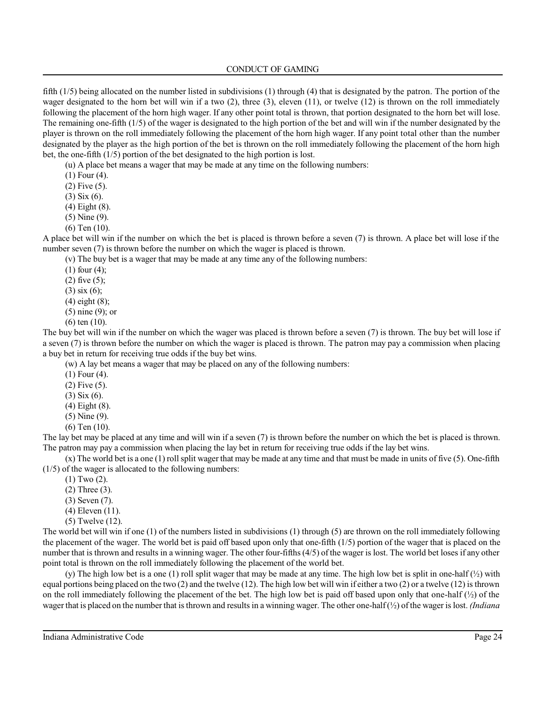fifth (1/5) being allocated on the number listed in subdivisions (1) through (4) that is designated by the patron. The portion of the wager designated to the horn bet will win if a two (2), three (3), eleven (11), or twelve (12) is thrown on the roll immediately following the placement of the horn high wager. If any other point total is thrown, that portion designated to the horn bet will lose. The remaining one-fifth (1/5) of the wager is designated to the high portion of the bet and will win if the number designated by the player is thrown on the roll immediately following the placement of the horn high wager. If any point total other than the number designated by the player as the high portion of the bet is thrown on the roll immediately following the placement of the horn high bet, the one-fifth (1/5) portion of the bet designated to the high portion is lost.

(u) A place bet means a wager that may be made at any time on the following numbers:

(1) Four (4).

(2) Five (5).

(3) Six (6).

(4) Eight (8).

(5) Nine (9).

(6) Ten (10).

A place bet will win if the number on which the bet is placed is thrown before a seven (7) is thrown. A place bet will lose if the number seven (7) is thrown before the number on which the wager is placed is thrown.

(v) The buy bet is a wager that may be made at any time any of the following numbers:

(1) four (4);

(2) five (5);

(3) six (6);

(4) eight (8);

(5) nine (9); or

(6) ten (10).

The buy bet will win if the number on which the wager was placed is thrown before a seven (7) is thrown. The buy bet will lose if a seven (7) is thrown before the number on which the wager is placed is thrown. The patron may pay a commission when placing a buy bet in return for receiving true odds if the buy bet wins.

(w) A lay bet means a wager that may be placed on any of the following numbers:

(1) Four (4).

(2) Five (5).

(3) Six (6).

(4) Eight (8).

(5) Nine (9).

(6) Ten (10).

The lay bet may be placed at any time and will win if a seven (7) is thrown before the number on which the bet is placed is thrown. The patron may pay a commission when placing the lay bet in return for receiving true odds if the lay bet wins.

(x) The world bet is a one (1) roll split wager that may be made at any time and that must be made in units of five (5). One-fifth (1/5) of the wager is allocated to the following numbers:

(1) Two (2).

(2) Three (3).

(3) Seven (7).

- (4) Eleven (11).
- (5) Twelve (12).

The world bet will win if one (1) of the numbers listed in subdivisions (1) through (5) are thrown on the roll immediately following the placement of the wager. The world bet is paid off based upon only that one-fifth (1/5) portion of the wager that is placed on the number that is thrown and results in a winning wager. The other four-fifths (4/5) of the wager is lost. The world bet loses if any other point total is thrown on the roll immediately following the placement of the world bet.

(y) The high low bet is a one (1) roll split wager that may be made at any time. The high low bet is split in one-half  $\binom{1}{2}$  with equal portions being placed on the two (2) and the twelve (12). The high low bet will win if either a two (2) or a twelve (12) isthrown on the roll immediately following the placement of the bet. The high low bet is paid off based upon only that one-half  $(\frac{1}{2})$  of the wager that is placed on the number that isthrown and resultsin a winning wager. The other one-half(½) of the wager islost. *(Indiana*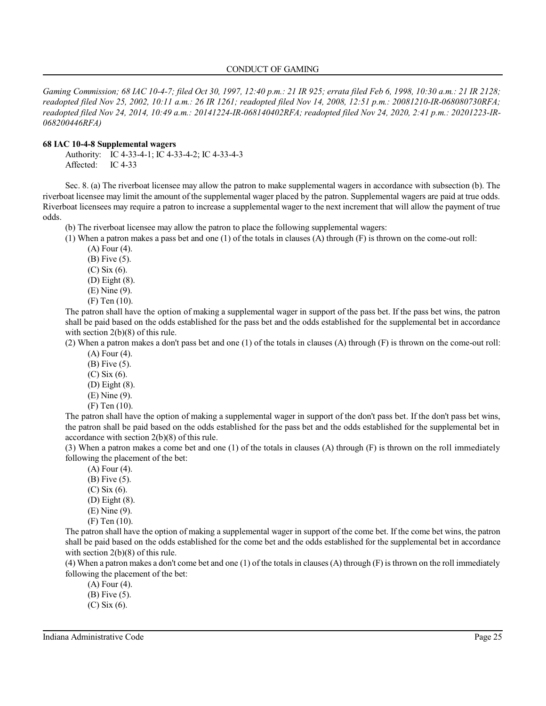*Gaming Commission; 68 IAC 10-4-7; filed Oct 30, 1997, 12:40 p.m.: 21 IR 925; errata filed Feb 6, 1998, 10:30 a.m.: 21 IR 2128; readopted filed Nov 25, 2002, 10:11 a.m.: 26 IR 1261; readopted filed Nov 14, 2008, 12:51 p.m.: 20081210-IR-068080730RFA; readopted filed Nov 24, 2014, 10:49 a.m.: 20141224-IR-068140402RFA; readopted filed Nov 24, 2020, 2:41 p.m.: 20201223-IR-068200446RFA)*

### **68 IAC 10-4-8 Supplemental wagers**

Authority: IC 4-33-4-1; IC 4-33-4-2; IC 4-33-4-3 Affected: IC 4-33

Sec. 8. (a) The riverboat licensee may allow the patron to make supplemental wagers in accordance with subsection (b). The riverboat licensee may limit the amount of the supplemental wager placed by the patron. Supplemental wagers are paid at true odds. Riverboat licensees may require a patron to increase a supplemental wager to the next increment that will allow the payment of true odds.

(b) The riverboat licensee may allow the patron to place the following supplemental wagers:

(1) When a patron makes a pass bet and one (1) of the totals in clauses (A) through (F) is thrown on the come-out roll:

(A) Four (4).

(B) Five (5).

(C) Six (6).

(D) Eight (8).

(E) Nine (9).

(F) Ten (10).

The patron shall have the option of making a supplemental wager in support of the pass bet. If the pass bet wins, the patron shall be paid based on the odds established for the pass bet and the odds established for the supplemental bet in accordance with section 2(b)(8) of this rule.

(2) When a patron makes a don't pass bet and one (1) of the totals in clauses (A) through (F) is thrown on the come-out roll:

(A) Four (4).

(B) Five (5).

(C) Six (6).

(D) Eight (8).

(E) Nine (9).

(F) Ten (10).

The patron shall have the option of making a supplemental wager in support of the don't pass bet. If the don't pass bet wins, the patron shall be paid based on the odds established for the pass bet and the odds established for the supplemental bet in accordance with section 2(b)(8) of this rule.

(3) When a patron makes a come bet and one (1) of the totals in clauses (A) through (F) is thrown on the roll immediately following the placement of the bet:

(A) Four (4). (B) Five (5). (C) Six (6).

(D) Eight (8).

(E) Nine (9).

(F) Ten (10).

The patron shall have the option of making a supplemental wager in support of the come bet. If the come bet wins, the patron shall be paid based on the odds established for the come bet and the odds established for the supplemental bet in accordance with section 2(b)(8) of this rule.

(4) When a patron makes a don't come bet and one (1) of the totals in clauses (A) through (F) isthrown on the roll immediately following the placement of the bet:

(A) Four (4).

(B) Five (5).

(C) Six (6).

Indiana Administrative Code Page 25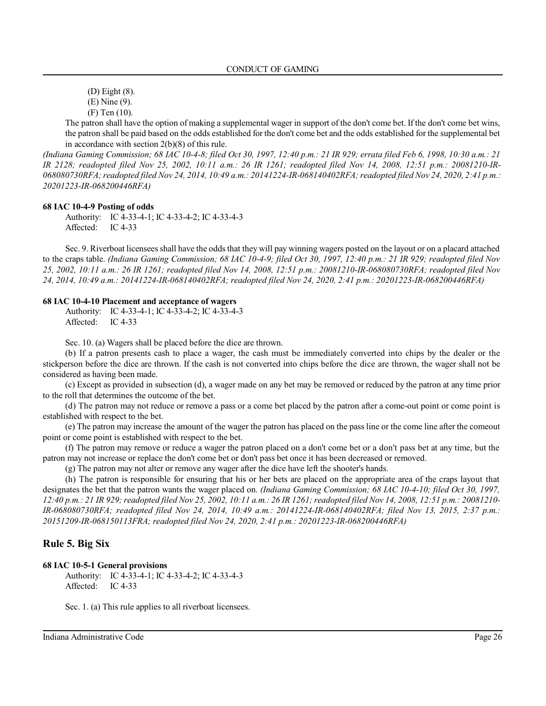(D) Eight (8).

(E) Nine (9).

(F) Ten (10).

The patron shall have the option of making a supplemental wager in support of the don't come bet. If the don't come bet wins, the patron shall be paid based on the odds established for the don't come bet and the odds established for the supplemental bet in accordance with section 2(b)(8) of this rule.

*(Indiana Gaming Commission; 68 IAC 10-4-8; filed Oct 30, 1997, 12:40 p.m.: 21 IR 929; errata filed Feb 6, 1998, 10:30 a.m.: 21 IR 2128; readopted filed Nov 25, 2002, 10:11 a.m.: 26 IR 1261; readopted filed Nov 14, 2008, 12:51 p.m.: 20081210-IR-068080730RFA;readopted filed Nov 24, 2014, 10:49 a.m.: 20141224-IR-068140402RFA;readopted filed Nov 24, 2020, 2:41 p.m.: 20201223-IR-068200446RFA)*

#### **68 IAC 10-4-9 Posting of odds**

Authority: IC 4-33-4-1; IC 4-33-4-2; IC 4-33-4-3 Affected: IC 4-33

Sec. 9. Riverboat licenseesshall have the odds that they will pay winning wagers posted on the layout or on a placard attached to the craps table. *(Indiana Gaming Commission; 68 IAC 10-4-9; filed Oct 30, 1997, 12:40 p.m.: 21 IR 929; readopted filed Nov 25, 2002, 10:11 a.m.: 26 IR 1261; readopted filed Nov 14, 2008, 12:51 p.m.: 20081210-IR-068080730RFA; readopted filed Nov 24, 2014, 10:49 a.m.: 20141224-IR-068140402RFA; readopted filed Nov 24, 2020, 2:41 p.m.: 20201223-IR-068200446RFA)*

#### **68 IAC 10-4-10 Placement and acceptance of wagers**

Authority: IC 4-33-4-1; IC 4-33-4-2; IC 4-33-4-3 Affected: IC 4-33

Sec. 10. (a) Wagers shall be placed before the dice are thrown.

(b) If a patron presents cash to place a wager, the cash must be immediately converted into chips by the dealer or the stickperson before the dice are thrown. If the cash is not converted into chips before the dice are thrown, the wager shall not be considered as having been made.

(c) Except as provided in subsection (d), a wager made on any bet may be removed or reduced by the patron at any time prior to the roll that determines the outcome of the bet.

(d) The patron may not reduce or remove a pass or a come bet placed by the patron after a come-out point or come point is established with respect to the bet.

(e) The patron may increase the amount of the wager the patron has placed on the passline or the come line after the comeout point or come point is established with respect to the bet.

(f) The patron may remove or reduce a wager the patron placed on a don't come bet or a don't pass bet at any time, but the patron may not increase or replace the don't come bet or don't pass bet once it has been decreased or removed.

(g) The patron may not alter or remove any wager after the dice have left the shooter's hands.

(h) The patron is responsible for ensuring that his or her bets are placed on the appropriate area of the craps layout that designates the bet that the patron wants the wager placed on. *(Indiana Gaming Commission; 68 IAC 10-4-10; filed Oct 30, 1997, 12:40 p.m.: 21 IR 929;readopted filed Nov 25, 2002, 10:11 a.m.: 26 IR 1261;readopted filed Nov 14, 2008, 12:51 p.m.: 20081210- IR-068080730RFA; readopted filed Nov 24, 2014, 10:49 a.m.: 20141224-IR-068140402RFA; filed Nov 13, 2015, 2:37 p.m.: 20151209-IR-068150113FRA; readopted filed Nov 24, 2020, 2:41 p.m.: 20201223-IR-068200446RFA)*

## **Rule 5. Big Six**

#### **68 IAC 10-5-1 General provisions**

Authority: IC 4-33-4-1; IC 4-33-4-2; IC 4-33-4-3 Affected: IC 4-33

Sec. 1. (a) This rule applies to all riverboat licensees.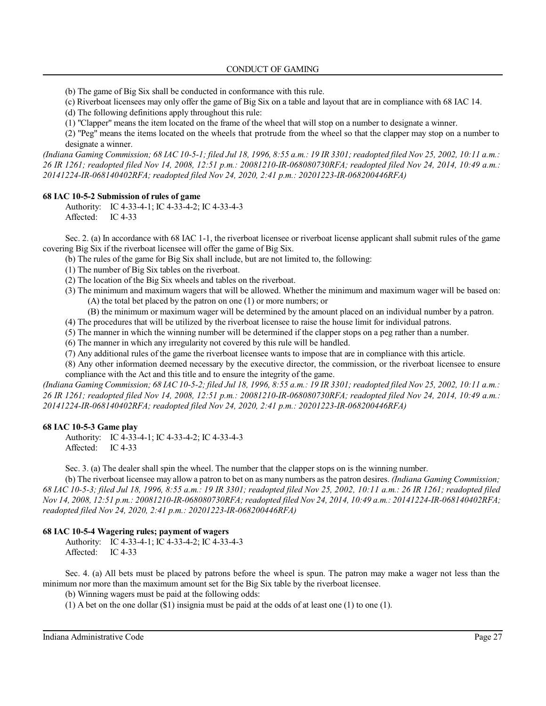(b) The game of Big Six shall be conducted in conformance with this rule.

(c) Riverboat licensees may only offer the game of Big Six on a table and layout that are in compliance with 68 IAC 14.

(d) The following definitions apply throughout this rule:

(1) "Clapper" means the item located on the frame of the wheel that will stop on a number to designate a winner.

(2) "Peg" means the items located on the wheels that protrude from the wheel so that the clapper may stop on a number to designate a winner.

*(Indiana Gaming Commission; 68 IAC 10-5-1; filed Jul 18, 1996, 8:55 a.m.: 19 IR 3301;readopted filed Nov 25, 2002, 10:11 a.m.: 26 IR 1261; readopted filed Nov 14, 2008, 12:51 p.m.: 20081210-IR-068080730RFA; readopted filed Nov 24, 2014, 10:49 a.m.: 20141224-IR-068140402RFA; readopted filed Nov 24, 2020, 2:41 p.m.: 20201223-IR-068200446RFA)*

## **68 IAC 10-5-2 Submission of rules of game**

Authority: IC 4-33-4-1; IC 4-33-4-2; IC 4-33-4-3 Affected: IC 4-33

Sec. 2. (a) In accordance with 68 IAC 1-1, the riverboat licensee or riverboat license applicant shall submit rules of the game covering Big Six if the riverboat licensee will offer the game of Big Six.

(b) The rules of the game for Big Six shall include, but are not limited to, the following:

(1) The number of Big Six tables on the riverboat.

- (2) The location of the Big Six wheels and tables on the riverboat.
- (3) The minimum and maximum wagers that will be allowed. Whether the minimum and maximum wager will be based on: (A) the total bet placed by the patron on one (1) or more numbers; or
	- (B) the minimum or maximum wager will be determined by the amount placed on an individual number by a patron.
- (4) The procedures that will be utilized by the riverboat licensee to raise the house limit for individual patrons.
- (5) The manner in which the winning number will be determined if the clapper stops on a peg rather than a number.
- (6) The manner in which any irregularity not covered by this rule will be handled.
- (7) Any additional rules of the game the riverboat licensee wants to impose that are in compliance with this article.

(8) Any other information deemed necessary by the executive director, the commission, or the riverboat licensee to ensure compliance with the Act and this title and to ensure the integrity of the game.

*(Indiana Gaming Commission; 68 IAC 10-5-2; filed Jul 18, 1996, 8:55 a.m.: 19 IR 3301; readopted filed Nov 25, 2002, 10:11 a.m.: 26 IR 1261; readopted filed Nov 14, 2008, 12:51 p.m.: 20081210-IR-068080730RFA; readopted filed Nov 24, 2014, 10:49 a.m.: 20141224-IR-068140402RFA; readopted filed Nov 24, 2020, 2:41 p.m.: 20201223-IR-068200446RFA)*

### **68 IAC 10-5-3 Game play**

Authority: IC 4-33-4-1; IC 4-33-4-2; IC 4-33-4-3 Affected: IC 4-33

Sec. 3. (a) The dealer shall spin the wheel. The number that the clapper stops on is the winning number.

(b) The riverboat licensee may allow a patron to bet on as many numbers as the patron desires. *(Indiana Gaming Commission; 68 IAC 10-5-3; filed Jul 18, 1996, 8:55 a.m.: 19 IR 3301; readopted filed Nov 25, 2002, 10:11 a.m.: 26 IR 1261; readopted filed Nov 14, 2008, 12:51 p.m.: 20081210-IR-068080730RFA; readopted filed Nov 24, 2014, 10:49 a.m.: 20141224-IR-068140402RFA; readopted filed Nov 24, 2020, 2:41 p.m.: 20201223-IR-068200446RFA)*

## **68 IAC 10-5-4 Wagering rules; payment of wagers**

Authority: IC 4-33-4-1; IC 4-33-4-2; IC 4-33-4-3 Affected: IC 4-33

Sec. 4. (a) All bets must be placed by patrons before the wheel is spun. The patron may make a wager not less than the minimum nor more than the maximum amount set for the Big Six table by the riverboat licensee.

(b) Winning wagers must be paid at the following odds:

(1) A bet on the one dollar  $(\$1)$  insignia must be paid at the odds of at least one (1) to one (1).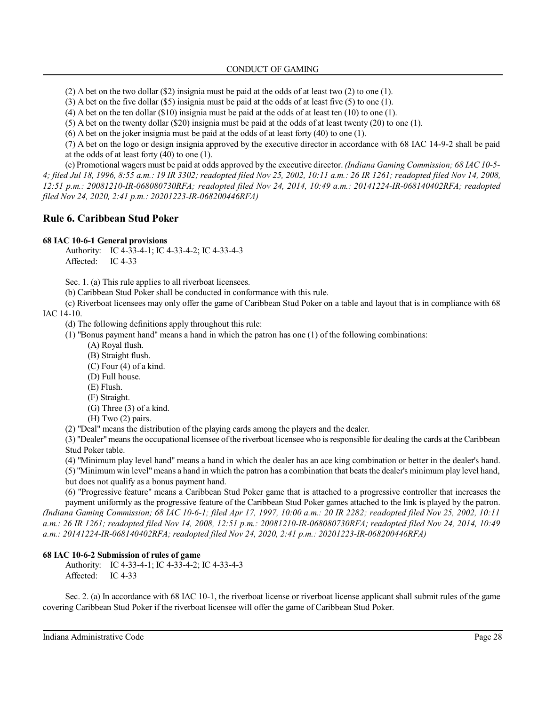(2) A bet on the two dollar (\$2) insignia must be paid at the odds of at least two (2) to one (1).

(3) A bet on the five dollar (\$5) insignia must be paid at the odds of at least five (5) to one (1).

(4) A bet on the ten dollar (\$10) insignia must be paid at the odds of at least ten (10) to one (1).

(5) A bet on the twenty dollar (\$20) insignia must be paid at the odds of at least twenty (20) to one (1).

(6) A bet on the joker insignia must be paid at the odds of at least forty (40) to one (1).

(7) A bet on the logo or design insignia approved by the executive director in accordance with 68 IAC 14-9-2 shall be paid at the odds of at least forty (40) to one (1).

(c) Promotional wagers must be paid at odds approved by the executive director. *(Indiana Gaming Commission; 68 IAC 10-5- 4; filed Jul 18, 1996, 8:55 a.m.: 19 IR 3302; readopted filed Nov 25, 2002, 10:11 a.m.: 26 IR 1261; readopted filed Nov 14, 2008, 12:51 p.m.: 20081210-IR-068080730RFA; readopted filed Nov 24, 2014, 10:49 a.m.: 20141224-IR-068140402RFA; readopted filed Nov 24, 2020, 2:41 p.m.: 20201223-IR-068200446RFA)*

## **Rule 6. Caribbean Stud Poker**

## **68 IAC 10-6-1 General provisions**

Authority: IC 4-33-4-1; IC 4-33-4-2; IC 4-33-4-3 Affected: IC 4-33

Sec. 1. (a) This rule applies to all riverboat licensees.

(b) Caribbean Stud Poker shall be conducted in conformance with this rule.

(c) Riverboat licensees may only offer the game of Caribbean Stud Poker on a table and layout that is in compliance with 68

IAC 14-10.

(d) The following definitions apply throughout this rule:

- (1) "Bonus payment hand" means a hand in which the patron has one (1) of the following combinations:
	- (A) Royal flush.
	- (B) Straight flush.

(C) Four (4) of a kind.

- (D) Full house.
- (E) Flush.
- (F) Straight.
- (G) Three (3) of a kind.
- (H) Two (2) pairs.

(2) "Deal" means the distribution of the playing cards among the players and the dealer.

(3) "Dealer"means the occupational licensee ofthe riverboat licensee who isresponsible for dealing the cards at the Caribbean Stud Poker table.

(4) "Minimum play level hand" means a hand in which the dealer has an ace king combination or better in the dealer's hand.

(5) "Minimum win level" means a hand in which the patron has a combination that beats the dealer's minimum play level hand, but does not qualify as a bonus payment hand.

(6) "Progressive feature" means a Caribbean Stud Poker game that is attached to a progressive controller that increases the payment uniformly as the progressive feature of the Caribbean Stud Poker games attached to the link is played by the patron. *(Indiana Gaming Commission; 68 IAC 10-6-1; filed Apr 17, 1997, 10:00 a.m.: 20 IR 2282; readopted filed Nov 25, 2002, 10:11 a.m.: 26 IR 1261; readopted filed Nov 14, 2008, 12:51 p.m.: 20081210-IR-068080730RFA; readopted filed Nov 24, 2014, 10:49 a.m.: 20141224-IR-068140402RFA; readopted filed Nov 24, 2020, 2:41 p.m.: 20201223-IR-068200446RFA)*

## **68 IAC 10-6-2 Submission of rules of game**

Authority: IC 4-33-4-1; IC 4-33-4-2; IC 4-33-4-3 Affected: IC 4-33

Sec. 2. (a) In accordance with 68 IAC 10-1, the riverboat license or riverboat license applicant shall submit rules of the game covering Caribbean Stud Poker if the riverboat licensee will offer the game of Caribbean Stud Poker.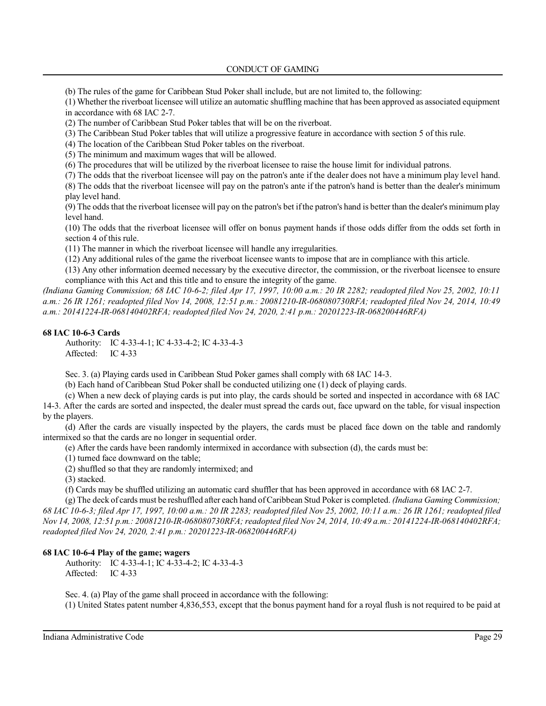(b) The rules of the game for Caribbean Stud Poker shall include, but are not limited to, the following:

(1) Whether the riverboat licensee will utilize an automatic shuffling machine that has been approved as associated equipment in accordance with 68 IAC 2-7.

(2) The number of Caribbean Stud Poker tables that will be on the riverboat.

(3) The Caribbean Stud Poker tables that will utilize a progressive feature in accordance with section 5 of this rule.

(4) The location of the Caribbean Stud Poker tables on the riverboat.

(5) The minimum and maximum wages that will be allowed.

(6) The procedures that will be utilized by the riverboat licensee to raise the house limit for individual patrons.

(7) The odds that the riverboat licensee will pay on the patron's ante if the dealer does not have a minimum play level hand.

(8) The odds that the riverboat licensee will pay on the patron's ante if the patron's hand is better than the dealer's minimum play level hand.

(9) The odds that the riverboat licensee will pay on the patron's bet ifthe patron's hand is better than the dealer's minimum play level hand.

(10) The odds that the riverboat licensee will offer on bonus payment hands if those odds differ from the odds set forth in section 4 of this rule.

(11) The manner in which the riverboat licensee will handle any irregularities.

(12) Any additional rules of the game the riverboat licensee wants to impose that are in compliance with this article.

(13) Any other information deemed necessary by the executive director, the commission, or the riverboat licensee to ensure compliance with this Act and this title and to ensure the integrity of the game.

*(Indiana Gaming Commission; 68 IAC 10-6-2; filed Apr 17, 1997, 10:00 a.m.: 20 IR 2282; readopted filed Nov 25, 2002, 10:11 a.m.: 26 IR 1261; readopted filed Nov 14, 2008, 12:51 p.m.: 20081210-IR-068080730RFA; readopted filed Nov 24, 2014, 10:49 a.m.: 20141224-IR-068140402RFA; readopted filed Nov 24, 2020, 2:41 p.m.: 20201223-IR-068200446RFA)*

## **68 IAC 10-6-3 Cards**

Authority: IC 4-33-4-1; IC 4-33-4-2; IC 4-33-4-3 Affected: IC 4-33

Sec. 3. (a) Playing cards used in Caribbean Stud Poker games shall comply with 68 IAC 14-3.

(b) Each hand of Caribbean Stud Poker shall be conducted utilizing one (1) deck of playing cards.

(c) When a new deck of playing cards is put into play, the cards should be sorted and inspected in accordance with 68 IAC 14-3. After the cards are sorted and inspected, the dealer must spread the cards out, face upward on the table, for visual inspection by the players.

(d) After the cards are visually inspected by the players, the cards must be placed face down on the table and randomly intermixed so that the cards are no longer in sequential order.

(e) After the cards have been randomly intermixed in accordance with subsection (d), the cards must be:

(1) turned face downward on the table;

(2) shuffled so that they are randomly intermixed; and

(3) stacked.

(f) Cards may be shuffled utilizing an automatic card shuffler that has been approved in accordance with 68 IAC 2-7.

(g) The deck of cards must be reshuffled after each hand ofCaribbean Stud Poker is completed. *(Indiana Gaming Commission; 68 IAC 10-6-3; filed Apr 17, 1997, 10:00 a.m.: 20 IR 2283; readopted filed Nov 25, 2002, 10:11 a.m.: 26 IR 1261; readopted filed Nov 14, 2008, 12:51 p.m.: 20081210-IR-068080730RFA; readopted filed Nov 24, 2014, 10:49 a.m.: 20141224-IR-068140402RFA; readopted filed Nov 24, 2020, 2:41 p.m.: 20201223-IR-068200446RFA)*

## **68 IAC 10-6-4 Play of the game; wagers**

Authority: IC 4-33-4-1; IC 4-33-4-2; IC 4-33-4-3 Affected: IC 4-33

Sec. 4. (a) Play of the game shall proceed in accordance with the following:

(1) United States patent number 4,836,553, except that the bonus payment hand for a royal flush is not required to be paid at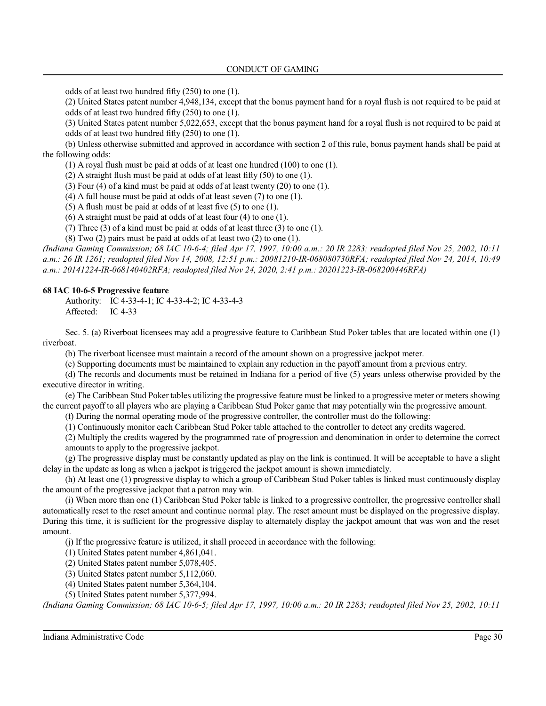odds of at least two hundred fifty (250) to one (1).

(2) United States patent number 4,948,134, except that the bonus payment hand for a royal flush is not required to be paid at odds of at least two hundred fifty (250) to one (1).

(3) United States patent number 5,022,653, except that the bonus payment hand for a royal flush is not required to be paid at odds of at least two hundred fifty (250) to one (1).

(b) Unless otherwise submitted and approved in accordance with section 2 of this rule, bonus payment hands shall be paid at the following odds:

(1) A royal flush must be paid at odds of at least one hundred (100) to one (1).

(2) A straight flush must be paid at odds of at least fifty (50) to one (1).

(3) Four (4) of a kind must be paid at odds of at least twenty (20) to one (1).

(4) A full house must be paid at odds of at least seven (7) to one (1).

(5) A flush must be paid at odds of at least five (5) to one (1).

(6) A straight must be paid at odds of at least four (4) to one (1).

(7) Three (3) of a kind must be paid at odds of at least three (3) to one (1).

(8) Two (2) pairs must be paid at odds of at least two (2) to one (1).

*(Indiana Gaming Commission; 68 IAC 10-6-4; filed Apr 17, 1997, 10:00 a.m.: 20 IR 2283; readopted filed Nov 25, 2002, 10:11 a.m.: 26 IR 1261; readopted filed Nov 14, 2008, 12:51 p.m.: 20081210-IR-068080730RFA; readopted filed Nov 24, 2014, 10:49 a.m.: 20141224-IR-068140402RFA; readopted filed Nov 24, 2020, 2:41 p.m.: 20201223-IR-068200446RFA)*

### **68 IAC 10-6-5 Progressive feature**

Authority: IC 4-33-4-1; IC 4-33-4-2; IC 4-33-4-3 Affected: IC 4-33

Sec. 5. (a) Riverboat licensees may add a progressive feature to Caribbean Stud Poker tables that are located within one (1) riverboat.

(b) The riverboat licensee must maintain a record of the amount shown on a progressive jackpot meter.

(c) Supporting documents must be maintained to explain any reduction in the payoff amount from a previous entry.

(d) The records and documents must be retained in Indiana for a period of five (5) years unless otherwise provided by the executive director in writing.

(e) The Caribbean Stud Poker tables utilizing the progressive feature must be linked to a progressive meter or meters showing the current payoff to all players who are playing a Caribbean Stud Poker game that may potentially win the progressive amount.

(f) During the normal operating mode of the progressive controller, the controller must do the following:

(1) Continuously monitor each Caribbean Stud Poker table attached to the controller to detect any credits wagered.

(2) Multiply the credits wagered by the programmed rate of progression and denomination in order to determine the correct amounts to apply to the progressive jackpot.

(g) The progressive display must be constantly updated as play on the link is continued. It will be acceptable to have a slight delay in the update as long as when a jackpot is triggered the jackpot amount is shown immediately.

(h) At least one (1) progressive display to which a group of Caribbean Stud Poker tables is linked must continuously display the amount of the progressive jackpot that a patron may win.

(i) When more than one (1) Caribbean Stud Poker table is linked to a progressive controller, the progressive controller shall automatically reset to the reset amount and continue normal play. The reset amount must be displayed on the progressive display. During this time, it is sufficient for the progressive display to alternately display the jackpot amount that was won and the reset amount.

(j) If the progressive feature is utilized, it shall proceed in accordance with the following:

(1) United States patent number 4,861,041.

(2) United States patent number 5,078,405.

(3) United States patent number 5,112,060.

(4) United States patent number 5,364,104.

(5) United States patent number 5,377,994.

*(Indiana Gaming Commission; 68 IAC 10-6-5; filed Apr 17, 1997, 10:00 a.m.: 20 IR 2283; readopted filed Nov 25, 2002, 10:11*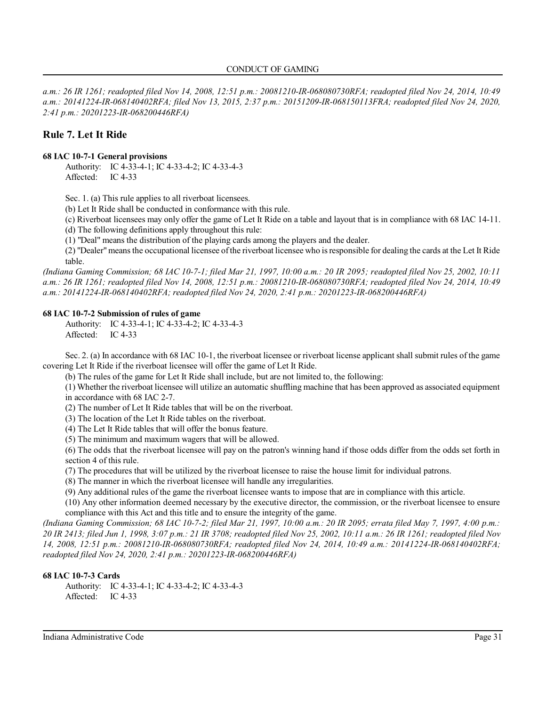*a.m.: 26 IR 1261; readopted filed Nov 14, 2008, 12:51 p.m.: 20081210-IR-068080730RFA; readopted filed Nov 24, 2014, 10:49 a.m.: 20141224-IR-068140402RFA; filed Nov 13, 2015, 2:37 p.m.: 20151209-IR-068150113FRA; readopted filed Nov 24, 2020, 2:41 p.m.: 20201223-IR-068200446RFA)*

# **Rule 7. Let It Ride**

## **68 IAC 10-7-1 General provisions**

Authority: IC 4-33-4-1; IC 4-33-4-2; IC 4-33-4-3 Affected: IC 4-33

Sec. 1. (a) This rule applies to all riverboat licensees.

(b) Let It Ride shall be conducted in conformance with this rule.

(c) Riverboat licensees may only offer the game of Let It Ride on a table and layout that is in compliance with 68 IAC 14-11.

(d) The following definitions apply throughout this rule:

(1) "Deal" means the distribution of the playing cards among the players and the dealer.

(2) "Dealer"means the occupational licensee ofthe riverboat licensee who isresponsible for dealing the cards at the Let It Ride table.

*(Indiana Gaming Commission; 68 IAC 10-7-1; filed Mar 21, 1997, 10:00 a.m.: 20 IR 2095; readopted filed Nov 25, 2002, 10:11 a.m.: 26 IR 1261; readopted filed Nov 14, 2008, 12:51 p.m.: 20081210-IR-068080730RFA; readopted filed Nov 24, 2014, 10:49 a.m.: 20141224-IR-068140402RFA; readopted filed Nov 24, 2020, 2:41 p.m.: 20201223-IR-068200446RFA)*

## **68 IAC 10-7-2 Submission of rules of game**

Authority: IC 4-33-4-1; IC 4-33-4-2; IC 4-33-4-3 Affected: IC 4-33

Sec. 2. (a) In accordance with 68 IAC 10-1, the riverboat licensee or riverboat license applicant shall submit rules of the game covering Let It Ride if the riverboat licensee will offer the game of Let It Ride.

(b) The rules of the game for Let It Ride shall include, but are not limited to, the following:

(1) Whether the riverboat licensee will utilize an automatic shuffling machine that has been approved as associated equipment in accordance with 68 IAC 2-7.

(2) The number of Let It Ride tables that will be on the riverboat.

(3) The location of the Let It Ride tables on the riverboat.

(4) The Let It Ride tables that will offer the bonus feature.

(5) The minimum and maximum wagers that will be allowed.

(6) The odds that the riverboat licensee will pay on the patron's winning hand if those odds differ from the odds set forth in section 4 of this rule.

(7) The procedures that will be utilized by the riverboat licensee to raise the house limit for individual patrons.

(8) The manner in which the riverboat licensee will handle any irregularities.

(9) Any additional rules of the game the riverboat licensee wants to impose that are in compliance with this article.

(10) Any other information deemed necessary by the executive director, the commission, or the riverboat licensee to ensure compliance with this Act and this title and to ensure the integrity of the game.

*(Indiana Gaming Commission; 68 IAC 10-7-2; filed Mar 21, 1997, 10:00 a.m.: 20 IR 2095; errata filed May 7, 1997, 4:00 p.m.: 20 IR 2413; filed Jun 1, 1998, 3:07 p.m.: 21 IR 3708; readopted filed Nov 25, 2002, 10:11 a.m.: 26 IR 1261; readopted filed Nov 14, 2008, 12:51 p.m.: 20081210-IR-068080730RFA; readopted filed Nov 24, 2014, 10:49 a.m.: 20141224-IR-068140402RFA; readopted filed Nov 24, 2020, 2:41 p.m.: 20201223-IR-068200446RFA)*

### **68 IAC 10-7-3 Cards**

Authority: IC 4-33-4-1; IC 4-33-4-2; IC 4-33-4-3 Affected: IC 4-33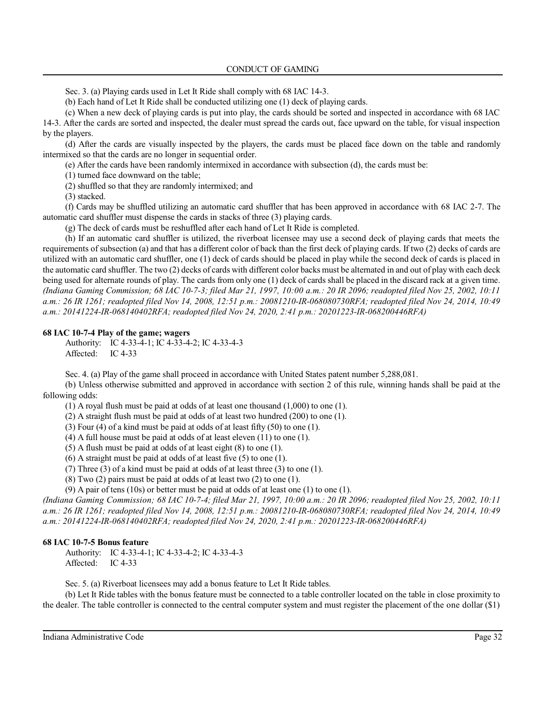Sec. 3. (a) Playing cards used in Let It Ride shall comply with 68 IAC 14-3.

(b) Each hand of Let It Ride shall be conducted utilizing one (1) deck of playing cards.

(c) When a new deck of playing cards is put into play, the cards should be sorted and inspected in accordance with 68 IAC 14-3. After the cards are sorted and inspected, the dealer must spread the cards out, face upward on the table, for visual inspection by the players.

(d) After the cards are visually inspected by the players, the cards must be placed face down on the table and randomly intermixed so that the cards are no longer in sequential order.

(e) After the cards have been randomly intermixed in accordance with subsection (d), the cards must be:

(1) turned face downward on the table;

(2) shuffled so that they are randomly intermixed; and

(3) stacked.

(f) Cards may be shuffled utilizing an automatic card shuffler that has been approved in accordance with 68 IAC 2-7. The automatic card shuffler must dispense the cards in stacks of three (3) playing cards.

(g) The deck of cards must be reshuffled after each hand of Let It Ride is completed.

(h) If an automatic card shuffler is utilized, the riverboat licensee may use a second deck of playing cards that meets the requirements of subsection (a) and that has a different color of back than the first deck of playing cards. If two (2) decks of cards are utilized with an automatic card shuffler, one (1) deck of cards should be placed in play while the second deck of cards is placed in the automatic card shuffler. The two (2) decks of cards with different color backs must be alternated in and out of play with each deck being used for alternate rounds of play. The cards from only one (1) deck of cards shall be placed in the discard rack at a given time. *(Indiana Gaming Commission; 68 IAC 10-7-3; filed Mar 21, 1997, 10:00 a.m.: 20 IR 2096; readopted filed Nov 25, 2002, 10:11 a.m.: 26 IR 1261; readopted filed Nov 14, 2008, 12:51 p.m.: 20081210-IR-068080730RFA; readopted filed Nov 24, 2014, 10:49 a.m.: 20141224-IR-068140402RFA; readopted filed Nov 24, 2020, 2:41 p.m.: 20201223-IR-068200446RFA)*

#### **68 IAC 10-7-4 Play of the game; wagers**

Authority: IC 4-33-4-1; IC 4-33-4-2; IC 4-33-4-3 Affected: IC 4-33

Sec. 4. (a) Play of the game shall proceed in accordance with United States patent number 5,288,081.

(b) Unless otherwise submitted and approved in accordance with section 2 of this rule, winning hands shall be paid at the following odds:

(1) A royal flush must be paid at odds of at least one thousand (1,000) to one (1).

(2) A straight flush must be paid at odds of at least two hundred (200) to one (1).

(3) Four (4) of a kind must be paid at odds of at least fifty (50) to one (1).

(4) A full house must be paid at odds of at least eleven (11) to one (1).

(5) A flush must be paid at odds of at least eight (8) to one (1).

(6) A straight must be paid at odds of at least five (5) to one (1).

(7) Three (3) of a kind must be paid at odds of at least three (3) to one (1).

(8) Two (2) pairs must be paid at odds of at least two (2) to one (1).

(9) A pair of tens (10s) or better must be paid at odds of at least one (1) to one (1).

*(Indiana Gaming Commission; 68 IAC 10-7-4; filed Mar 21, 1997, 10:00 a.m.: 20 IR 2096; readopted filed Nov 25, 2002, 10:11 a.m.: 26 IR 1261; readopted filed Nov 14, 2008, 12:51 p.m.: 20081210-IR-068080730RFA; readopted filed Nov 24, 2014, 10:49 a.m.: 20141224-IR-068140402RFA; readopted filed Nov 24, 2020, 2:41 p.m.: 20201223-IR-068200446RFA)*

#### **68 IAC 10-7-5 Bonus feature**

Authority: IC 4-33-4-1; IC 4-33-4-2; IC 4-33-4-3 Affected: IC 4-33

Sec. 5. (a) Riverboat licensees may add a bonus feature to Let It Ride tables.

(b) Let It Ride tables with the bonus feature must be connected to a table controller located on the table in close proximity to the dealer. The table controller is connected to the central computer system and must register the placement of the one dollar (\$1)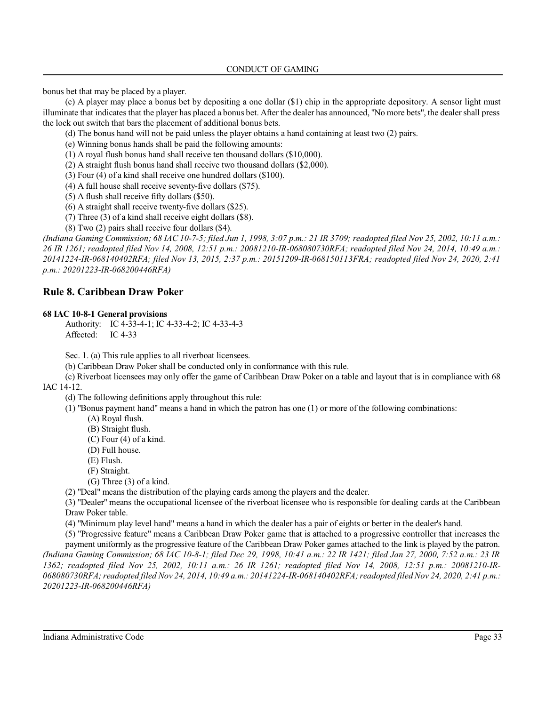bonus bet that may be placed by a player.

(c) A player may place a bonus bet by depositing a one dollar (\$1) chip in the appropriate depository. A sensor light must illuminate that indicates that the player has placed a bonus bet. After the dealer has announced, "No more bets", the dealershall press the lock out switch that bars the placement of additional bonus bets.

(d) The bonus hand will not be paid unless the player obtains a hand containing at least two (2) pairs.

(e) Winning bonus hands shall be paid the following amounts:

(1) A royal flush bonus hand shall receive ten thousand dollars (\$10,000).

(2) A straight flush bonus hand shall receive two thousand dollars (\$2,000).

(3) Four (4) of a kind shall receive one hundred dollars (\$100).

(4) A full house shall receive seventy-five dollars (\$75).

(5) A flush shall receive fifty dollars (\$50).

(6) A straight shall receive twenty-five dollars (\$25).

(7) Three (3) of a kind shall receive eight dollars (\$8).

(8) Two (2) pairs shall receive four dollars (\$4).

*(Indiana Gaming Commission; 68 IAC 10-7-5; filed Jun 1, 1998, 3:07 p.m.: 21 IR 3709; readopted filed Nov 25, 2002, 10:11 a.m.: 26 IR 1261; readopted filed Nov 14, 2008, 12:51 p.m.: 20081210-IR-068080730RFA; readopted filed Nov 24, 2014, 10:49 a.m.: 20141224-IR-068140402RFA; filed Nov 13, 2015, 2:37 p.m.: 20151209-IR-068150113FRA; readopted filed Nov 24, 2020, 2:41 p.m.: 20201223-IR-068200446RFA)*

## **Rule 8. Caribbean Draw Poker**

## **68 IAC 10-8-1 General provisions**

Authority: IC 4-33-4-1; IC 4-33-4-2; IC 4-33-4-3 Affected: IC 4-33

Sec. 1. (a) This rule applies to all riverboat licensees.

(b) Caribbean Draw Poker shall be conducted only in conformance with this rule.

(c) Riverboat licensees may only offer the game of Caribbean Draw Poker on a table and layout that is in compliance with 68 IAC 14-12.

(d) The following definitions apply throughout this rule:

(1) "Bonus payment hand" means a hand in which the patron has one (1) or more of the following combinations:

(A) Royal flush.

- (B) Straight flush.
- (C) Four (4) of a kind.
- (D) Full house.

(E) Flush.

(F) Straight.

(G) Three (3) of a kind.

(2) "Deal" means the distribution of the playing cards among the players and the dealer.

(3) "Dealer" means the occupational licensee of the riverboat licensee who is responsible for dealing cards at the Caribbean Draw Poker table.

(4) "Minimum play level hand" means a hand in which the dealer has a pair of eights or better in the dealer's hand.

(5) "Progressive feature" means a Caribbean Draw Poker game that is attached to a progressive controller that increases the

payment uniformly as the progressive feature of the Caribbean Draw Poker games attached to the link is played by the patron. *(Indiana Gaming Commission; 68 IAC 10-8-1; filed Dec 29, 1998, 10:41 a.m.: 22 IR 1421; filed Jan 27, 2000, 7:52 a.m.: 23 IR 1362; readopted filed Nov 25, 2002, 10:11 a.m.: 26 IR 1261; readopted filed Nov 14, 2008, 12:51 p.m.: 20081210-IR-068080730RFA;readopted filed Nov 24, 2014, 10:49 a.m.: 20141224-IR-068140402RFA;readopted filed Nov 24, 2020, 2:41 p.m.: 20201223-IR-068200446RFA)*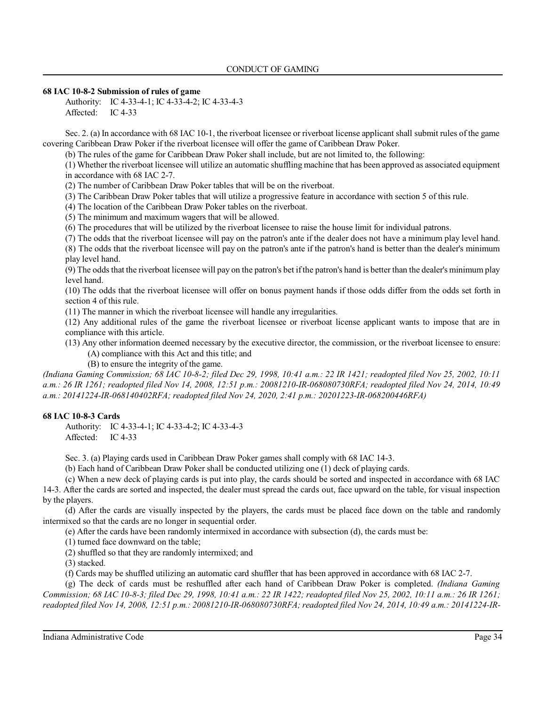### **68 IAC 10-8-2 Submission of rules of game**

Authority: IC 4-33-4-1; IC 4-33-4-2; IC 4-33-4-3 Affected: IC 4-33

Sec. 2. (a) In accordance with 68 IAC 10-1, the riverboat licensee or riverboat license applicant shall submit rules of the game covering Caribbean Draw Poker if the riverboat licensee will offer the game of Caribbean Draw Poker.

(b) The rules of the game for Caribbean Draw Poker shall include, but are not limited to, the following:

(1) Whether the riverboat licensee will utilize an automatic shuffling machine that has been approved as associated equipment in accordance with 68 IAC 2-7.

(2) The number of Caribbean Draw Poker tables that will be on the riverboat.

(3) The Caribbean Draw Poker tables that will utilize a progressive feature in accordance with section 5 of this rule.

(4) The location of the Caribbean Draw Poker tables on the riverboat.

(5) The minimum and maximum wagers that will be allowed.

(6) The procedures that will be utilized by the riverboat licensee to raise the house limit for individual patrons.

(7) The odds that the riverboat licensee will pay on the patron's ante if the dealer does not have a minimum play level hand. (8) The odds that the riverboat licensee will pay on the patron's ante if the patron's hand is better than the dealer's minimum play level hand.

(9) The odds that the riverboat licensee will pay on the patron's bet ifthe patron's hand is better than the dealer's minimum play level hand.

(10) The odds that the riverboat licensee will offer on bonus payment hands if those odds differ from the odds set forth in section 4 of this rule.

(11) The manner in which the riverboat licensee will handle any irregularities.

(12) Any additional rules of the game the riverboat licensee or riverboat license applicant wants to impose that are in compliance with this article.

(13) Any other information deemed necessary by the executive director, the commission, or the riverboat licensee to ensure:

(A) compliance with this Act and this title; and

(B) to ensure the integrity of the game.

*(Indiana Gaming Commission; 68 IAC 10-8-2; filed Dec 29, 1998, 10:41 a.m.: 22 IR 1421; readopted filed Nov 25, 2002, 10:11 a.m.: 26 IR 1261; readopted filed Nov 14, 2008, 12:51 p.m.: 20081210-IR-068080730RFA; readopted filed Nov 24, 2014, 10:49 a.m.: 20141224-IR-068140402RFA; readopted filed Nov 24, 2020, 2:41 p.m.: 20201223-IR-068200446RFA)*

## **68 IAC 10-8-3 Cards**

Authority: IC 4-33-4-1; IC 4-33-4-2; IC 4-33-4-3 Affected: IC 4-33

Sec. 3. (a) Playing cards used in Caribbean Draw Poker games shall comply with 68 IAC 14-3.

(b) Each hand of Caribbean Draw Poker shall be conducted utilizing one (1) deck of playing cards.

(c) When a new deck of playing cards is put into play, the cards should be sorted and inspected in accordance with 68 IAC

14-3. After the cards are sorted and inspected, the dealer must spread the cards out, face upward on the table, for visual inspection by the players.

(d) After the cards are visually inspected by the players, the cards must be placed face down on the table and randomly intermixed so that the cards are no longer in sequential order.

(e) After the cards have been randomly intermixed in accordance with subsection (d), the cards must be:

(1) turned face downward on the table;

(2) shuffled so that they are randomly intermixed; and

(3) stacked.

(f) Cards may be shuffled utilizing an automatic card shuffler that has been approved in accordance with 68 IAC 2-7.

(g) The deck of cards must be reshuffled after each hand of Caribbean Draw Poker is completed. *(Indiana Gaming Commission; 68 IAC 10-8-3; filed Dec 29, 1998, 10:41 a.m.: 22 IR 1422; readopted filed Nov 25, 2002, 10:11 a.m.: 26 IR 1261; readopted filed Nov 14, 2008, 12:51 p.m.: 20081210-IR-068080730RFA; readopted filed Nov 24, 2014, 10:49 a.m.: 20141224-IR-*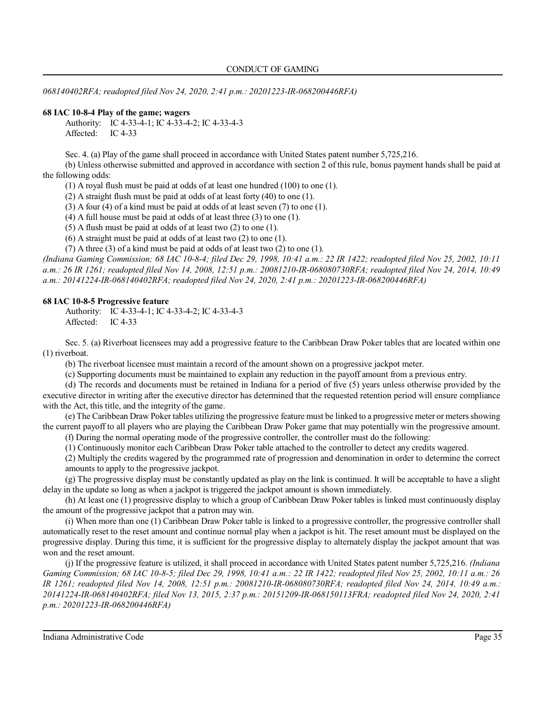*068140402RFA; readopted filed Nov 24, 2020, 2:41 p.m.: 20201223-IR-068200446RFA)*

## **68 IAC 10-8-4 Play of the game; wagers**

Authority: IC 4-33-4-1; IC 4-33-4-2; IC 4-33-4-3 Affected: IC 4-33

Sec. 4. (a) Play of the game shall proceed in accordance with United States patent number 5,725,216.

(b) Unless otherwise submitted and approved in accordance with section 2 of this rule, bonus payment hands shall be paid at the following odds:

(1) A royal flush must be paid at odds of at least one hundred (100) to one (1).

(2) A straight flush must be paid at odds of at least forty (40) to one (1).

(3) A four (4) of a kind must be paid at odds of at least seven (7) to one (1).

(4) A full house must be paid at odds of at least three (3) to one (1).

(5) A flush must be paid at odds of at least two (2) to one (1).

(6) A straight must be paid at odds of at least two (2) to one (1).

(7) A three (3) of a kind must be paid at odds of at least two (2) to one (1).

*(Indiana Gaming Commission; 68 IAC 10-8-4; filed Dec 29, 1998, 10:41 a.m.: 22 IR 1422; readopted filed Nov 25, 2002, 10:11 a.m.: 26 IR 1261; readopted filed Nov 14, 2008, 12:51 p.m.: 20081210-IR-068080730RFA; readopted filed Nov 24, 2014, 10:49 a.m.: 20141224-IR-068140402RFA; readopted filed Nov 24, 2020, 2:41 p.m.: 20201223-IR-068200446RFA)*

### **68 IAC 10-8-5 Progressive feature**

Authority: IC 4-33-4-1; IC 4-33-4-2; IC 4-33-4-3 Affected: IC 4-33

Sec. 5. (a) Riverboat licensees may add a progressive feature to the Caribbean Draw Poker tables that are located within one (1) riverboat.

(b) The riverboat licensee must maintain a record of the amount shown on a progressive jackpot meter.

(c) Supporting documents must be maintained to explain any reduction in the payoff amount from a previous entry.

(d) The records and documents must be retained in Indiana for a period of five (5) years unless otherwise provided by the executive director in writing after the executive director has determined that the requested retention period will ensure compliance with the Act, this title, and the integrity of the game.

(e) The Caribbean Draw Poker tables utilizing the progressive feature must be linked to a progressive meter or meters showing the current payoff to all players who are playing the Caribbean Draw Poker game that may potentially win the progressive amount. (f) During the normal operating mode of the progressive controller, the controller must do the following:

(1) Continuously monitor each Caribbean Draw Poker table attached to the controller to detect any credits wagered.

(2) Multiply the credits wagered by the programmed rate of progression and denomination in order to determine the correct amounts to apply to the progressive jackpot.

(g) The progressive display must be constantly updated as play on the link is continued. It will be acceptable to have a slight delay in the update so long as when a jackpot is triggered the jackpot amount is shown immediately.

(h) At least one (1) progressive display to which a group of Caribbean Draw Poker tables is linked must continuously display the amount of the progressive jackpot that a patron may win.

(i) When more than one (1) Caribbean Draw Poker table is linked to a progressive controller, the progressive controller shall automatically reset to the reset amount and continue normal play when a jackpot is hit. The reset amount must be displayed on the progressive display. During this time, it is sufficient for the progressive display to alternately display the jackpot amount that was won and the reset amount.

(j) If the progressive feature is utilized, it shall proceed in accordance with United States patent number 5,725,216. *(Indiana Gaming Commission; 68 IAC 10-8-5; filed Dec 29, 1998, 10:41 a.m.: 22 IR 1422; readopted filed Nov 25, 2002, 10:11 a.m.: 26 IR 1261; readopted filed Nov 14, 2008, 12:51 p.m.: 20081210-IR-068080730RFA; readopted filed Nov 24, 2014, 10:49 a.m.: 20141224-IR-068140402RFA; filed Nov 13, 2015, 2:37 p.m.: 20151209-IR-068150113FRA; readopted filed Nov 24, 2020, 2:41 p.m.: 20201223-IR-068200446RFA)*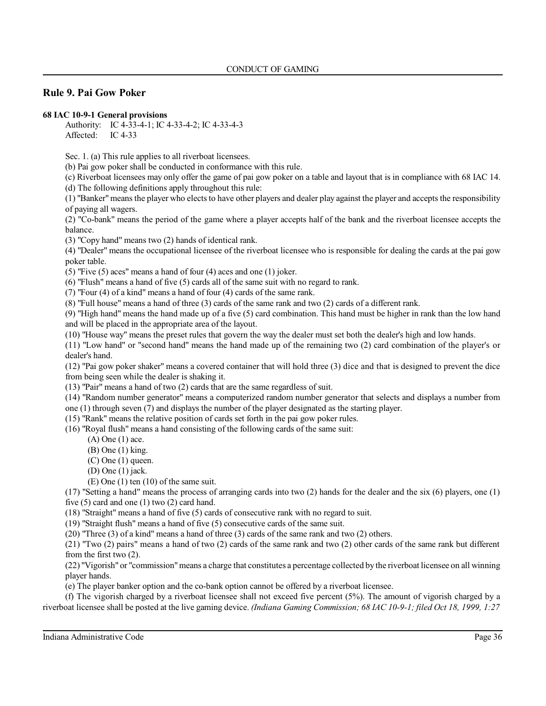# **Rule 9. Pai Gow Poker**

### **68 IAC 10-9-1 General provisions**

Authority: IC 4-33-4-1; IC 4-33-4-2; IC 4-33-4-3 Affected: IC 4-33

Sec. 1. (a) This rule applies to all riverboat licensees.

(b) Pai gow poker shall be conducted in conformance with this rule.

(c) Riverboat licensees may only offer the game of pai gow poker on a table and layout that is in compliance with 68 IAC 14. (d) The following definitions apply throughout this rule:

 $(1)$  "Banker" means the player who elects to have other players and dealer play against the player and accepts the responsibility of paying all wagers.

(2) "Co-bank" means the period of the game where a player accepts half of the bank and the riverboat licensee accepts the balance.

(3) "Copy hand" means two (2) hands of identical rank.

(4) "Dealer" means the occupational licensee of the riverboat licensee who is responsible for dealing the cards at the pai gow poker table.

(5) "Five (5) aces" means a hand of four (4) aces and one (1) joker.

(6) "Flush" means a hand of five (5) cards all of the same suit with no regard to rank.

(7) "Four (4) of a kind" means a hand of four (4) cards of the same rank.

(8) "Full house" means a hand of three (3) cards of the same rank and two (2) cards of a different rank.

(9) "High hand" means the hand made up of a five (5) card combination. This hand must be higher in rank than the low hand and will be placed in the appropriate area of the layout.

(10) "House way" means the preset rules that govern the way the dealer must set both the dealer's high and low hands.

(11) "Low hand" or "second hand" means the hand made up of the remaining two (2) card combination of the player's or dealer's hand.

(12) "Pai gow poker shaker" means a covered container that will hold three (3) dice and that is designed to prevent the dice from being seen while the dealer is shaking it.

(13) "Pair" means a hand of two (2) cards that are the same regardless of suit.

(14) "Random number generator" means a computerized random number generator that selects and displays a number from

one (1) through seven (7) and displays the number of the player designated as the starting player.

(15) "Rank" means the relative position of cards set forth in the pai gow poker rules.

(16) "Royal flush" means a hand consisting of the following cards of the same suit:

- (A) One (1) ace.
- (B) One (1) king.
- $(C)$  One  $(1)$  queen.
- (D) One (1) jack.
- (E) One (1) ten (10) of the same suit.

(17) "Setting a hand" means the process of arranging cards into two (2) hands for the dealer and the six (6) players, one (1) five (5) card and one (1) two (2) card hand.

(18) "Straight" means a hand of five (5) cards of consecutive rank with no regard to suit.

(19) "Straight flush" means a hand of five (5) consecutive cards of the same suit.

(20) "Three (3) of a kind" means a hand of three (3) cards of the same rank and two (2) others.

(21) "Two (2) pairs" means a hand of two (2) cards of the same rank and two (2) other cards of the same rank but different from the first two (2).

(22) "Vigorish" or "commission"means a charge that constitutes a percentage collected by the riverboat licensee on all winning player hands.

(e) The player banker option and the co-bank option cannot be offered by a riverboat licensee.

(f) The vigorish charged by a riverboat licensee shall not exceed five percent (5%). The amount of vigorish charged by a riverboat licensee shall be posted at the live gaming device. *(Indiana Gaming Commission; 68 IAC 10-9-1; filed Oct 18, 1999, 1:27*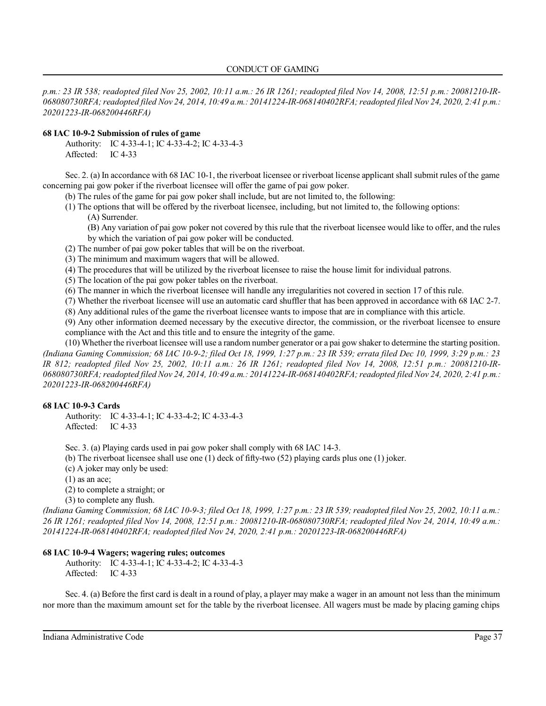*p.m.: 23 IR 538; readopted filed Nov 25, 2002, 10:11 a.m.: 26 IR 1261; readopted filed Nov 14, 2008, 12:51 p.m.: 20081210-IR-068080730RFA;readopted filed Nov 24, 2014, 10:49 a.m.: 20141224-IR-068140402RFA;readopted filed Nov 24, 2020, 2:41 p.m.: 20201223-IR-068200446RFA)*

## **68 IAC 10-9-2 Submission of rules of game**

Authority: IC 4-33-4-1; IC 4-33-4-2; IC 4-33-4-3 Affected: IC 4-33

Sec. 2. (a) In accordance with 68 IAC 10-1, the riverboat licensee or riverboat license applicant shall submit rules of the game concerning pai gow poker if the riverboat licensee will offer the game of pai gow poker.

(b) The rules of the game for pai gow poker shall include, but are not limited to, the following:

- (1) The options that will be offered by the riverboat licensee, including, but not limited to, the following options:
	- (A) Surrender.

(B) Any variation of pai gow poker not covered by this rule that the riverboat licensee would like to offer, and the rules by which the variation of pai gow poker will be conducted.

- (2) The number of pai gow poker tables that will be on the riverboat.
- (3) The minimum and maximum wagers that will be allowed.
- (4) The procedures that will be utilized by the riverboat licensee to raise the house limit for individual patrons.
- (5) The location of the pai gow poker tables on the riverboat.
- (6) The manner in which the riverboat licensee will handle any irregularities not covered in section 17 of this rule.
- (7) Whether the riverboat licensee will use an automatic card shuffler that has been approved in accordance with 68 IAC 2-7.
- (8) Any additional rules of the game the riverboat licensee wants to impose that are in compliance with this article.

(9) Any other information deemed necessary by the executive director, the commission, or the riverboat licensee to ensure compliance with the Act and this title and to ensure the integrity of the game.

(10) Whether the riverboat licensee will use a random number generator or a pai gow shaker to determine the starting position. *(Indiana Gaming Commission; 68 IAC 10-9-2; filed Oct 18, 1999, 1:27 p.m.: 23 IR 539; errata filed Dec 10, 1999, 3:29 p.m.: 23 IR 812; readopted filed Nov 25, 2002, 10:11 a.m.: 26 IR 1261; readopted filed Nov 14, 2008, 12:51 p.m.: 20081210-IR-068080730RFA;readopted filed Nov 24, 2014, 10:49 a.m.: 20141224-IR-068140402RFA;readopted filed Nov 24, 2020, 2:41 p.m.: 20201223-IR-068200446RFA)*

## **68 IAC 10-9-3 Cards**

Authority: IC 4-33-4-1; IC 4-33-4-2; IC 4-33-4-3 Affected: IC 4-33

Sec. 3. (a) Playing cards used in pai gow poker shall comply with 68 IAC 14-3.

- (b) The riverboat licensee shall use one (1) deck of fifty-two (52) playing cards plus one (1) joker.
- (c) A joker may only be used:

 $(1)$  as an ace;

(2) to complete a straight; or

(3) to complete any flush.

*(Indiana Gaming Commission; 68 IAC 10-9-3; filed Oct 18, 1999, 1:27 p.m.: 23 IR 539; readopted filed Nov 25, 2002, 10:11 a.m.: 26 IR 1261; readopted filed Nov 14, 2008, 12:51 p.m.: 20081210-IR-068080730RFA; readopted filed Nov 24, 2014, 10:49 a.m.: 20141224-IR-068140402RFA; readopted filed Nov 24, 2020, 2:41 p.m.: 20201223-IR-068200446RFA)*

## **68 IAC 10-9-4 Wagers; wagering rules; outcomes**

Authority: IC 4-33-4-1; IC 4-33-4-2; IC 4-33-4-3 Affected: IC 4-33

Sec. 4. (a) Before the first card is dealt in a round of play, a player may make a wager in an amount not less than the minimum nor more than the maximum amount set for the table by the riverboat licensee. All wagers must be made by placing gaming chips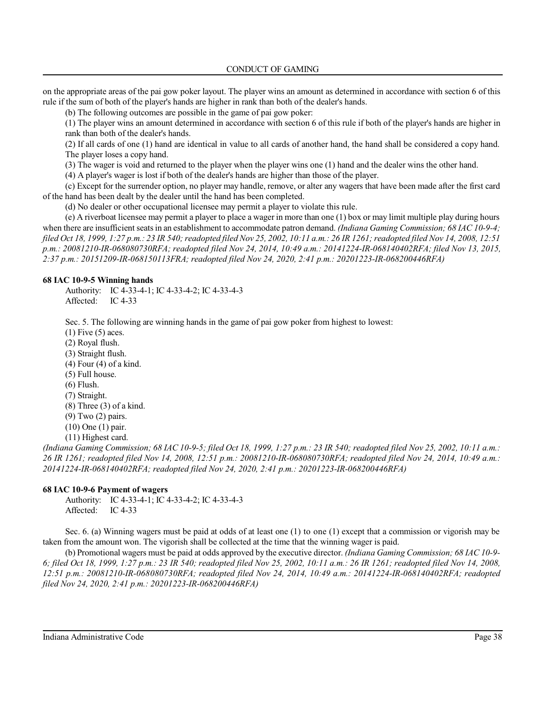on the appropriate areas of the pai gow poker layout. The player wins an amount as determined in accordance with section 6 of this rule if the sum of both of the player's hands are higher in rank than both of the dealer's hands.

(b) The following outcomes are possible in the game of pai gow poker:

(1) The player wins an amount determined in accordance with section 6 of this rule if both of the player's hands are higher in rank than both of the dealer's hands.

(2) If all cards of one (1) hand are identical in value to all cards of another hand, the hand shall be considered a copy hand. The player loses a copy hand.

(3) The wager is void and returned to the player when the player wins one (1) hand and the dealer wins the other hand.

(4) A player's wager is lost if both of the dealer's hands are higher than those of the player.

(c) Except for the surrender option, no player may handle, remove, or alter any wagers that have been made after the first card of the hand has been dealt by the dealer until the hand has been completed.

(d) No dealer or other occupational licensee may permit a player to violate this rule.

(e) A riverboat licensee may permit a player to place a wager in more than one (1) box or may limit multiple play during hours when there are insufficient seatsin an establishment to accommodate patron demand. *(Indiana Gaming Commission; 68 IAC 10-9-4; filed Oct 18, 1999, 1:27 p.m.: 23 IR 540;readopted filed Nov 25, 2002, 10:11 a.m.: 26 IR 1261;readopted filed Nov 14, 2008, 12:51 p.m.: 20081210-IR-068080730RFA; readopted filed Nov 24, 2014, 10:49 a.m.: 20141224-IR-068140402RFA; filed Nov 13, 2015, 2:37 p.m.: 20151209-IR-068150113FRA; readopted filed Nov 24, 2020, 2:41 p.m.: 20201223-IR-068200446RFA)*

## **68 IAC 10-9-5 Winning hands**

Authority: IC 4-33-4-1; IC 4-33-4-2; IC 4-33-4-3 Affected: IC 4-33

Sec. 5. The following are winning hands in the game of pai gow poker from highest to lowest:

 $(1)$  Five  $(5)$  aces. (2) Royal flush. (3) Straight flush. (4) Four (4) of a kind. (5) Full house. (6) Flush. (7) Straight.  $(8)$  Three  $(3)$  of a kind. (9) Two (2) pairs. (10) One (1) pair. (11) Highest card.

*(Indiana Gaming Commission; 68 IAC 10-9-5; filed Oct 18, 1999, 1:27 p.m.: 23 IR 540; readopted filed Nov 25, 2002, 10:11 a.m.: 26 IR 1261; readopted filed Nov 14, 2008, 12:51 p.m.: 20081210-IR-068080730RFA; readopted filed Nov 24, 2014, 10:49 a.m.: 20141224-IR-068140402RFA; readopted filed Nov 24, 2020, 2:41 p.m.: 20201223-IR-068200446RFA)*

## **68 IAC 10-9-6 Payment of wagers**

Authority: IC 4-33-4-1; IC 4-33-4-2; IC 4-33-4-3 Affected: IC 4-33

Sec. 6. (a) Winning wagers must be paid at odds of at least one (1) to one (1) except that a commission or vigorish may be taken from the amount won. The vigorish shall be collected at the time that the winning wager is paid.

(b) Promotional wagers must be paid at odds approved by the executive director. *(Indiana Gaming Commission; 68 IAC 10-9- 6; filed Oct 18, 1999, 1:27 p.m.: 23 IR 540; readopted filed Nov 25, 2002, 10:11 a.m.: 26 IR 1261; readopted filed Nov 14, 2008, 12:51 p.m.: 20081210-IR-068080730RFA; readopted filed Nov 24, 2014, 10:49 a.m.: 20141224-IR-068140402RFA; readopted filed Nov 24, 2020, 2:41 p.m.: 20201223-IR-068200446RFA)*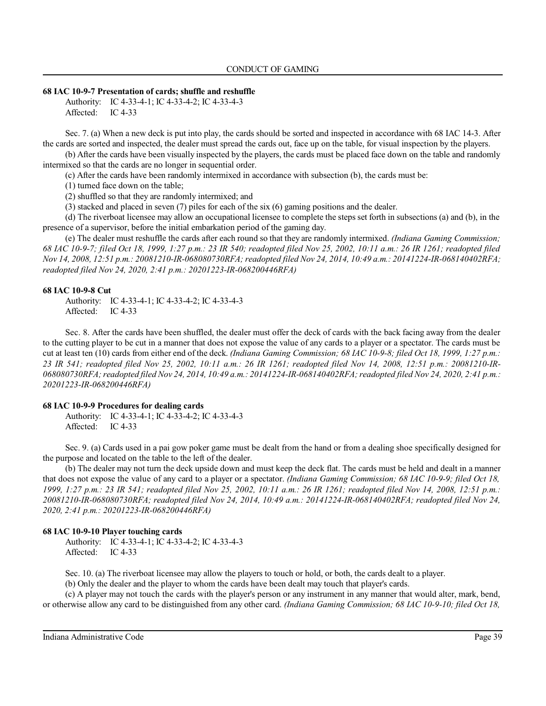#### **68 IAC 10-9-7 Presentation of cards; shuffle and reshuffle**

Authority: IC 4-33-4-1; IC 4-33-4-2; IC 4-33-4-3 Affected: IC 4-33

Sec. 7. (a) When a new deck is put into play, the cards should be sorted and inspected in accordance with 68 IAC 14-3. After the cards are sorted and inspected, the dealer must spread the cards out, face up on the table, for visual inspection by the players.

(b) After the cards have been visually inspected by the players, the cards must be placed face down on the table and randomly intermixed so that the cards are no longer in sequential order.

(c) After the cards have been randomly intermixed in accordance with subsection (b), the cards must be:

(1) turned face down on the table;

(2) shuffled so that they are randomly intermixed; and

(3) stacked and placed in seven (7) piles for each of the six (6) gaming positions and the dealer.

(d) The riverboat licensee may allow an occupational licensee to complete the steps set forth in subsections (a) and (b), in the presence of a supervisor, before the initial embarkation period of the gaming day.

(e) The dealer must reshuffle the cards after each round so that they are randomly intermixed. *(Indiana Gaming Commission; 68 IAC 10-9-7; filed Oct 18, 1999, 1:27 p.m.: 23 IR 540; readopted filed Nov 25, 2002, 10:11 a.m.: 26 IR 1261; readopted filed Nov 14, 2008, 12:51 p.m.: 20081210-IR-068080730RFA; readopted filed Nov 24, 2014, 10:49 a.m.: 20141224-IR-068140402RFA; readopted filed Nov 24, 2020, 2:41 p.m.: 20201223-IR-068200446RFA)*

### **68 IAC 10-9-8 Cut**

Authority: IC 4-33-4-1; IC 4-33-4-2; IC 4-33-4-3 Affected: IC 4-33

Sec. 8. After the cards have been shuffled, the dealer must offer the deck of cards with the back facing away from the dealer to the cutting player to be cut in a manner that does not expose the value of any cards to a player or a spectator. The cards must be cut at least ten (10) cards from either end of the deck. *(Indiana Gaming Commission; 68 IAC 10-9-8; filed Oct 18, 1999, 1:27 p.m.: 23 IR 541; readopted filed Nov 25, 2002, 10:11 a.m.: 26 IR 1261; readopted filed Nov 14, 2008, 12:51 p.m.: 20081210-IR-068080730RFA;readopted filed Nov 24, 2014, 10:49 a.m.: 20141224-IR-068140402RFA;readopted filed Nov 24, 2020, 2:41 p.m.: 20201223-IR-068200446RFA)*

### **68 IAC 10-9-9 Procedures for dealing cards**

Authority: IC 4-33-4-1; IC 4-33-4-2; IC 4-33-4-3 Affected: IC 4-33

Sec. 9. (a) Cards used in a pai gow poker game must be dealt from the hand or from a dealing shoe specifically designed for the purpose and located on the table to the left of the dealer.

(b) The dealer may not turn the deck upside down and must keep the deck flat. The cards must be held and dealt in a manner that does not expose the value of any card to a player or a spectator. *(Indiana Gaming Commission; 68 IAC 10-9-9; filed Oct 18, 1999, 1:27 p.m.: 23 IR 541; readopted filed Nov 25, 2002, 10:11 a.m.: 26 IR 1261; readopted filed Nov 14, 2008, 12:51 p.m.: 20081210-IR-068080730RFA; readopted filed Nov 24, 2014, 10:49 a.m.: 20141224-IR-068140402RFA; readopted filed Nov 24, 2020, 2:41 p.m.: 20201223-IR-068200446RFA)*

#### **68 IAC 10-9-10 Player touching cards**

Authority: IC 4-33-4-1; IC 4-33-4-2; IC 4-33-4-3 Affected: IC 4-33

Sec. 10. (a) The riverboat licensee may allow the players to touch or hold, or both, the cards dealt to a player.

(b) Only the dealer and the player to whom the cards have been dealt may touch that player's cards.

(c) A player may not touch the cards with the player's person or any instrument in any manner that would alter, mark, bend, or otherwise allow any card to be distinguished from any other card. *(Indiana Gaming Commission; 68 IAC 10-9-10; filed Oct 18,*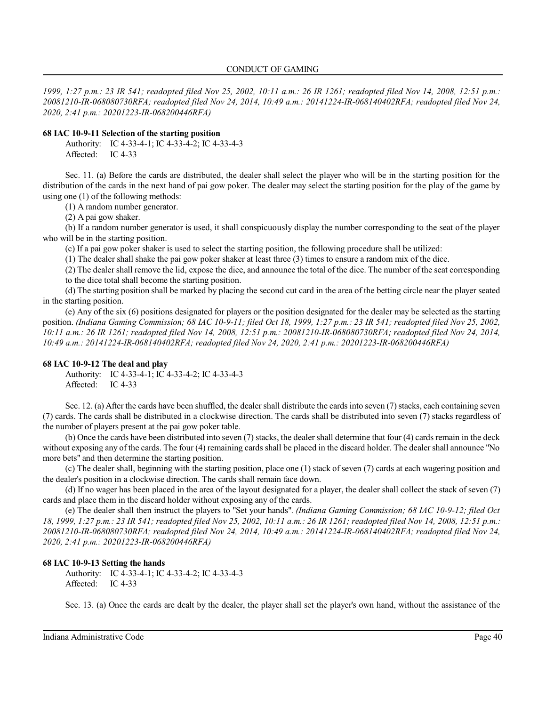*1999, 1:27 p.m.: 23 IR 541; readopted filed Nov 25, 2002, 10:11 a.m.: 26 IR 1261; readopted filed Nov 14, 2008, 12:51 p.m.: 20081210-IR-068080730RFA; readopted filed Nov 24, 2014, 10:49 a.m.: 20141224-IR-068140402RFA; readopted filed Nov 24, 2020, 2:41 p.m.: 20201223-IR-068200446RFA)*

#### **68 IAC 10-9-11 Selection of the starting position**

Authority: IC 4-33-4-1; IC 4-33-4-2; IC 4-33-4-3 Affected: IC 4-33

Sec. 11. (a) Before the cards are distributed, the dealer shall select the player who will be in the starting position for the distribution of the cards in the next hand of pai gow poker. The dealer may select the starting position for the play of the game by using one (1) of the following methods:

(1) A random number generator.

(2) A pai gow shaker.

(b) If a random number generator is used, it shall conspicuously display the number corresponding to the seat of the player who will be in the starting position.

(c) If a pai gow poker shaker is used to select the starting position, the following procedure shall be utilized:

(1) The dealer shall shake the pai gow poker shaker at least three (3) times to ensure a random mix of the dice.

(2) The dealer shall remove the lid, expose the dice, and announce the total of the dice. The number of the seat corresponding to the dice total shall become the starting position.

(d) The starting position shall be marked by placing the second cut card in the area of the betting circle near the player seated in the starting position.

(e) Any of the six (6) positions designated for players or the position designated for the dealer may be selected as the starting position. *(Indiana Gaming Commission; 68 IAC 10-9-11; filed Oct 18, 1999, 1:27 p.m.: 23 IR 541; readopted filed Nov 25, 2002, 10:11 a.m.: 26 IR 1261; readopted filed Nov 14, 2008, 12:51 p.m.: 20081210-IR-068080730RFA; readopted filed Nov 24, 2014, 10:49 a.m.: 20141224-IR-068140402RFA; readopted filed Nov 24, 2020, 2:41 p.m.: 20201223-IR-068200446RFA)*

### **68 IAC 10-9-12 The deal and play**

Authority: IC 4-33-4-1; IC 4-33-4-2; IC 4-33-4-3 Affected: IC 4-33

Sec. 12. (a) After the cards have been shuffled, the dealer shall distribute the cards into seven (7) stacks, each containing seven (7) cards. The cards shall be distributed in a clockwise direction. The cards shall be distributed into seven (7) stacks regardless of the number of players present at the pai gow poker table.

(b) Once the cards have been distributed into seven (7) stacks, the dealer shall determine that four (4) cards remain in the deck without exposing any of the cards. The four (4) remaining cards shall be placed in the discard holder. The dealer shall announce "No more bets" and then determine the starting position.

(c) The dealer shall, beginning with the starting position, place one (1) stack of seven (7) cards at each wagering position and the dealer's position in a clockwise direction. The cards shall remain face down.

(d) If no wager has been placed in the area of the layout designated for a player, the dealer shall collect the stack of seven (7) cards and place them in the discard holder without exposing any of the cards.

(e) The dealer shall then instruct the players to "Set your hands". *(Indiana Gaming Commission; 68 IAC 10-9-12; filed Oct 18, 1999, 1:27 p.m.: 23 IR 541; readopted filed Nov 25, 2002, 10:11 a.m.: 26 IR 1261; readopted filed Nov 14, 2008, 12:51 p.m.: 20081210-IR-068080730RFA; readopted filed Nov 24, 2014, 10:49 a.m.: 20141224-IR-068140402RFA; readopted filed Nov 24, 2020, 2:41 p.m.: 20201223-IR-068200446RFA)*

### **68 IAC 10-9-13 Setting the hands**

Authority: IC 4-33-4-1; IC 4-33-4-2; IC 4-33-4-3 Affected: IC 4-33

Sec. 13. (a) Once the cards are dealt by the dealer, the player shall set the player's own hand, without the assistance of the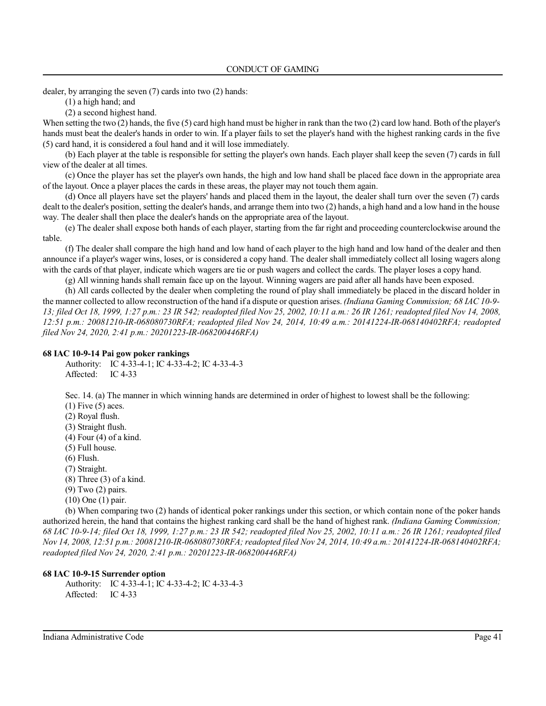dealer, by arranging the seven (7) cards into two (2) hands:

(1) a high hand; and

(2) a second highest hand.

When setting the two (2) hands, the five (5) card high hand must be higher in rank than the two (2) card low hand. Both of the player's hands must beat the dealer's hands in order to win. If a player fails to set the player's hand with the highest ranking cards in the five (5) card hand, it is considered a foul hand and it will lose immediately.

(b) Each player at the table is responsible for setting the player's own hands. Each player shall keep the seven (7) cards in full view of the dealer at all times.

(c) Once the player has set the player's own hands, the high and low hand shall be placed face down in the appropriate area of the layout. Once a player places the cards in these areas, the player may not touch them again.

(d) Once all players have set the players' hands and placed them in the layout, the dealer shall turn over the seven (7) cards dealt to the dealer's position, setting the dealer's hands, and arrange them into two (2) hands, a high hand and a low hand in the house way. The dealer shall then place the dealer's hands on the appropriate area of the layout.

(e) The dealer shall expose both hands of each player, starting from the far right and proceeding counterclockwise around the table.

(f) The dealer shall compare the high hand and low hand of each player to the high hand and low hand of the dealer and then announce if a player's wager wins, loses, or is considered a copy hand. The dealer shall immediately collect all losing wagers along with the cards of that player, indicate which wagers are tie or push wagers and collect the cards. The player loses a copy hand.

(g) All winning hands shall remain face up on the layout. Winning wagers are paid after all hands have been exposed.

(h) All cards collected by the dealer when completing the round of play shall immediately be placed in the discard holder in the manner collected to allow reconstruction of the hand if a dispute or question arises. *(Indiana Gaming Commission; 68 IAC 10-9- 13; filed Oct 18, 1999, 1:27 p.m.: 23 IR 542; readopted filed Nov 25, 2002, 10:11 a.m.: 26 IR 1261; readopted filed Nov 14, 2008, 12:51 p.m.: 20081210-IR-068080730RFA; readopted filed Nov 24, 2014, 10:49 a.m.: 20141224-IR-068140402RFA; readopted filed Nov 24, 2020, 2:41 p.m.: 20201223-IR-068200446RFA)*

### **68 IAC 10-9-14 Pai gow poker rankings**

Authority: IC 4-33-4-1; IC 4-33-4-2; IC 4-33-4-3 Affected: IC 4-33

Sec. 14. (a) The manner in which winning hands are determined in order of highest to lowest shall be the following:  $(1)$  Five  $(5)$  aces.

(2) Royal flush. (3) Straight flush. (4) Four (4) of a kind. (5) Full house. (6) Flush. (7) Straight.  $(8)$  Three  $(3)$  of a kind. (9) Two (2) pairs. (10) One (1) pair.

(b) When comparing two (2) hands of identical poker rankings under this section, or which contain none of the poker hands authorized herein, the hand that contains the highest ranking card shall be the hand of highest rank. *(Indiana Gaming Commission; 68 IAC 10-9-14; filed Oct 18, 1999, 1:27 p.m.: 23 IR 542; readopted filed Nov 25, 2002, 10:11 a.m.: 26 IR 1261; readopted filed Nov 14, 2008, 12:51 p.m.: 20081210-IR-068080730RFA; readopted filed Nov 24, 2014, 10:49 a.m.: 20141224-IR-068140402RFA; readopted filed Nov 24, 2020, 2:41 p.m.: 20201223-IR-068200446RFA)*

### **68 IAC 10-9-15 Surrender option**

Authority: IC 4-33-4-1; IC 4-33-4-2; IC 4-33-4-3 Affected: IC 4-33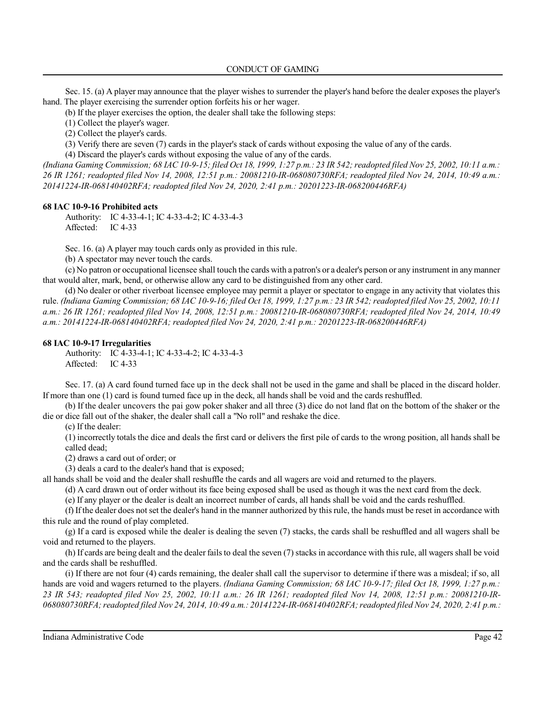CONDUCT OF GAMING

Sec. 15. (a) A player may announce that the player wishes to surrender the player's hand before the dealer exposes the player's hand. The player exercising the surrender option forfeits his or her wager.

(b) If the player exercises the option, the dealer shall take the following steps:

(1) Collect the player's wager.

(2) Collect the player's cards.

(3) Verify there are seven (7) cards in the player's stack of cards without exposing the value of any of the cards.

(4) Discard the player's cards without exposing the value of any of the cards.

*(Indiana Gaming Commission; 68 IAC 10-9-15; filed Oct 18, 1999, 1:27 p.m.: 23 IR 542; readopted filed Nov 25, 2002, 10:11 a.m.: 26 IR 1261; readopted filed Nov 14, 2008, 12:51 p.m.: 20081210-IR-068080730RFA; readopted filed Nov 24, 2014, 10:49 a.m.: 20141224-IR-068140402RFA; readopted filed Nov 24, 2020, 2:41 p.m.: 20201223-IR-068200446RFA)*

## **68 IAC 10-9-16 Prohibited acts**

Authority: IC 4-33-4-1; IC 4-33-4-2; IC 4-33-4-3 Affected: IC 4-33

Sec. 16. (a) A player may touch cards only as provided in this rule.

(b) A spectator may never touch the cards.

(c) No patron or occupational licensee shall touch the cards with a patron's or a dealer's person or any instrument in any manner that would alter, mark, bend, or otherwise allow any card to be distinguished from any other card.

(d) No dealer or other riverboat licensee employee may permit a player or spectator to engage in any activity that violates this rule. *(Indiana Gaming Commission; 68 IAC 10-9-16; filed Oct 18, 1999, 1:27 p.m.: 23 IR 542;readopted filed Nov 25, 2002, 10:11 a.m.: 26 IR 1261; readopted filed Nov 14, 2008, 12:51 p.m.: 20081210-IR-068080730RFA; readopted filed Nov 24, 2014, 10:49 a.m.: 20141224-IR-068140402RFA; readopted filed Nov 24, 2020, 2:41 p.m.: 20201223-IR-068200446RFA)*

## **68 IAC 10-9-17 Irregularities**

Authority: IC 4-33-4-1; IC 4-33-4-2; IC 4-33-4-3 Affected: IC 4-33

Sec. 17. (a) A card found turned face up in the deck shall not be used in the game and shall be placed in the discard holder. If more than one (1) card is found turned face up in the deck, all hands shall be void and the cards reshuffled.

(b) If the dealer uncovers the pai gow poker shaker and all three (3) dice do not land flat on the bottom of the shaker or the die or dice fall out of the shaker, the dealer shall call a "No roll" and reshake the dice.

(c) If the dealer:

(1) incorrectly totals the dice and deals the first card or delivers the first pile of cards to the wrong position, all hands shall be called dead;

(2) draws a card out of order; or

(3) deals a card to the dealer's hand that is exposed;

all hands shall be void and the dealer shall reshuffle the cards and all wagers are void and returned to the players.

(d) A card drawn out of order without its face being exposed shall be used as though it was the next card from the deck.

(e) If any player or the dealer is dealt an incorrect number of cards, all hands shall be void and the cards reshuffled.

(f) If the dealer does not set the dealer's hand in the manner authorized by this rule, the hands must be reset in accordance with this rule and the round of play completed.

(g) If a card is exposed while the dealer is dealing the seven (7) stacks, the cards shall be reshuffled and all wagers shall be void and returned to the players.

(h) If cards are being dealt and the dealer fails to deal the seven (7) stacks in accordance with this rule, all wagers shall be void and the cards shall be reshuffled.

(i) If there are not four (4) cards remaining, the dealer shall call the supervisor to determine if there was a misdeal; if so, all hands are void and wagers returned to the players. *(Indiana Gaming Commission; 68 IAC 10-9-17; filed Oct 18, 1999, 1:27 p.m.: 23 IR 543; readopted filed Nov 25, 2002, 10:11 a.m.: 26 IR 1261; readopted filed Nov 14, 2008, 12:51 p.m.: 20081210-IR-068080730RFA;readopted filed Nov 24, 2014, 10:49 a.m.: 20141224-IR-068140402RFA;readopted filed Nov 24, 2020, 2:41 p.m.:*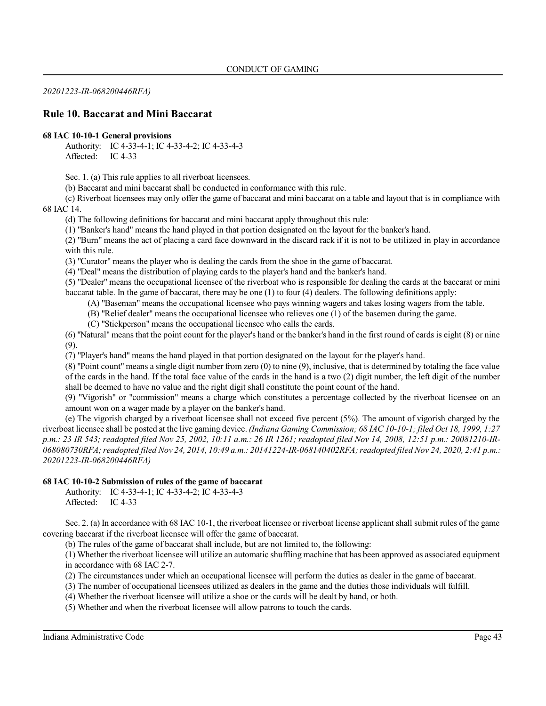*20201223-IR-068200446RFA)*

## **Rule 10. Baccarat and Mini Baccarat**

### **68 IAC 10-10-1 General provisions**

Authority: IC 4-33-4-1; IC 4-33-4-2; IC 4-33-4-3 Affected: IC 4-33

Sec. 1. (a) This rule applies to all riverboat licensees.

(b) Baccarat and mini baccarat shall be conducted in conformance with this rule.

(c) Riverboat licensees may only offer the game of baccarat and mini baccarat on a table and layout that is in compliance with 68 IAC 14.

(d) The following definitions for baccarat and mini baccarat apply throughout this rule:

(1) "Banker's hand" means the hand played in that portion designated on the layout for the banker's hand.

(2) "Burn" means the act of placing a card face downward in the discard rack if it is not to be utilized in play in accordance with this rule.

(3) "Curator" means the player who is dealing the cards from the shoe in the game of baccarat.

(4) "Deal" means the distribution of playing cards to the player's hand and the banker's hand.

(5) "Dealer" means the occupational licensee of the riverboat who is responsible for dealing the cards at the baccarat or mini baccarat table. In the game of baccarat, there may be one (1) to four (4) dealers. The following definitions apply:

(A) "Baseman" means the occupational licensee who pays winning wagers and takes losing wagers from the table.

(B) "Relief dealer" means the occupational licensee who relieves one (1) of the basemen during the game.

(C) "Stickperson" means the occupational licensee who calls the cards.

(6) "Natural" means that the point count for the player's hand or the banker's hand in the first round of cards is eight (8) or nine (9).

(7) "Player's hand" means the hand played in that portion designated on the layout for the player's hand.

(8) "Point count" means a single digit number from zero (0) to nine (9), inclusive, that is determined by totaling the face value of the cards in the hand. If the total face value of the cards in the hand is a two (2) digit number, the left digit of the number shall be deemed to have no value and the right digit shall constitute the point count of the hand.

(9) "Vigorish" or "commission" means a charge which constitutes a percentage collected by the riverboat licensee on an amount won on a wager made by a player on the banker's hand.

(e) The vigorish charged by a riverboat licensee shall not exceed five percent (5%). The amount of vigorish charged by the riverboat licensee shall be posted at the live gaming device. *(Indiana Gaming Commission; 68 IAC 10-10-1; filed Oct 18, 1999, 1:27 p.m.: 23 IR 543; readopted filed Nov 25, 2002, 10:11 a.m.: 26 IR 1261; readopted filed Nov 14, 2008, 12:51 p.m.: 20081210-IR-068080730RFA;readopted filed Nov 24, 2014, 10:49 a.m.: 20141224-IR-068140402RFA;readopted filed Nov 24, 2020, 2:41 p.m.: 20201223-IR-068200446RFA)*

## **68 IAC 10-10-2 Submission of rules of the game of baccarat**

Authority: IC 4-33-4-1; IC 4-33-4-2; IC 4-33-4-3 Affected: IC 4-33

Sec. 2. (a) In accordance with 68 IAC 10-1, the riverboat licensee or riverboat license applicant shall submit rules of the game covering baccarat if the riverboat licensee will offer the game of baccarat.

(b) The rules of the game of baccarat shall include, but are not limited to, the following:

(1) Whether the riverboat licensee will utilize an automatic shuffling machine that has been approved as associated equipment in accordance with 68 IAC 2-7.

(2) The circumstances under which an occupational licensee will perform the duties as dealer in the game of baccarat.

(3) The number of occupational licensees utilized as dealers in the game and the duties those individuals will fulfill.

(4) Whether the riverboat licensee will utilize a shoe or the cards will be dealt by hand, or both.

(5) Whether and when the riverboat licensee will allow patrons to touch the cards.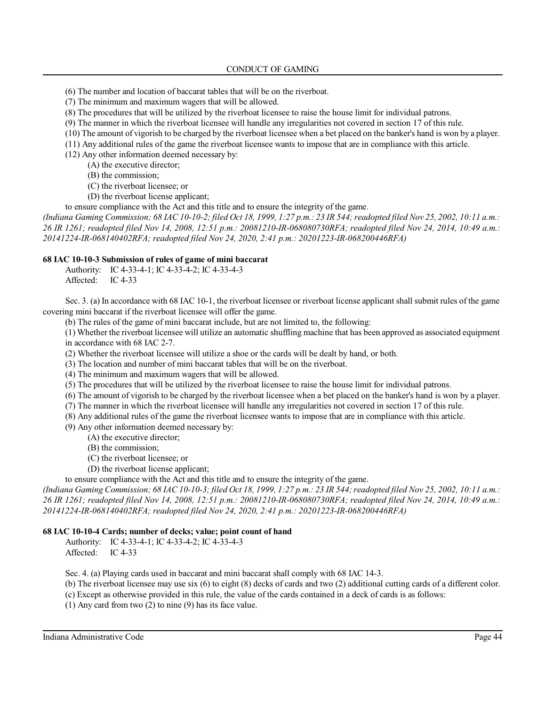## CONDUCT OF GAMING

- (6) The number and location of baccarat tables that will be on the riverboat.
- (7) The minimum and maximum wagers that will be allowed.
- (8) The procedures that will be utilized by the riverboat licensee to raise the house limit for individual patrons.
- (9) The manner in which the riverboat licensee will handle any irregularities not covered in section 17 of this rule.
- (10) The amount of vigorish to be charged by the riverboat licensee when a bet placed on the banker's hand is won by a player.
- (11) Any additional rules of the game the riverboat licensee wants to impose that are in compliance with this article.
- (12) Any other information deemed necessary by:
	- (A) the executive director;
	- (B) the commission;
	- (C) the riverboat licensee; or
	- (D) the riverboat license applicant;
- to ensure compliance with the Act and this title and to ensure the integrity of the game.

*(Indiana Gaming Commission; 68 IAC 10-10-2; filed Oct 18, 1999, 1:27 p.m.: 23 IR 544;readopted filed Nov 25, 2002, 10:11 a.m.: 26 IR 1261; readopted filed Nov 14, 2008, 12:51 p.m.: 20081210-IR-068080730RFA; readopted filed Nov 24, 2014, 10:49 a.m.: 20141224-IR-068140402RFA; readopted filed Nov 24, 2020, 2:41 p.m.: 20201223-IR-068200446RFA)*

## **68 IAC 10-10-3 Submission of rules of game of mini baccarat**

Authority: IC 4-33-4-1; IC 4-33-4-2; IC 4-33-4-3 Affected: IC 4-33

Sec. 3. (a) In accordance with 68 IAC 10-1, the riverboat licensee or riverboat license applicant shall submit rules of the game covering mini baccarat if the riverboat licensee will offer the game.

(b) The rules of the game of mini baccarat include, but are not limited to, the following:

(1) Whether the riverboat licensee will utilize an automatic shuffling machine that has been approved as associated equipment in accordance with 68 IAC 2-7.

(2) Whether the riverboat licensee will utilize a shoe or the cards will be dealt by hand, or both.

- (3) The location and number of mini baccarat tables that will be on the riverboat.
- (4) The minimum and maximum wagers that will be allowed.
- (5) The procedures that will be utilized by the riverboat licensee to raise the house limit for individual patrons.
- (6) The amount of vigorish to be charged by the riverboat licensee when a bet placed on the banker's hand is won by a player.
- (7) The manner in which the riverboat licensee will handle any irregularities not covered in section 17 of this rule.
- (8) Any additional rules of the game the riverboat licensee wants to impose that are in compliance with this article.

(9) Any other information deemed necessary by:

- (A) the executive director;
- (B) the commission;
- (C) the riverboat licensee; or
- (D) the riverboat license applicant;

to ensure compliance with the Act and this title and to ensure the integrity of the game.

*(Indiana Gaming Commission; 68 IAC 10-10-3; filed Oct 18, 1999, 1:27 p.m.: 23 IR 544;readopted filed Nov 25, 2002, 10:11 a.m.: 26 IR 1261; readopted filed Nov 14, 2008, 12:51 p.m.: 20081210-IR-068080730RFA; readopted filed Nov 24, 2014, 10:49 a.m.: 20141224-IR-068140402RFA; readopted filed Nov 24, 2020, 2:41 p.m.: 20201223-IR-068200446RFA)*

## **68 IAC 10-10-4 Cards; number of decks; value; point count of hand**

Authority: IC 4-33-4-1; IC 4-33-4-2; IC 4-33-4-3 Affected: IC 4-33

Sec. 4. (a) Playing cards used in baccarat and mini baccarat shall comply with 68 IAC 14-3.

(b) The riverboat licensee may use six (6) to eight (8) decks of cards and two (2) additional cutting cards of a different color.

(c) Except as otherwise provided in this rule, the value of the cards contained in a deck of cards is as follows:

(1) Any card from two (2) to nine (9) has its face value.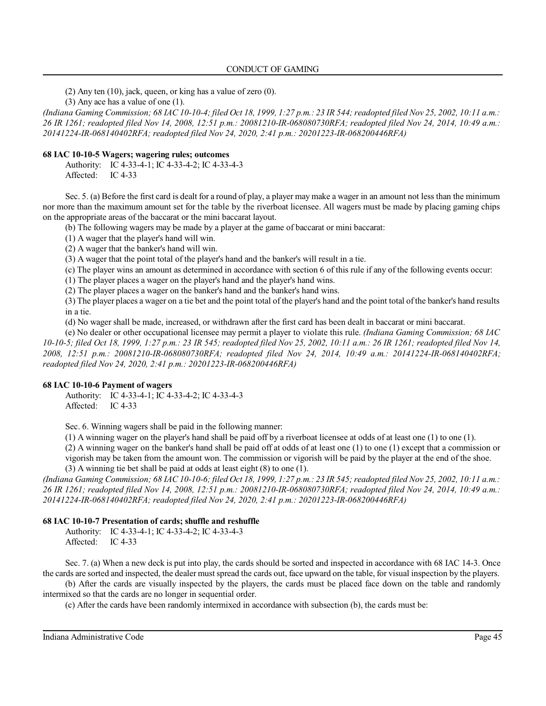## CONDUCT OF GAMING

(2) Any ten (10), jack, queen, or king has a value of zero (0).

(3) Any ace has a value of one (1).

*(Indiana Gaming Commission; 68 IAC 10-10-4; filed Oct 18, 1999, 1:27 p.m.: 23 IR 544;readopted filed Nov 25, 2002, 10:11 a.m.: 26 IR 1261; readopted filed Nov 14, 2008, 12:51 p.m.: 20081210-IR-068080730RFA; readopted filed Nov 24, 2014, 10:49 a.m.: 20141224-IR-068140402RFA; readopted filed Nov 24, 2020, 2:41 p.m.: 20201223-IR-068200446RFA)*

## **68 IAC 10-10-5 Wagers; wagering rules; outcomes**

Authority: IC 4-33-4-1; IC 4-33-4-2; IC 4-33-4-3 Affected: IC 4-33

Sec. 5. (a) Before the first card is dealt for a round of play, a player may make a wager in an amount not less than the minimum nor more than the maximum amount set for the table by the riverboat licensee. All wagers must be made by placing gaming chips on the appropriate areas of the baccarat or the mini baccarat layout.

(b) The following wagers may be made by a player at the game of baccarat or mini baccarat:

(1) A wager that the player's hand will win.

(2) A wager that the banker's hand will win.

(3) A wager that the point total of the player's hand and the banker's will result in a tie.

(c) The player wins an amount as determined in accordance with section 6 of this rule if any of the following events occur:

(1) The player places a wager on the player's hand and the player's hand wins.

(2) The player places a wager on the banker's hand and the banker's hand wins.

(3) The player places a wager on a tie bet and the point total of the player's hand and the point total ofthe banker's hand results in a tie.

(d) No wager shall be made, increased, or withdrawn after the first card has been dealt in baccarat or mini baccarat.

(e) No dealer or other occupational licensee may permit a player to violate this rule. *(Indiana Gaming Commission; 68 IAC 10-10-5; filed Oct 18, 1999, 1:27 p.m.: 23 IR 545; readopted filed Nov 25, 2002, 10:11 a.m.: 26 IR 1261; readopted filed Nov 14, 2008, 12:51 p.m.: 20081210-IR-068080730RFA; readopted filed Nov 24, 2014, 10:49 a.m.: 20141224-IR-068140402RFA; readopted filed Nov 24, 2020, 2:41 p.m.: 20201223-IR-068200446RFA)*

## **68 IAC 10-10-6 Payment of wagers**

Authority: IC 4-33-4-1; IC 4-33-4-2; IC 4-33-4-3 Affected: IC 4-33

Sec. 6. Winning wagers shall be paid in the following manner:

(1) A winning wager on the player's hand shall be paid off by a riverboat licensee at odds of at least one (1) to one (1).

(2) A winning wager on the banker's hand shall be paid off at odds of at least one (1) to one (1) except that a commission or vigorish may be taken from the amount won. The commission or vigorish will be paid by the player at the end of the shoe. (3) A winning tie bet shall be paid at odds at least eight (8) to one (1).

*(Indiana Gaming Commission; 68 IAC 10-10-6; filed Oct 18, 1999, 1:27 p.m.: 23 IR 545;readopted filed Nov 25, 2002, 10:11 a.m.: 26 IR 1261; readopted filed Nov 14, 2008, 12:51 p.m.: 20081210-IR-068080730RFA; readopted filed Nov 24, 2014, 10:49 a.m.: 20141224-IR-068140402RFA; readopted filed Nov 24, 2020, 2:41 p.m.: 20201223-IR-068200446RFA)*

## **68 IAC 10-10-7 Presentation of cards; shuffle and reshuffle**

Authority: IC 4-33-4-1; IC 4-33-4-2; IC 4-33-4-3 Affected: IC 4-33

Sec. 7. (a) When a new deck is put into play, the cards should be sorted and inspected in accordance with 68 IAC 14-3. Once the cards are sorted and inspected, the dealer mustspread the cards out, face upward on the table, for visual inspection by the players.

(b) After the cards are visually inspected by the players, the cards must be placed face down on the table and randomly intermixed so that the cards are no longer in sequential order.

(c) After the cards have been randomly intermixed in accordance with subsection (b), the cards must be: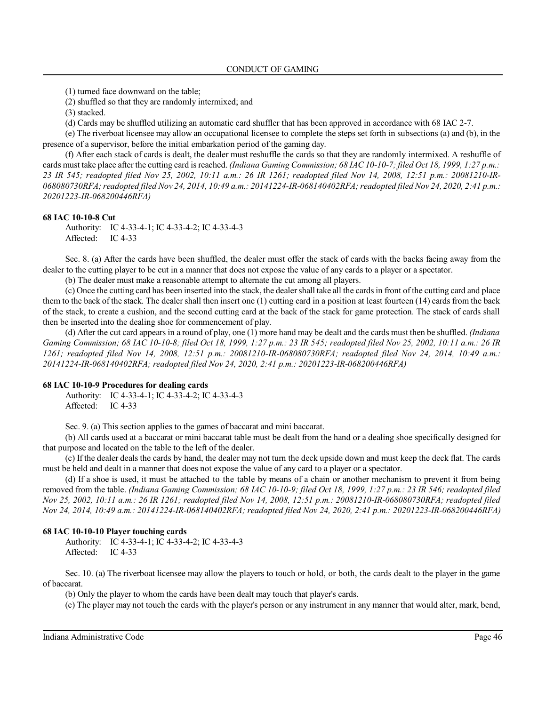(1) turned face downward on the table;

(2) shuffled so that they are randomly intermixed; and

(3) stacked.

(d) Cards may be shuffled utilizing an automatic card shuffler that has been approved in accordance with 68 IAC 2-7.

(e) The riverboat licensee may allow an occupational licensee to complete the steps set forth in subsections (a) and (b), in the presence of a supervisor, before the initial embarkation period of the gaming day.

(f) After each stack of cards is dealt, the dealer must reshuffle the cards so that they are randomly intermixed. A reshuffle of cards must take place after the cutting card isreached. *(Indiana Gaming Commission; 68 IAC 10-10-7; filed Oct 18, 1999, 1:27 p.m.: 23 IR 545; readopted filed Nov 25, 2002, 10:11 a.m.: 26 IR 1261; readopted filed Nov 14, 2008, 12:51 p.m.: 20081210-IR-068080730RFA;readopted filed Nov 24, 2014, 10:49 a.m.: 20141224-IR-068140402RFA;readopted filed Nov 24, 2020, 2:41 p.m.: 20201223-IR-068200446RFA)*

#### **68 IAC 10-10-8 Cut**

Authority: IC 4-33-4-1; IC 4-33-4-2; IC 4-33-4-3 Affected: IC 4-33

Sec. 8. (a) After the cards have been shuffled, the dealer must offer the stack of cards with the backs facing away from the dealer to the cutting player to be cut in a manner that does not expose the value of any cards to a player or a spectator.

(b) The dealer must make a reasonable attempt to alternate the cut among all players.

(c) Once the cutting card has been inserted into the stack, the dealershall take all the cards in front of the cutting card and place them to the back of the stack. The dealer shall then insert one (1) cutting card in a position at least fourteen (14) cards from the back of the stack, to create a cushion, and the second cutting card at the back of the stack for game protection. The stack of cards shall then be inserted into the dealing shoe for commencement of play.

(d) After the cut card appears in a round of play, one (1) more hand may be dealt and the cards must then be shuffled. *(Indiana Gaming Commission; 68 IAC 10-10-8; filed Oct 18, 1999, 1:27 p.m.: 23 IR 545; readopted filed Nov 25, 2002, 10:11 a.m.: 26 IR 1261; readopted filed Nov 14, 2008, 12:51 p.m.: 20081210-IR-068080730RFA; readopted filed Nov 24, 2014, 10:49 a.m.: 20141224-IR-068140402RFA; readopted filed Nov 24, 2020, 2:41 p.m.: 20201223-IR-068200446RFA)*

#### **68 IAC 10-10-9 Procedures for dealing cards**

Authority: IC 4-33-4-1; IC 4-33-4-2; IC 4-33-4-3 Affected: IC 4-33

Sec. 9. (a) This section applies to the games of baccarat and mini baccarat.

(b) All cards used at a baccarat or mini baccarat table must be dealt from the hand or a dealing shoe specifically designed for that purpose and located on the table to the left of the dealer.

(c) If the dealer deals the cards by hand, the dealer may not turn the deck upside down and must keep the deck flat. The cards must be held and dealt in a manner that does not expose the value of any card to a player or a spectator.

(d) If a shoe is used, it must be attached to the table by means of a chain or another mechanism to prevent it from being removed from the table. *(Indiana Gaming Commission; 68 IAC 10-10-9; filed Oct 18, 1999, 1:27 p.m.: 23 IR 546; readopted filed Nov 25, 2002, 10:11 a.m.: 26 IR 1261; readopted filed Nov 14, 2008, 12:51 p.m.: 20081210-IR-068080730RFA; readopted filed Nov 24, 2014, 10:49 a.m.: 20141224-IR-068140402RFA; readopted filed Nov 24, 2020, 2:41 p.m.: 20201223-IR-068200446RFA)*

### **68 IAC 10-10-10 Player touching cards**

Authority: IC 4-33-4-1; IC 4-33-4-2; IC 4-33-4-3 Affected: IC 4-33

Sec. 10. (a) The riverboat licensee may allow the players to touch or hold, or both, the cards dealt to the player in the game of baccarat.

(b) Only the player to whom the cards have been dealt may touch that player's cards.

(c) The player may not touch the cards with the player's person or any instrument in any manner that would alter, mark, bend,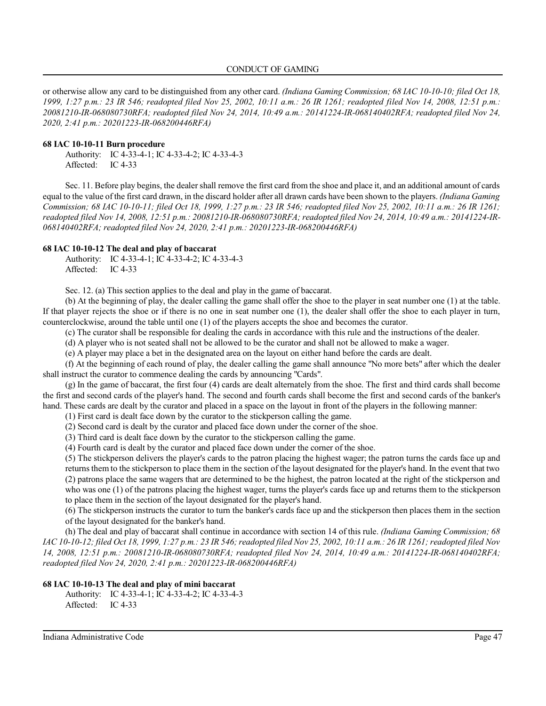### CONDUCT OF GAMING

or otherwise allow any card to be distinguished from any other card. *(Indiana Gaming Commission; 68 IAC 10-10-10; filed Oct 18, 1999, 1:27 p.m.: 23 IR 546; readopted filed Nov 25, 2002, 10:11 a.m.: 26 IR 1261; readopted filed Nov 14, 2008, 12:51 p.m.: 20081210-IR-068080730RFA; readopted filed Nov 24, 2014, 10:49 a.m.: 20141224-IR-068140402RFA; readopted filed Nov 24, 2020, 2:41 p.m.: 20201223-IR-068200446RFA)*

#### **68 IAC 10-10-11 Burn procedure**

Authority: IC 4-33-4-1; IC 4-33-4-2; IC 4-33-4-3 Affected: IC 4-33

Sec. 11. Before play begins, the dealershall remove the first card from the shoe and place it, and an additional amount of cards equal to the value of the first card drawn, in the discard holder after all drawn cards have been shown to the players. *(Indiana Gaming Commission; 68 IAC 10-10-11; filed Oct 18, 1999, 1:27 p.m.: 23 IR 546; readopted filed Nov 25, 2002, 10:11 a.m.: 26 IR 1261; readopted filed Nov 14, 2008, 12:51 p.m.: 20081210-IR-068080730RFA; readopted filed Nov 24, 2014, 10:49 a.m.: 20141224-IR-068140402RFA; readopted filed Nov 24, 2020, 2:41 p.m.: 20201223-IR-068200446RFA)*

#### **68 IAC 10-10-12 The deal and play of baccarat**

Authority: IC 4-33-4-1; IC 4-33-4-2; IC 4-33-4-3 Affected: IC 4-33

Sec. 12. (a) This section applies to the deal and play in the game of baccarat.

(b) At the beginning of play, the dealer calling the game shall offer the shoe to the player in seat number one (1) at the table. If that player rejects the shoe or if there is no one in seat number one (1), the dealer shall offer the shoe to each player in turn, counterclockwise, around the table until one (1) of the players accepts the shoe and becomes the curator.

(c) The curator shall be responsible for dealing the cards in accordance with this rule and the instructions of the dealer.

(d) A player who is not seated shall not be allowed to be the curator and shall not be allowed to make a wager.

(e) A player may place a bet in the designated area on the layout on either hand before the cards are dealt.

(f) At the beginning of each round of play, the dealer calling the game shall announce "No more bets" after which the dealer shall instruct the curator to commence dealing the cards by announcing "Cards".

(g) In the game of baccarat, the first four (4) cards are dealt alternately from the shoe. The first and third cards shall become the first and second cards of the player's hand. The second and fourth cards shall become the first and second cards of the banker's hand. These cards are dealt by the curator and placed in a space on the layout in front of the players in the following manner:

(1) First card is dealt face down by the curator to the stickperson calling the game.

(2) Second card is dealt by the curator and placed face down under the corner of the shoe.

(3) Third card is dealt face down by the curator to the stickperson calling the game.

(4) Fourth card is dealt by the curator and placed face down under the corner of the shoe.

(5) The stickperson delivers the player's cards to the patron placing the highest wager; the patron turns the cards face up and returns them to the stickperson to place them in the section of the layout designated for the player's hand. In the event that two (2) patrons place the same wagers that are determined to be the highest, the patron located at the right of the stickperson and who was one (1) of the patrons placing the highest wager, turns the player's cards face up and returns them to the stickperson

to place them in the section of the layout designated for the player's hand.

(6) The stickperson instructs the curator to turn the banker's cards face up and the stickperson then places them in the section of the layout designated for the banker's hand.

(h) The deal and play of baccarat shall continue in accordance with section 14 of this rule. *(Indiana Gaming Commission; 68 IAC* 10-10-12; filed Oct 18, 1999, 1:27 p.m.: 23 IR 546; readopted filed Nov 25, 2002, 10:11 a.m.: 26 IR 1261; readopted filed Nov *14, 2008, 12:51 p.m.: 20081210-IR-068080730RFA; readopted filed Nov 24, 2014, 10:49 a.m.: 20141224-IR-068140402RFA; readopted filed Nov 24, 2020, 2:41 p.m.: 20201223-IR-068200446RFA)*

## **68 IAC 10-10-13 The deal and play of mini baccarat**

Authority: IC 4-33-4-1; IC 4-33-4-2; IC 4-33-4-3 Affected: IC 4-33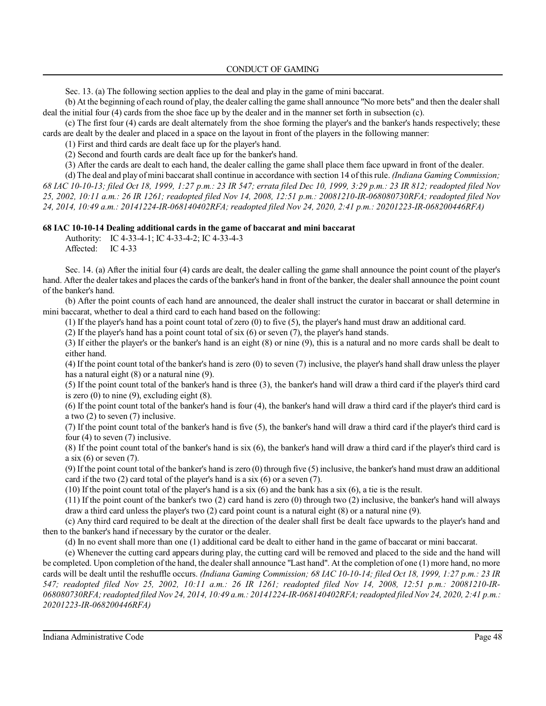Sec. 13. (a) The following section applies to the deal and play in the game of mini baccarat.

(b) At the beginning of each round of play, the dealer calling the game shall announce "No more bets" and then the dealer shall deal the initial four (4) cards from the shoe face up by the dealer and in the manner set forth in subsection (c).

(c) The first four (4) cards are dealt alternately from the shoe forming the player's and the banker's hands respectively; these cards are dealt by the dealer and placed in a space on the layout in front of the players in the following manner:

(1) First and third cards are dealt face up for the player's hand.

(2) Second and fourth cards are dealt face up for the banker's hand.

(3) After the cards are dealt to each hand, the dealer calling the game shall place them face upward in front of the dealer.

(d) The deal and play of mini baccarat shall continue in accordance with section 14 of thisrule. *(Indiana Gaming Commission; 68 IAC 10-10-13; filed Oct 18, 1999, 1:27 p.m.: 23 IR 547; errata filed Dec 10, 1999, 3:29 p.m.: 23 IR 812; readopted filed Nov 25, 2002, 10:11 a.m.: 26 IR 1261; readopted filed Nov 14, 2008, 12:51 p.m.: 20081210-IR-068080730RFA; readopted filed Nov 24, 2014, 10:49 a.m.: 20141224-IR-068140402RFA; readopted filed Nov 24, 2020, 2:41 p.m.: 20201223-IR-068200446RFA)*

## **68 IAC 10-10-14 Dealing additional cards in the game of baccarat and mini baccarat**

Authority: IC 4-33-4-1; IC 4-33-4-2; IC 4-33-4-3 Affected: IC 4-33

Sec. 14. (a) After the initial four (4) cards are dealt, the dealer calling the game shall announce the point count of the player's hand. After the dealer takes and places the cards of the banker's hand in front of the banker, the dealer shall announce the point count of the banker's hand.

(b) After the point counts of each hand are announced, the dealer shall instruct the curator in baccarat or shall determine in mini baccarat, whether to deal a third card to each hand based on the following:

(1) If the player's hand has a point count total of zero (0) to five (5), the player's hand must draw an additional card.

(2) If the player's hand has a point count total of six (6) or seven (7), the player's hand stands.

(3) If either the player's or the banker's hand is an eight (8) or nine (9), this is a natural and no more cards shall be dealt to either hand.

(4) If the point count total of the banker's hand is zero (0) to seven (7) inclusive, the player's hand shall draw unless the player has a natural eight (8) or a natural nine (9).

(5) If the point count total of the banker's hand is three (3), the banker's hand will draw a third card if the player's third card is zero  $(0)$  to nine  $(9)$ , excluding eight  $(8)$ .

(6) If the point count total of the banker's hand is four (4), the banker's hand will draw a third card if the player's third card is a two (2) to seven (7) inclusive.

(7) If the point count total of the banker's hand is five (5), the banker's hand will draw a third card if the player's third card is four (4) to seven (7) inclusive.

(8) If the point count total of the banker's hand is six (6), the banker's hand will draw a third card if the player's third card is a six  $(6)$  or seven  $(7)$ .

(9) If the point count total of the banker's hand is zero (0) through five (5) inclusive, the banker's hand must draw an additional card if the two (2) card total of the player's hand is a six (6) or a seven (7).

(10) If the point count total of the player's hand is a six (6) and the bank has a six (6), a tie is the result.

(11) If the point count of the banker's two (2) card hand is zero (0) through two (2) inclusive, the banker's hand will always draw a third card unless the player's two (2) card point count is a natural eight (8) or a natural nine (9).

(c) Any third card required to be dealt at the direction of the dealer shall first be dealt face upwards to the player's hand and then to the banker's hand if necessary by the curator or the dealer.

(d) In no event shall more than one (1) additional card be dealt to either hand in the game of baccarat or mini baccarat.

(e) Whenever the cutting card appears during play, the cutting card will be removed and placed to the side and the hand will be completed. Upon completion of the hand, the dealershall announce "Last hand". At the completion of one (1) more hand, no more cards will be dealt until the reshuffle occurs. *(Indiana Gaming Commission; 68 IAC 10-10-14; filed Oct 18, 1999, 1:27 p.m.: 23 IR 547; readopted filed Nov 25, 2002, 10:11 a.m.: 26 IR 1261; readopted filed Nov 14, 2008, 12:51 p.m.: 20081210-IR-068080730RFA;readopted filed Nov 24, 2014, 10:49 a.m.: 20141224-IR-068140402RFA;readopted filed Nov 24, 2020, 2:41 p.m.: 20201223-IR-068200446RFA)*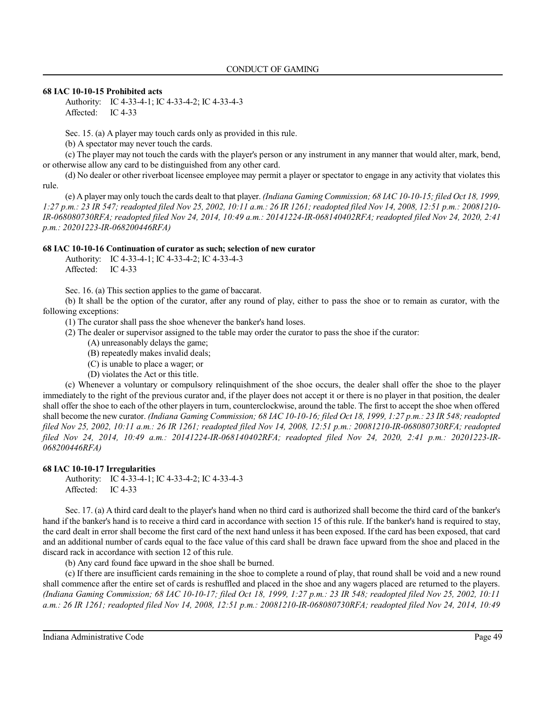### **68 IAC 10-10-15 Prohibited acts**

Authority: IC 4-33-4-1; IC 4-33-4-2; IC 4-33-4-3 Affected: IC 4-33

Sec. 15. (a) A player may touch cards only as provided in this rule.

(b) A spectator may never touch the cards.

(c) The player may not touch the cards with the player's person or any instrument in any manner that would alter, mark, bend, or otherwise allow any card to be distinguished from any other card.

(d) No dealer or other riverboat licensee employee may permit a player or spectator to engage in any activity that violates this rule.

(e) A player may only touch the cards dealt to that player. *(Indiana Gaming Commission; 68 IAC 10-10-15; filed Oct 18, 1999, 1:27 p.m.: 23 IR 547; readopted filed Nov 25, 2002, 10:11 a.m.: 26 IR 1261; readopted filed Nov 14, 2008, 12:51 p.m.: 20081210- IR-068080730RFA; readopted filed Nov 24, 2014, 10:49 a.m.: 20141224-IR-068140402RFA; readopted filed Nov 24, 2020, 2:41 p.m.: 20201223-IR-068200446RFA)*

## **68 IAC 10-10-16 Continuation of curator as such; selection of new curator**

Authority: IC 4-33-4-1; IC 4-33-4-2; IC 4-33-4-3 Affected: IC 4-33

Sec. 16. (a) This section applies to the game of baccarat.

(b) It shall be the option of the curator, after any round of play, either to pass the shoe or to remain as curator, with the following exceptions:

(1) The curator shall pass the shoe whenever the banker's hand loses.

- (2) The dealer or supervisor assigned to the table may order the curator to pass the shoe if the curator:
	- (A) unreasonably delays the game;
	- (B) repeatedly makes invalid deals;
	- (C) is unable to place a wager; or
	- (D) violates the Act or this title.

(c) Whenever a voluntary or compulsory relinquishment of the shoe occurs, the dealer shall offer the shoe to the player immediately to the right of the previous curator and, if the player does not accept it or there is no player in that position, the dealer shall offer the shoe to each of the other players in turn, counterclockwise, around the table. The first to accept the shoe when offered shall become the new curator. *(Indiana Gaming Commission; 68 IAC 10-10-16; filed Oct 18, 1999, 1:27 p.m.: 23 IR 548;readopted filed Nov 25, 2002, 10:11 a.m.: 26 IR 1261; readopted filed Nov 14, 2008, 12:51 p.m.: 20081210-IR-068080730RFA; readopted filed Nov 24, 2014, 10:49 a.m.: 20141224-IR-068140402RFA; readopted filed Nov 24, 2020, 2:41 p.m.: 20201223-IR-068200446RFA)*

## **68 IAC 10-10-17 Irregularities**

Authority: IC 4-33-4-1; IC 4-33-4-2; IC 4-33-4-3 Affected: IC 4-33

Sec. 17. (a) A third card dealt to the player's hand when no third card is authorized shall become the third card of the banker's hand if the banker's hand is to receive a third card in accordance with section 15 of this rule. If the banker's hand is required to stay, the card dealt in error shall become the first card of the next hand unless it has been exposed. If the card has been exposed, that card and an additional number of cards equal to the face value of this card shall be drawn face upward from the shoe and placed in the discard rack in accordance with section 12 of this rule.

(b) Any card found face upward in the shoe shall be burned.

(c) If there are insufficient cards remaining in the shoe to complete a round of play, that round shall be void and a new round shall commence after the entire set of cards is reshuffled and placed in the shoe and any wagers placed are returned to the players. *(Indiana Gaming Commission; 68 IAC 10-10-17; filed Oct 18, 1999, 1:27 p.m.: 23 IR 548; readopted filed Nov 25, 2002, 10:11 a.m.: 26 IR 1261; readopted filed Nov 14, 2008, 12:51 p.m.: 20081210-IR-068080730RFA; readopted filed Nov 24, 2014, 10:49*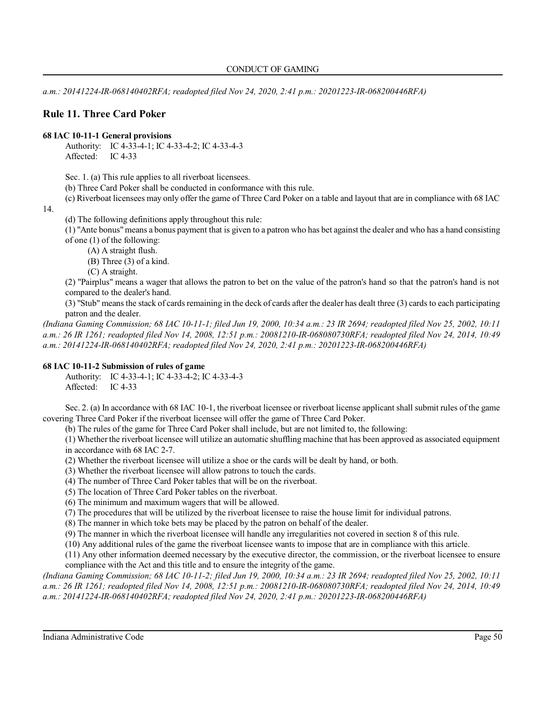*a.m.: 20141224-IR-068140402RFA; readopted filed Nov 24, 2020, 2:41 p.m.: 20201223-IR-068200446RFA)*

# **Rule 11. Three Card Poker**

## **68 IAC 10-11-1 General provisions**

Authority: IC 4-33-4-1; IC 4-33-4-2; IC 4-33-4-3 Affected: IC 4-33

Sec. 1. (a) This rule applies to all riverboat licensees.

(b) Three Card Poker shall be conducted in conformance with this rule.

(c) Riverboat licensees may only offer the game of Three Card Poker on a table and layout that are in compliance with 68 IAC

14.

(d) The following definitions apply throughout this rule:

(1) "Ante bonus"means a bonus payment that is given to a patron who has bet against the dealer and who has a hand consisting of one (1) of the following:

(A) A straight flush.

- (B) Three (3) of a kind.
- (C) A straight.

(2) "Pairplus" means a wager that allows the patron to bet on the value of the patron's hand so that the patron's hand is not compared to the dealer's hand.

(3) "Stub" means the stack of cards remaining in the deck of cards after the dealer has dealt three (3) cards to each participating patron and the dealer.

*(Indiana Gaming Commission; 68 IAC 10-11-1; filed Jun 19, 2000, 10:34 a.m.: 23 IR 2694; readopted filed Nov 25, 2002, 10:11 a.m.: 26 IR 1261; readopted filed Nov 14, 2008, 12:51 p.m.: 20081210-IR-068080730RFA; readopted filed Nov 24, 2014, 10:49 a.m.: 20141224-IR-068140402RFA; readopted filed Nov 24, 2020, 2:41 p.m.: 20201223-IR-068200446RFA)*

## **68 IAC 10-11-2 Submission of rules of game**

Authority: IC 4-33-4-1; IC 4-33-4-2; IC 4-33-4-3 Affected: IC 4-33

Sec. 2. (a) In accordance with 68 IAC 10-1, the riverboat licensee or riverboat license applicant shall submit rules of the game covering Three Card Poker if the riverboat licensee will offer the game of Three Card Poker.

(b) The rules of the game for Three Card Poker shall include, but are not limited to, the following:

(1) Whether the riverboat licensee will utilize an automatic shuffling machine that has been approved as associated equipment in accordance with 68 IAC 2-7.

(2) Whether the riverboat licensee will utilize a shoe or the cards will be dealt by hand, or both.

(3) Whether the riverboat licensee will allow patrons to touch the cards.

(4) The number of Three Card Poker tables that will be on the riverboat.

(5) The location of Three Card Poker tables on the riverboat.

(6) The minimum and maximum wagers that will be allowed.

(7) The procedures that will be utilized by the riverboat licensee to raise the house limit for individual patrons.

(8) The manner in which toke bets may be placed by the patron on behalf of the dealer.

(9) The manner in which the riverboat licensee will handle any irregularities not covered in section 8 of this rule.

(10) Any additional rules of the game the riverboat licensee wants to impose that are in compliance with this article.

(11) Any other information deemed necessary by the executive director, the commission, or the riverboat licensee to ensure compliance with the Act and this title and to ensure the integrity of the game.

*(Indiana Gaming Commission; 68 IAC 10-11-2; filed Jun 19, 2000, 10:34 a.m.: 23 IR 2694; readopted filed Nov 25, 2002, 10:11 a.m.: 26 IR 1261; readopted filed Nov 14, 2008, 12:51 p.m.: 20081210-IR-068080730RFA; readopted filed Nov 24, 2014, 10:49 a.m.: 20141224-IR-068140402RFA; readopted filed Nov 24, 2020, 2:41 p.m.: 20201223-IR-068200446RFA)*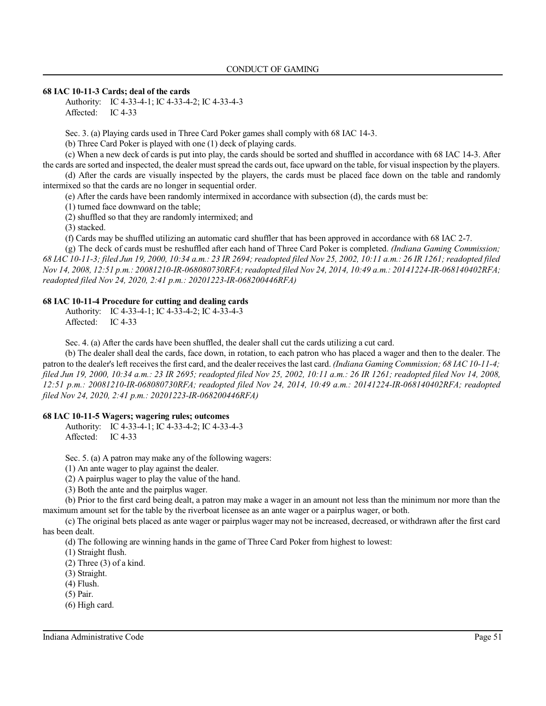### **68 IAC 10-11-3 Cards; deal of the cards**

Authority: IC 4-33-4-1; IC 4-33-4-2; IC 4-33-4-3 Affected: IC 4-33

Sec. 3. (a) Playing cards used in Three Card Poker games shall comply with 68 IAC 14-3.

(b) Three Card Poker is played with one (1) deck of playing cards.

(c) When a new deck of cards is put into play, the cards should be sorted and shuffled in accordance with 68 IAC 14-3. After the cards are sorted and inspected, the dealer mustspread the cards out, face upward on the table, for visual inspection by the players.

(d) After the cards are visually inspected by the players, the cards must be placed face down on the table and randomly intermixed so that the cards are no longer in sequential order.

(e) After the cards have been randomly intermixed in accordance with subsection (d), the cards must be:

(1) turned face downward on the table;

(2) shuffled so that they are randomly intermixed; and

(3) stacked.

(f) Cards may be shuffled utilizing an automatic card shuffler that has been approved in accordance with 68 IAC 2-7.

(g) The deck of cards must be reshuffled after each hand of Three Card Poker is completed. *(Indiana Gaming Commission; 68 IAC 10-11-3; filed Jun 19, 2000, 10:34 a.m.: 23 IR 2694; readopted filed Nov 25, 2002, 10:11 a.m.: 26 IR 1261; readopted filed Nov 14, 2008, 12:51 p.m.: 20081210-IR-068080730RFA;readopted filed Nov 24, 2014, 10:49 a.m.: 20141224-IR-068140402RFA; readopted filed Nov 24, 2020, 2:41 p.m.: 20201223-IR-068200446RFA)*

## **68 IAC 10-11-4 Procedure for cutting and dealing cards**

Authority: IC 4-33-4-1; IC 4-33-4-2; IC 4-33-4-3 Affected: IC 4-33

Sec. 4. (a) After the cards have been shuffled, the dealer shall cut the cards utilizing a cut card.

(b) The dealer shall deal the cards, face down, in rotation, to each patron who has placed a wager and then to the dealer. The patron to the dealer's left receives the first card, and the dealer receivesthe last card. *(Indiana Gaming Commission; 68 IAC 10-11-4; filed Jun 19, 2000, 10:34 a.m.: 23 IR 2695; readopted filed Nov 25, 2002, 10:11 a.m.: 26 IR 1261; readopted filed Nov 14, 2008, 12:51 p.m.: 20081210-IR-068080730RFA; readopted filed Nov 24, 2014, 10:49 a.m.: 20141224-IR-068140402RFA; readopted filed Nov 24, 2020, 2:41 p.m.: 20201223-IR-068200446RFA)*

### **68 IAC 10-11-5 Wagers; wagering rules; outcomes**

Authority: IC 4-33-4-1; IC 4-33-4-2; IC 4-33-4-3 Affected: IC 4-33

Sec. 5. (a) A patron may make any of the following wagers:

(1) An ante wager to play against the dealer.

(2) A pairplus wager to play the value of the hand.

(3) Both the ante and the pairplus wager.

(b) Prior to the first card being dealt, a patron may make a wager in an amount not less than the minimum nor more than the maximum amount set for the table by the riverboat licensee as an ante wager or a pairplus wager, or both.

(c) The original bets placed as ante wager or pairplus wager may not be increased, decreased, or withdrawn after the first card has been dealt.

(d) The following are winning hands in the game of Three Card Poker from highest to lowest:

(1) Straight flush.

 $(2)$  Three  $(3)$  of a kind.

(3) Straight.

(4) Flush.

(5) Pair.

(6) High card.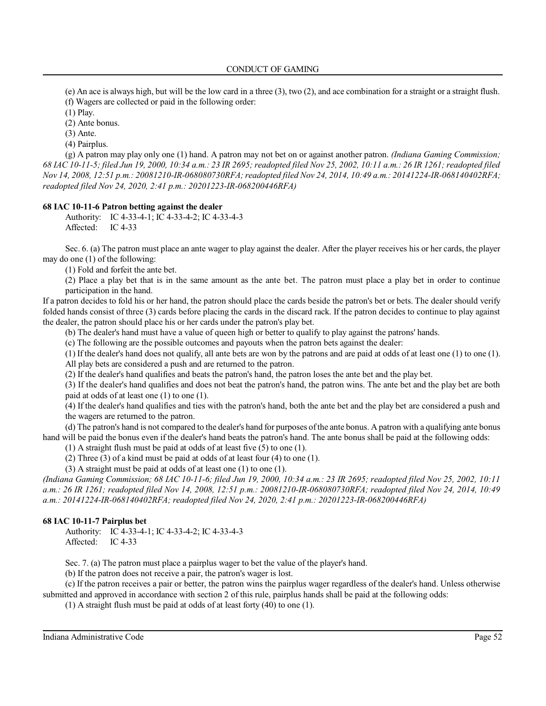(e) An ace is always high, but will be the low card in a three  $(3)$ , two  $(2)$ , and ace combination for a straight or a straight flush. (f) Wagers are collected or paid in the following order:

(1) Play.

(2) Ante bonus.

(3) Ante.

(4) Pairplus.

(g) A patron may play only one (1) hand. A patron may not bet on or against another patron. *(Indiana Gaming Commission; 68 IAC 10-11-5; filed Jun 19, 2000, 10:34 a.m.: 23 IR 2695; readopted filed Nov 25, 2002, 10:11 a.m.: 26 IR 1261; readopted filed Nov 14, 2008, 12:51 p.m.: 20081210-IR-068080730RFA;readopted filed Nov 24, 2014, 10:49 a.m.: 20141224-IR-068140402RFA; readopted filed Nov 24, 2020, 2:41 p.m.: 20201223-IR-068200446RFA)*

### **68 IAC 10-11-6 Patron betting against the dealer**

Authority: IC 4-33-4-1; IC 4-33-4-2; IC 4-33-4-3 Affected: IC 4-33

Sec. 6. (a) The patron must place an ante wager to play against the dealer. After the player receives his or her cards, the player may do one (1) of the following:

(1) Fold and forfeit the ante bet.

(2) Place a play bet that is in the same amount as the ante bet. The patron must place a play bet in order to continue participation in the hand.

If a patron decides to fold his or her hand, the patron should place the cards beside the patron's bet or bets. The dealer should verify folded hands consist of three (3) cards before placing the cards in the discard rack. If the patron decides to continue to play against the dealer, the patron should place his or her cards under the patron's play bet.

(b) The dealer's hand must have a value of queen high or better to qualify to play against the patrons' hands.

(c) The following are the possible outcomes and payouts when the patron bets against the dealer:

(1) If the dealer's hand does not qualify, all ante bets are won by the patrons and are paid at odds of at least one (1) to one (1). All play bets are considered a push and are returned to the patron.

(2) If the dealer's hand qualifies and beats the patron's hand, the patron loses the ante bet and the play bet.

(3) If the dealer's hand qualifies and does not beat the patron's hand, the patron wins. The ante bet and the play bet are both paid at odds of at least one (1) to one (1).

(4) If the dealer's hand qualifies and ties with the patron's hand, both the ante bet and the play bet are considered a push and the wagers are returned to the patron.

(d) The patron's hand is not compared to the dealer's hand for purposes ofthe ante bonus. A patron with a qualifying ante bonus hand will be paid the bonus even if the dealer's hand beats the patron's hand. The ante bonus shall be paid at the following odds:

(1) A straight flush must be paid at odds of at least five (5) to one (1).

(2) Three (3) of a kind must be paid at odds of at least four (4) to one (1).

(3) A straight must be paid at odds of at least one (1) to one (1).

*(Indiana Gaming Commission; 68 IAC 10-11-6; filed Jun 19, 2000, 10:34 a.m.: 23 IR 2695; readopted filed Nov 25, 2002, 10:11 a.m.: 26 IR 1261; readopted filed Nov 14, 2008, 12:51 p.m.: 20081210-IR-068080730RFA; readopted filed Nov 24, 2014, 10:49 a.m.: 20141224-IR-068140402RFA; readopted filed Nov 24, 2020, 2:41 p.m.: 20201223-IR-068200446RFA)*

## **68 IAC 10-11-7 Pairplus bet**

Authority: IC 4-33-4-1; IC 4-33-4-2; IC 4-33-4-3 Affected: IC 4-33

Sec. 7. (a) The patron must place a pairplus wager to bet the value of the player's hand.

(b) If the patron does not receive a pair, the patron's wager is lost.

(c) If the patron receives a pair or better, the patron wins the pairplus wager regardless of the dealer's hand. Unless otherwise submitted and approved in accordance with section 2 of this rule, pairplus hands shall be paid at the following odds:

(1) A straight flush must be paid at odds of at least forty (40) to one (1).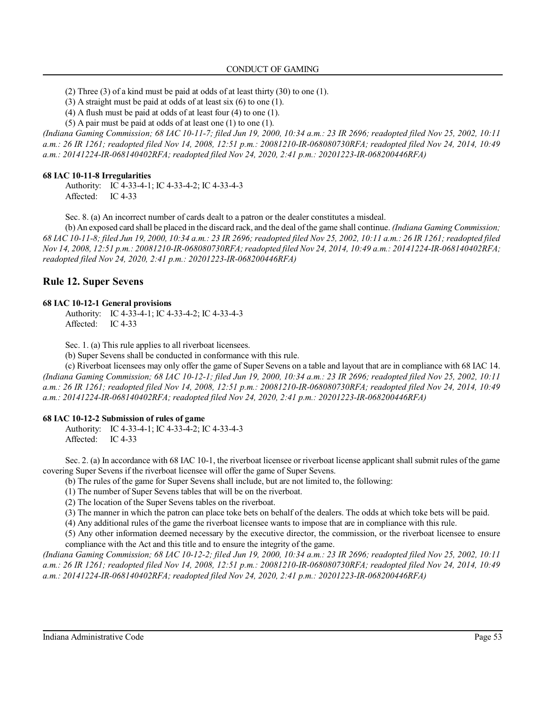(2) Three (3) of a kind must be paid at odds of at least thirty (30) to one (1).

(3) A straight must be paid at odds of at least six (6) to one (1).

(4) A flush must be paid at odds of at least four (4) to one (1).

(5) A pair must be paid at odds of at least one (1) to one (1).

*(Indiana Gaming Commission; 68 IAC 10-11-7; filed Jun 19, 2000, 10:34 a.m.: 23 IR 2696; readopted filed Nov 25, 2002, 10:11 a.m.: 26 IR 1261; readopted filed Nov 14, 2008, 12:51 p.m.: 20081210-IR-068080730RFA; readopted filed Nov 24, 2014, 10:49 a.m.: 20141224-IR-068140402RFA; readopted filed Nov 24, 2020, 2:41 p.m.: 20201223-IR-068200446RFA)*

#### **68 IAC 10-11-8 Irregularities**

Authority: IC 4-33-4-1; IC 4-33-4-2; IC 4-33-4-3 Affected: IC 4-33

Sec. 8. (a) An incorrect number of cards dealt to a patron or the dealer constitutes a misdeal.

(b) An exposed card shall be placed in the discard rack, and the deal ofthe game shall continue. *(Indiana Gaming Commission; 68 IAC 10-11-8; filed Jun 19, 2000, 10:34 a.m.: 23 IR 2696; readopted filed Nov 25, 2002, 10:11 a.m.: 26 IR 1261; readopted filed Nov 14, 2008, 12:51 p.m.: 20081210-IR-068080730RFA;readopted filed Nov 24, 2014, 10:49 a.m.: 20141224-IR-068140402RFA; readopted filed Nov 24, 2020, 2:41 p.m.: 20201223-IR-068200446RFA)*

## **Rule 12. Super Sevens**

#### **68 IAC 10-12-1 General provisions**

Authority: IC 4-33-4-1; IC 4-33-4-2; IC 4-33-4-3 Affected: IC 4-33

Sec. 1. (a) This rule applies to all riverboat licensees.

(b) Super Sevens shall be conducted in conformance with this rule.

(c) Riverboat licensees may only offer the game of Super Sevens on a table and layout that are in compliance with 68 IAC 14. *(Indiana Gaming Commission; 68 IAC 10-12-1; filed Jun 19, 2000, 10:34 a.m.: 23 IR 2696; readopted filed Nov 25, 2002, 10:11 a.m.: 26 IR 1261; readopted filed Nov 14, 2008, 12:51 p.m.: 20081210-IR-068080730RFA; readopted filed Nov 24, 2014, 10:49 a.m.: 20141224-IR-068140402RFA; readopted filed Nov 24, 2020, 2:41 p.m.: 20201223-IR-068200446RFA)*

#### **68 IAC 10-12-2 Submission of rules of game**

Authority: IC 4-33-4-1; IC 4-33-4-2; IC 4-33-4-3 Affected: IC 4-33

Sec. 2. (a) In accordance with 68 IAC 10-1, the riverboat licensee or riverboat license applicant shall submit rules of the game covering Super Sevens if the riverboat licensee will offer the game of Super Sevens.

(b) The rules of the game for Super Sevens shall include, but are not limited to, the following:

(1) The number of Super Sevens tables that will be on the riverboat.

(2) The location of the Super Sevens tables on the riverboat.

(3) The manner in which the patron can place toke bets on behalf of the dealers. The odds at which toke bets will be paid.

(4) Any additional rules of the game the riverboat licensee wants to impose that are in compliance with this rule.

(5) Any other information deemed necessary by the executive director, the commission, or the riverboat licensee to ensure compliance with the Act and this title and to ensure the integrity of the game.

*(Indiana Gaming Commission; 68 IAC 10-12-2; filed Jun 19, 2000, 10:34 a.m.: 23 IR 2696; readopted filed Nov 25, 2002, 10:11 a.m.: 26 IR 1261; readopted filed Nov 14, 2008, 12:51 p.m.: 20081210-IR-068080730RFA; readopted filed Nov 24, 2014, 10:49 a.m.: 20141224-IR-068140402RFA; readopted filed Nov 24, 2020, 2:41 p.m.: 20201223-IR-068200446RFA)*